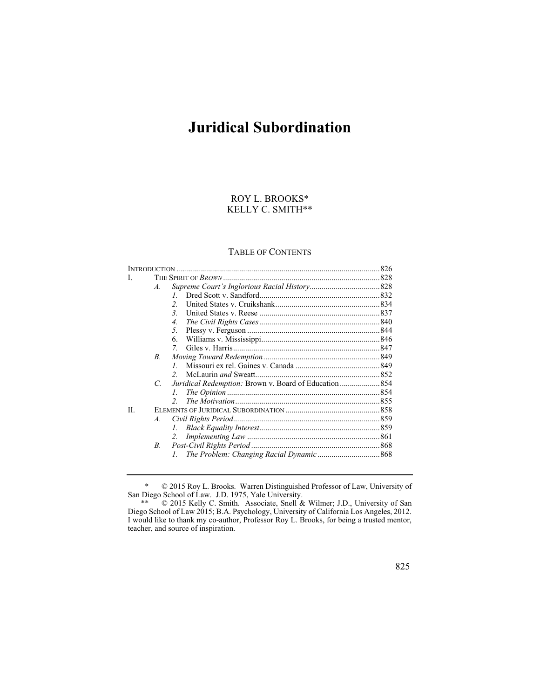# **Juridical Subordination**

## ROY L. BROOKS\* KELLY C. SMITH\*\*

## TABLE OF CONTENTS

| L  |                 |                                                              |  |
|----|-----------------|--------------------------------------------------------------|--|
|    | $\mathcal{A}$ . |                                                              |  |
|    |                 | $\mathcal{I}$                                                |  |
|    |                 | $\mathfrak{D}$                                               |  |
|    |                 | $\mathcal{E}$                                                |  |
|    |                 | 4.                                                           |  |
|    |                 | 5 <sub>1</sub>                                               |  |
|    |                 | 6.                                                           |  |
|    |                 | 7.                                                           |  |
|    | $B_{\cdot}$     |                                                              |  |
|    |                 | $\mathcal{I}$                                                |  |
|    |                 | $\mathcal{L}$                                                |  |
|    | C               | <i>Juridical Redemption: Brown v. Board of Education</i> 854 |  |
|    |                 | $\mathcal{L}$                                                |  |
|    |                 | $\mathcal{L}$                                                |  |
| H. |                 |                                                              |  |
|    | $\mathcal{A}$ . |                                                              |  |
|    |                 | L.                                                           |  |
|    |                 | 2.                                                           |  |
|    | B.              |                                                              |  |
|    |                 | $\mathcal{I}$                                                |  |
|    |                 |                                                              |  |

<sup>\* © 2015</sup> Roy L. Brooks. Warren Distinguished Professor of Law, University of San Diego School of Law. J.D. 1975, Yale University.

<sup>\*\* © 2015</sup> Kelly C. Smith. Associate, Snell & Wilmer; J.D., University of San Diego School of Law 2015; B.A . Psy cholog y, University of Califor nia Los Angeles, 2012. I would like to thank my co-author, Professor Roy L. Brooks, for being a trusted mentor, teacher, and sour ce of inspir ation .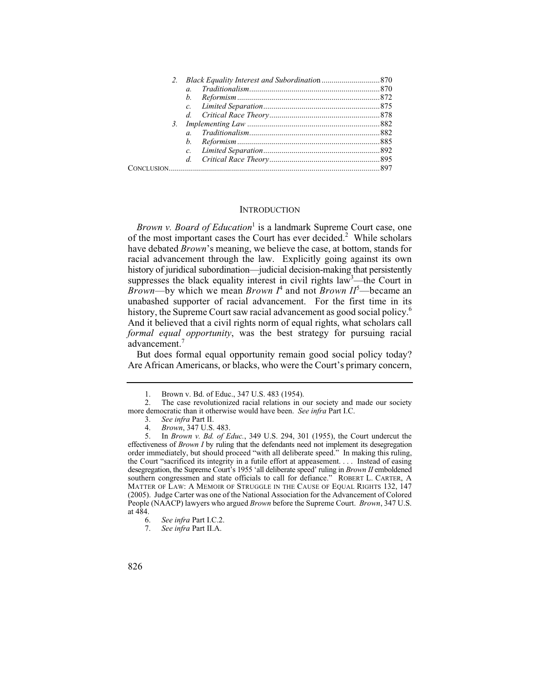| $\alpha$       |  |
|----------------|--|
| $h_{\cdot}$    |  |
|                |  |
|                |  |
|                |  |
| $\overline{a}$ |  |
| $h_{-}$        |  |
|                |  |
|                |  |
|                |  |

#### **INTRODUCTION**

 history of juridical subordination—judicial decision-making that persistently *Brown v. Board of Education*<sup>1</sup> is a landmark Supreme Court case, one of the most important cases the Court has ever decided.<sup>2</sup> While scholars have debated *Brown*'s meaning, we believe the case, at bottom, stands for racial advancement through the law. Explicitly going against its own suppresses the black equality interest in civil rights  $law<sup>3</sup>$ —the Court in *Brown*—by which we mean *Brown*  $I^4$  and not *Brown*  $II^5$ —became an unabashed supporter of racial advancement. For the first time in its history, the Supreme Court saw racial advancement as good social policy.<sup>6</sup> And it believed that a civil rights norm of equal rights, what scholars call *formal equal opportunity*, was the best strategy for pursuing racial advancement.<sup>7</sup>

 But does formal equal opportunity remain good social policy today? Are African Americans, or blacks, who were the Court's primary concern,

<sup>7.</sup> *See infra* Part II.A.



<sup>1.</sup> Brown v. Bd. of Educ., 347 U.S. 483 (1954).<br>2. The case revolutionized racial relations in c

<sup>2.</sup> The case revolutionized racial relations in our society and made our society more democratic than it otherwise would have been. *See infra* Part I.C.

<sup>3.</sup> *See infra* Part II.

<sup>4.</sup> *Brown*, 347 U.S. 483.

 effectiveness of *Brown I* by ruling that the defendants need not implement its desegregation the Court "sacrificed its integrity in a futile effort at appeasement. . . . Instead of easing 5. In *Brown v. Bd. of Educ.*, 349 U.S. 294, 301 (1955), the Court undercut the order immediately, but should proceed "with all deliberate speed." In making this ruling, desegregation, the Supreme Court's 1955 'all deliberate speed' ruling in *Brown II* emboldened southern congressmen and state officials to call for defiance." ROBERT L. CARTER, A MATTER OF LAW: A MEMOIR OF STRUGGLE IN THE CAUSE OF EQUAL RIGHTS 132, 147 (2005). Judge Carter was one of the National Association for the Advancement of Colored People (NAACP) lawyers who argued *Brown* before the Supreme Court. *Brown*, 347 U.S. at  $\frac{484}{6}$ .

<sup>6.</sup> *See infra* Part I.C.2.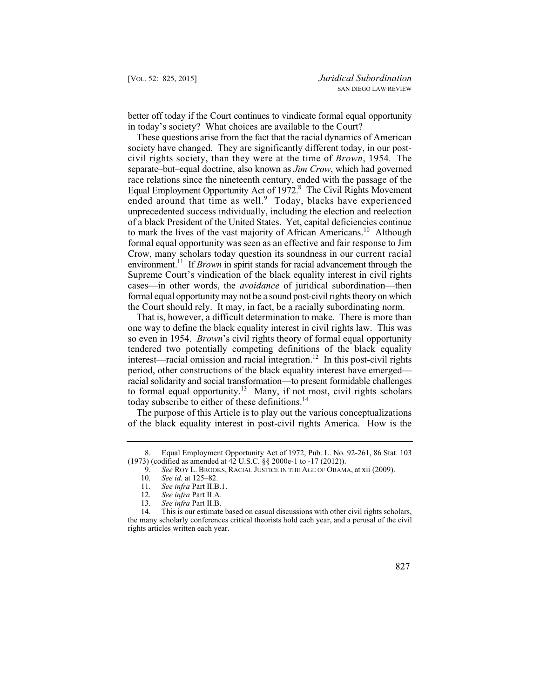better off today if the Court continues to vindicate formal equal opportunity in today's society? What choices are available to the Court?

 Crow, many scholars today question its soundness in our current racial environment.<sup>11</sup> If *Brown* in spirit stands for racial advancement through the formal equal opportunity may not be a sound post-civil rights theory on which These questions arise from the fact that the racial dynamics of American society have changed. They are significantly different today, in our postcivil rights society, than they were at the time of *Brown*, 1954. The separate–but–equal doctrine, also known as *Jim Crow*, which had governed race relations since the nineteenth century, ended with the passage of the Equal Employment Opportunity Act of 1972.<sup>8</sup> The Civil Rights Movement ended around that time as well.<sup>9</sup> Today, blacks have experienced unprecedented success individually, including the election and reelection of a black President of the United States. Yet, capital deficiencies continue to mark the lives of the vast majority of African Americans.<sup>10</sup> Although formal equal opportunity was seen as an effective and fair response to Jim Supreme Court's vindication of the black equality interest in civil rights cases—in other words, the *avoidance* of juridical subordination—then the Court should rely. It may, in fact, be a racially subordinating norm.

That is, however, a difficult determination to make. There is more than one way to define the black equality interest in civil rights law. This was so even in 1954. *Brown*'s civil rights theory of formal equal opportunity tendered two potentially competing definitions of the black equality interest—racial omission and racial integration.<sup>12</sup> In this post-civil rights period, other constructions of the black equality interest have emerged racial solidarity and social transformation—to present formidable challenges to formal equal opportunity.<sup>13</sup> Many, if not most, civil rights scholars today subscribe to either of these definitions.<sup>14</sup>

The purpose of this Article is to play out the various conceptualizations of the black equality interest in post-civil rights America. How is the

<sup>8.</sup> Equal Employment Opportunity Act of 1972, Pub. L. No. 92-261, 86 Stat. 103 (1973) (codified as amended at 42 U.S.C. §§ 2000e-1 to -17 (2012)).

<sup>9.</sup> *See* ROY L. BROOKS, RACIAL JUSTICE IN THE AGE OF OBAMA, at xii (2009).<br>10. *See id.* at 125–82.

<sup>10.</sup> *See id.* at 125–82.

<sup>11.</sup> *See infra* Part II.B.1.

<sup>12.</sup> *See infra* Part II.A.

<sup>13.</sup> *See infra* Part II.B.

<sup>14.</sup> This is our estimate based on casual discussions with other civil rights scholars, the many scholarly conferences critical theorists hold each year, and a perusal of the civil rights articles written each year.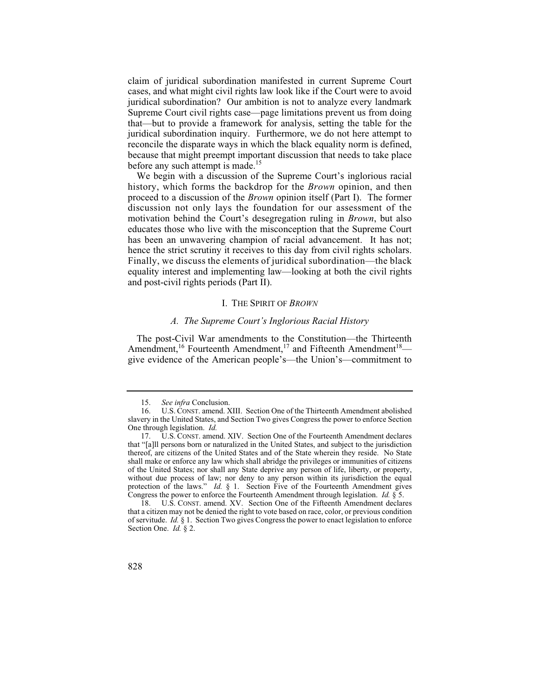claim of juridical subordination manifested in current Supreme Court cases, and what might civil rights law look like if the Court were to avoid juridical subordination? Our ambition is not to analyze every landmark Supreme Court civil rights case—page limitations prevent us from doing that—but to provide a framework for analysis, setting the table for the juridical subordination inquiry. Furthermore, we do not here attempt to reconcile the disparate ways in which the black equality norm is defined, because that might preempt important discussion that needs to take place before any such attempt is made.<sup>15</sup>

We begin with a discussion of the Supreme Court's inglorious racial history, which forms the backdrop for the *Brown* opinion, and then proceed to a discussion of the *Brown* opinion itself (Part I). The former discussion not only lays the foundation for our assessment of the motivation behind the Court's desegregation ruling in *Brown*, but also educates those who live with the misconception that the Supreme Court has been an unwavering champion of racial advancement. It has not; hence the strict scrutiny it receives to this day from civil rights scholars. Finally, we discuss the elements of juridical subordination—the black equality interest and implementing law—looking at both the civil rights and post-civil rights periods (Part II).

#### I. THE SPIRIT OF *BROWN*

## *A. The Supreme Court's Inglorious Racial History*

The post-Civil War amendments to the Constitution—the Thirteenth Amendment,<sup>16</sup> Fourteenth Amendment,<sup>17</sup> and Fifteenth Amendment<sup>18</sup> give evidence of the American people's—the Union's—commitment to

<sup>18.</sup> U.S. CONST. amend. XV. Section One of the Fifteenth Amendment declares that a citizen may not be denied the right to vote based on race, color, or previous condition of servitude. *Id.* § 1. Section Two gives Congress the power to enact legislation to enforce Section One. *Id.* § 2.



<sup>15.</sup> *See infra* Conclusion.<br>16. U.S. CONST. amend. 2

 <sup>16.</sup> U.S. CONST. amend. XIII. Section One of the Thirteenth Amendment abolished slavery in the United States, and Section Two gives Congress the power to enforce Section One through legislation. *Id.*

 <sup>17.</sup> U.S. CONST. amend. XIV. Section One of the Fourteenth Amendment declares that "[a]ll persons born or naturalized in the United States, and subject to the jurisdiction thereof, are citizens of the United States and of the State wherein they reside. No State shall make or enforce any law which shall abridge the privileges or immunities of citizens of the United States; nor shall any State deprive any person of life, liberty, or property, without due process of law; nor deny to any person within its jurisdiction the equal protection of the laws." *Id.* § 1. Section Five of the Fourteenth Amendment gives Congress the power to enforce the Fourteenth Amendment through legislation. *Id.* § 5.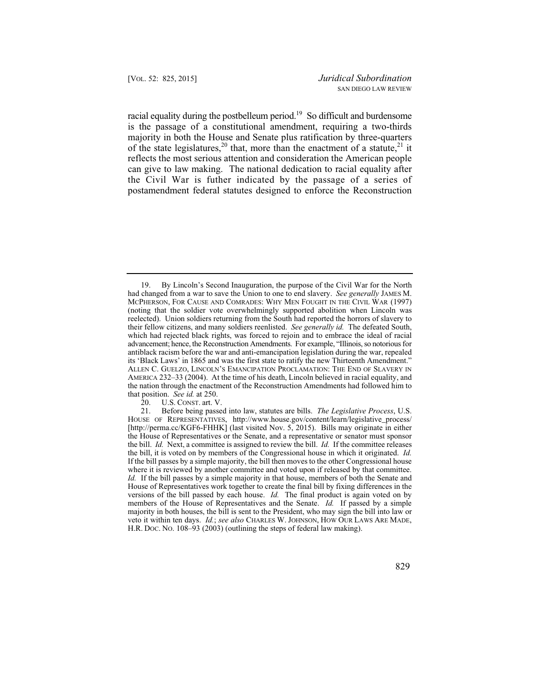racial equality during the postbelleum period.<sup>19</sup> So difficult and burdensome is the passage of a constitutional amendment, requiring a two-thirds majority in both the House and Senate plus ratification by three-quarters of the state legislatures,<sup>20</sup> that, more than the enactment of a statute,<sup>21</sup> it reflects the most serious attention and consideration the American people can give to law making. The national dedication to racial equality after the Civil War is futher indicated by the passage of a series of postamendment federal statutes designed to enforce the Reconstruction

20. U.S. CONST. art. V.<br>21. Before being passe

 members of the House of Representatives and the Senate. *Id.* If passed by a simple 21. Before being passed into law, statutes are bills. *The Legislative Process*, U.S. HOUSE OF REPRESENTATIVES, http://www.house.gov/content/learn/legislative\_process/ [http://perma.cc/KGF6-FHHK] (last visited Nov. 5, 2015). Bills may originate in either the House of Representatives or the Senate, and a representative or senator must sponsor the bill. *Id.* Next, a committee is assigned to review the bill. *Id.* If the committee releases the bill, it is voted on by members of the Congressional house in which it originated. *Id.*  If the bill passes by a simple majority, the bill then moves to the other Congressional house where it is reviewed by another committee and voted upon if released by that committee. *Id.* If the bill passes by a simple majority in that house, members of both the Senate and House of Representatives work together to create the final bill by fixing differences in the versions of the bill passed by each house. *Id.* The final product is again voted on by majority in both houses, the bill is sent to the President, who may sign the bill into law or veto it within ten days. *Id.*; *see also* CHARLES W. JOHNSON, HOW OUR LAWS ARE MADE, H.R. DOC. NO. 108–93 (2003) (outlining the steps of federal law making).



 had changed from a war to save the Union to one to end slavery. *See generally* JAMES M. advancement; hence, the Reconstruction Amendments. For example, "Illinois, so notorious for 19. By Lincoln's Second Inauguration, the purpose of the Civil War for the North MCPHERSON, FOR CAUSE AND COMRADES: WHY MEN FOUGHT IN THE CIVIL WAR (1997) (noting that the soldier vote overwhelmingly supported abolition when Lincoln was reelected). Union soldiers returning from the South had reported the horrors of slavery to their fellow citizens, and many soldiers reenlisted. *See generally id.* The defeated South, which had rejected black rights, was forced to rejoin and to embrace the ideal of racial antiblack racism before the war and anti-emancipation legislation during the war, repealed its 'Black Laws' in 1865 and was the first state to ratify the new Thirteenth Amendment." ALLEN C. GUELZO, LINCOLN'S EMANCIPATION PROCLAMATION: THE END OF SLAVERY IN AMERICA 232–33 (2004). At the time of his death, Lincoln believed in racial equality, and the nation through the enactment of the Reconstruction Amendments had followed him to that position. *See id.* at 250.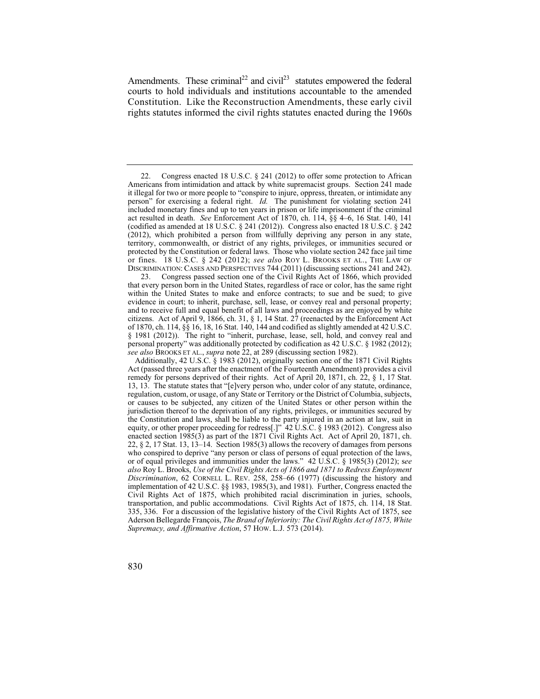Amendments. These criminal<sup>22</sup> and civil<sup>23</sup> statutes empowered the federal courts to hold individuals and institutions accountable to the amended Constitution. Like the Reconstruction Amendments, these early civil rights statutes informed the civil rights statutes enacted during the 1960s

 (2012), which prohibited a person from willfully depriving any person in any state, 22. Congress enacted 18 U.S.C. § 241 (2012) to offer some protection to African Americans from intimidation and attack by white supremacist groups. Section 241 made it illegal for two or more people to "conspire to injure, oppress, threaten, or intimidate any person" for exercising a federal right. *Id.* The punishment for violating section 241 included monetary fines and up to ten years in prison or life imprisonment if the criminal act resulted in death. *See* Enforcement Act of 1870, ch. 114, §§ 4–6, 16 Stat. 140, 141 (codified as amended at 18 U.S.C.  $\S$  241 (2012)). Congress also enacted 18 U.S.C.  $\S$  242 territory, commonwealth, or district of any rights, privileges, or immunities secured or protected by the Constitution or federal laws. Those who violate section 242 face jail time or fines. 18 U.S.C. § 242 (2012); *see als*o ROY L. BROOKS ET AL., THE LAW OF DISCRIMINATION: CASES AND PERSPECTIVES 744 (2011) (discussing sections 241 and 242).

 of 1870, ch. 114, §§ 16, 18, 16 Stat. 140, 144 and codified as slightly amended at 42 U.S.C. § 1981 (2012)). The right to "inherit, purchase, lease, sell, hold, and convey real and 23. Congress passed section one of the Civil Rights Act of 1866, which provided that every person born in the United States, regardless of race or color, has the same right within the United States to make and enforce contracts; to sue and be sued; to give evidence in court; to inherit, purchase, sell, lease, or convey real and personal property; and to receive full and equal benefit of all laws and proceedings as are enjoyed by white citizens. Act of April 9, 1866, ch. 31, § 1, 14 Stat. 27 (reenacted by the Enforcement Act personal property" was additionally protected by codification as 42 U.S.C. § 1982 (2012); *see also* BROOKS ET AL., *supra* note 22, at 289 (discussing section 1982).

 jurisdiction thereof to the deprivation of any rights, privileges, or immunities secured by the Constitution and laws, shall be liable to the party injured in an action at law, suit in Additionally, 42 U.S.C. § 1983 (2012), originally section one of the 1871 Civil Rights Act (passed three years after the enactment of the Fourteenth Amendment) provides a civil remedy for persons deprived of their rights. Act of April 20, 1871, ch. 22, § 1, 17 Stat. 13, 13. The statute states that "[e]very person who, under color of any statute, ordinance, regulation, custom, or usage, of any State or Territory or the District of Columbia, subjects, or causes to be subjected, any citizen of the United States or other person within the equity, or other proper proceeding for redress[.]" 42 U.S.C. § 1983 (2012). Congress also enacted section 1985(3) as part of the 1871 Civil Rights Act. Act of April 20, 1871, ch. 22, § 2, 17 Stat. 13, 13–14. Section 1985(3) allows the recovery of damages from persons who conspired to deprive "any person or class of persons of equal protection of the laws, or of equal privileges and immunities under the laws." 42 U.S.C. § 1985(3) (2012); s*ee also* Roy L. Brooks, *Use of the Civil Rights Acts of 1866 and 1871 to Redress Employment Discrimination*, 62 CORNELL L. REV. 258, 258–66 (1977) (discussing the history and implementation of 42 U.S.C. §§ 1983, 1985(3), and 1981). Further, Congress enacted the Civil Rights Act of 1875, which prohibited racial discrimination in juries, schools, transportation, and public accommodations. Civil Rights Act of 1875, ch. 114, 18 Stat. 335, 336. For a discussion of the legislative history of the Civil Rights Act of 1875, see Aderson Bellegarde François, *The Brand of Inferiority: The Civil Rights Act of 1875, White Supremacy, and Affirmative Action*, 57 HOW. L.J. 573 (2014).

830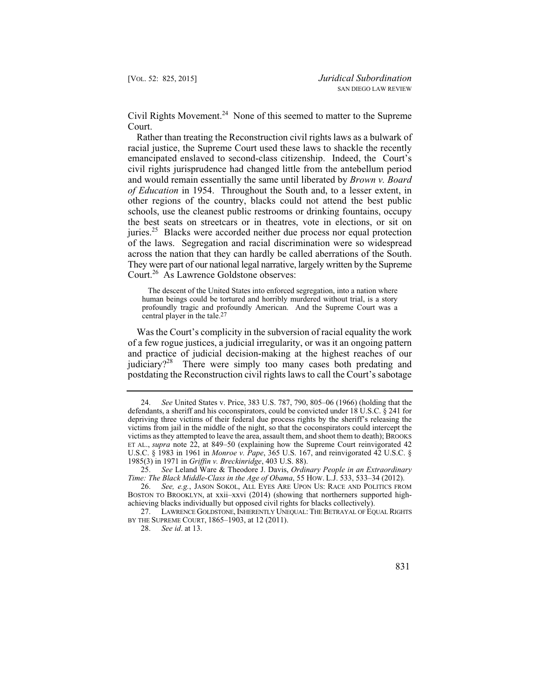Civil Rights Movement.<sup>24</sup> None of this seemed to matter to the Supreme Court.

across the nation that they can hardly be called aberrations of the South. Rather than treating the Reconstruction civil rights laws as a bulwark of racial justice, the Supreme Court used these laws to shackle the recently emancipated enslaved to second-class citizenship. Indeed, the Court's civil rights jurisprudence had changed little from the antebellum period and would remain essentially the same until liberated by *Brown v. Board of Education* in 1954. Throughout the South and, to a lesser extent, in other regions of the country, blacks could not attend the best public schools, use the cleanest public restrooms or drinking fountains, occupy the best seats on streetcars or in theatres, vote in elections, or sit on juries.<sup>25</sup> Blacks were accorded neither due process nor equal protection of the laws. Segregation and racial discrimination were so widespread They were part of our national legal narrative, largely written by the Supreme Court.<sup>26</sup> As Lawrence Goldstone observes:

The descent of the United States into enforced segregation, into a nation where human beings could be tortured and horribly murdered without trial, is a story profoundly tragic and profoundly American. And the Supreme Court was a central player in the tale.27

judiciary?<sup>28</sup> There were simply too many cases both predating and Was the Court's complicity in the subversion of racial equality the work of a few rogue justices, a judicial irregularity, or was it an ongoing pattern and practice of judicial decision-making at the highest reaches of our postdating the Reconstruction civil rights laws to call the Court's sabotage

 U.S.C. § 1983 in 1961 in *Monroe v. Pape*, 365 U.S. 167, and reinvigorated 42 U.S.C. § 24. *See* United States v. Price, 383 U.S. 787, 790, 805–06 (1966) (holding that the defendants, a sheriff and his coconspirators, could be convicted under 18 U.S.C. § 241 for depriving three victims of their federal due process rights by the sheriff's releasing the victims from jail in the middle of the night, so that the coconspirators could intercept the victims as they attempted to leave the area, assault them, and shoot them to death); BROOKS ET AL., *supra* note 22, at 849–50 (explaining how the Supreme Court reinvigorated 42 1985(3) in 1971 in *Griffin v. Breckinridge*, 403 U.S. 88).

<sup>25.</sup> *See* Leland Ware & Theodore J. Davis, *Ordinary People in an Extraordinary Time: The Black Middle-Class in the Age of Obama*, 55 HOW. L.J. 533, 533–34 (2012).

<sup>26.</sup> *See, e.g.*, JASON SOKOL, ALL EYES ARE UPON US: RACE AND POLITICS FROM BOSTON TO BROOKLYN, at xxii–xxvi (2014) (showing that northerners supported highachieving blacks individually but opposed civil rights for blacks collectively).

<sup>27.</sup> LAWRENCE GOLDSTONE, INHERENTLY UNEQUAL: THE BETRAYAL OF EQUAL RIGHTS BY THE SUPREME COURT, 1865–1903, at 12 (2011).

<sup>28.</sup> *See id*. at 13.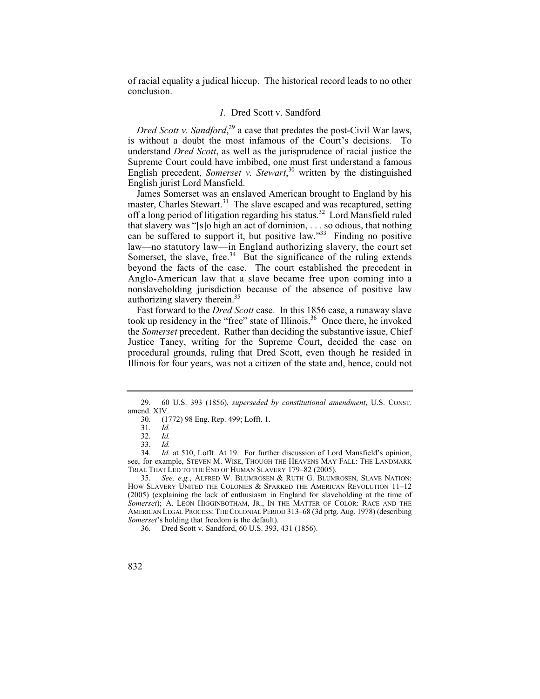of racial equality a judical hiccup. The historical record leads to no other conclusion.

## *1.* Dred Scott v. Sandford

*Dred Scott v. Sandford*, 29 a case that predates the post-Civil War laws, is without a doubt the most infamous of the Court's decisions. To understand *Dred Scott*, as well as the jurisprudence of racial justice the Supreme Court could have imbibed, one must first understand a famous English precedent, *Somerset v. Stewart*, 30 written by the distinguished English jurist Lord Mansfield.

 law—no statutory law—in England authorizing slavery, the court set James Somerset was an enslaved American brought to England by his master, Charles Stewart.<sup>31</sup> The slave escaped and was recaptured, setting off a long period of litigation regarding his status.<sup>32</sup> Lord Mansfield ruled that slavery was "[s]o high an act of dominion, . . . so odious, that nothing can be suffered to support it, but positive law."33 Finding no positive Somerset, the slave, free.<sup>34</sup> But the significance of the ruling extends beyond the facts of the case. The court established the precedent in Anglo-American law that a slave became free upon coming into a nonslaveholding jurisdiction because of the absence of positive law authorizing slavery therein.35

Fast forward to the *Dred Scott* case. In this 1856 case, a runaway slave took up residency in the "free" state of Illinois.<sup>36</sup> Once there, he invoked the *Somerset* precedent. Rather than deciding the substantive issue, Chief Justice Taney, writing for the Supreme Court, decided the case on procedural grounds, ruling that Dred Scott, even though he resided in Illinois for four years, was not a citizen of the state and, hence, could not

<sup>29. 60</sup> U.S. 393 (1856), *superseded by constitutional amendment*, U.S. CONST. amend. XIV.

<sup>30. (1772) 98</sup> Eng. Rep. 499; Lofft. 1.

<sup>31.</sup> *Id.*

 <sup>32.</sup> *Id.*

 $\frac{33}{34}$ 

Id. at 510, Lofft. At 19. For further discussion of Lord Mansfield's opinion, see, for example, STEVEN M. WISE, THOUGH THE HEAVENS MAY FALL: THE LANDMARK TRIAL THAT LED TO THE END OF HUMAN SLAVERY 179–82 (2005).

<sup>35.</sup> *See, e.g.*, ALFRED W. BLUMROSEN & RUTH G. BLUMROSEN, SLAVE NATION: HOW SLAVERY UNITED THE COLONIES & SPARKED THE AMERICAN REVOLUTION  $11-12$ (2005) (explaining the lack of enthusiasm in England for slaveholding at the time of *Somerset*); A. LEON HIGGINBOTHAM, JR., IN THE MATTER OF COLOR: RACE AND THE AMERICAN LEGAL PROCESS: THE COLONIAL PERIOD 313–68 (3d prtg. Aug. 1978) (describing *Somerset*'s holding that freedom is the default).

<sup>36.</sup> Dred Scott v. Sandford, 60 U.S. 393, 431 (1856).

<sup>832</sup>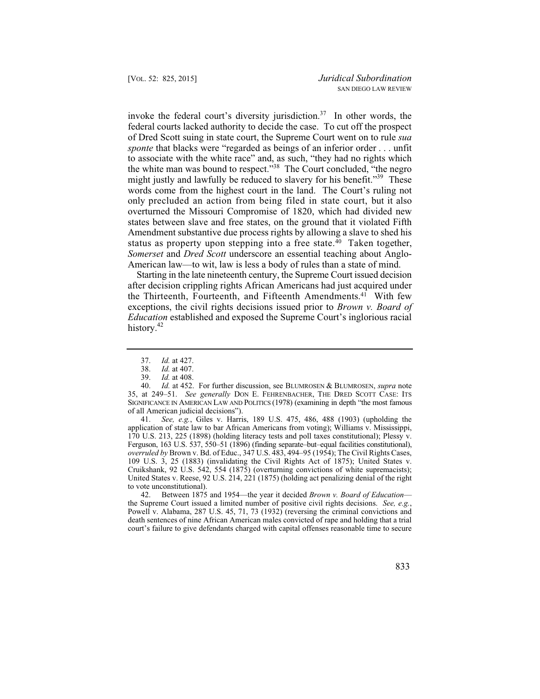only precluded an action from being filed in state court, but it also invoke the federal court's diversity jurisdiction.<sup>37</sup> In other words, the federal courts lacked authority to decide the case. To cut off the prospect of Dred Scott suing in state court, the Supreme Court went on to rule *sua sponte* that blacks were "regarded as beings of an inferior order . . . unfit to associate with the white race" and, as such, "they had no rights which the white man was bound to respect."38 The Court concluded, "the negro might justly and lawfully be reduced to slavery for his benefit."<sup>39</sup> These words come from the highest court in the land. The Court's ruling not overturned the Missouri Compromise of 1820, which had divided new states between slave and free states, on the ground that it violated Fifth Amendment substantive due process rights by allowing a slave to shed his status as property upon stepping into a free state.<sup>40</sup> Taken together, *Somerset* and *Dred Scott* underscore an essential teaching about Anglo-American law—to wit, law is less a body of rules than a state of mind.

Starting in the late nineteenth century, the Supreme Court issued decision after decision crippling rights African Americans had just acquired under the Thirteenth, Fourteenth, and Fifteenth Amendments.<sup>41</sup> With few exceptions, the civil rights decisions issued prior to *Brown v. Board of Education* established and exposed the Supreme Court's inglorious racial history.<sup>42</sup>

41. *See, e.g.*, Giles v. Harris, 189 U.S. 475, 486, 488 (1903) (upholding the application of state law to bar African Americans from voting); Williams v. Mississippi, 170 U.S. 213, 225 (1898) (holding literacy tests and poll taxes constitutional); Plessy v. Ferguson, 163 U.S. 537, 550–51 (1896) (finding separate–but–equal facilities constitutional), *overruled by* Brown v. Bd. of Educ., 347 U.S. 483, 494–95 (1954); The Civil Rights Cases, 109 U.S. 3, 25 (1883) (invalidating the Civil Rights Act of 1875); United States v. Cruikshank, 92 U.S. 542, 554 (1875) (overturning convictions of white supremacists); United States v. Reese, 92 U.S. 214, 221 (1875) (holding act penalizing denial of the right to vote unconstitutional).

42. Between 1875 and 1954—the year it decided *Brown v. Board of Education* the Supreme Court issued a limited number of positive civil rights decisions. *See, e.g.*, Powell v. Alabama, 287 U.S. 45, 71, 73 (1932) (reversing the criminal convictions and death sentences of nine African American males convicted of rape and holding that a trial court's failure to give defendants charged with capital offenses reasonable time to secure

 <sup>37.</sup> *Id.* at 427.

<sup>38.</sup> *Id.* at 407.

*Id.* at 408.

<sup>40.</sup> *Id.* at 452. For further discussion, see BLUMROSEN & BLUMROSEN, *supra* note 35, at 249–51. *See generally* DON E. FEHRENBACHER, THE DRED SCOTT CASE: ITS SIGNIFICANCE IN AMERICAN LAW AND POLITICS (1978) (examining in depth "the most famous of all American judicial decisions").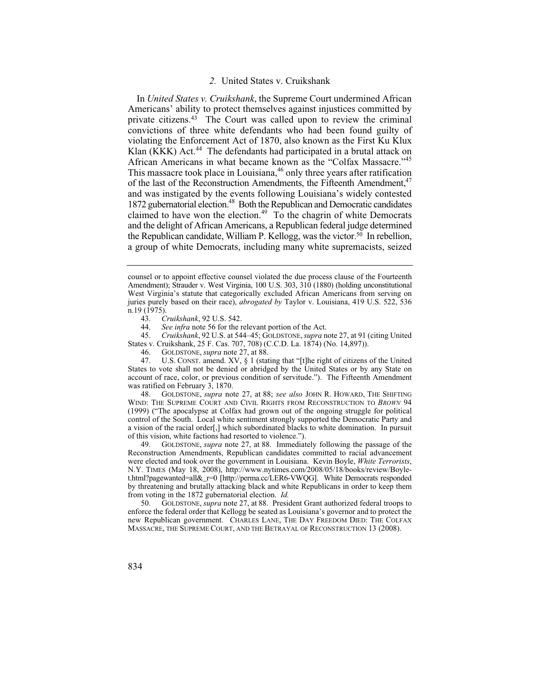## *2.* United States v. Cruikshank

1872 gubernatorial election.<sup>48</sup> Both the Republican and Democratic candidates In *United States v. Cruikshank*, the Supreme Court undermined African Americans' ability to protect themselves against injustices committed by private citizens.43 The Court was called upon to review the criminal convictions of three white defendants who had been found guilty of violating the Enforcement Act of 1870, also known as the First Ku Klux Klan (KKK) Act. $44$  The defendants had participated in a brutal attack on African Americans in what became known as the "Colfax Massacre."<sup>45</sup> This massacre took place in Louisiana,<sup>46</sup> only three years after ratification of the last of the Reconstruction Amendments, the Fifteenth Amendment,<sup>47</sup> and was instigated by the events following Louisiana's widely contested claimed to have won the election.<sup>49</sup> To the chagrin of white Democrats and the delight of African Americans, a Republican federal judge determined the Republican candidate, William P. Kellogg, was the victor.<sup>50</sup> In rebellion, a group of white Democrats, including many white supremacists, seized

48. GOLDSTONE, *supra* note 27, at 88; *see also* JOHN R. HOWARD, THE SHIFTING WIND: THE SUPREME COURT AND CIVIL RIGHTS FROM RECONSTRUCTION TO *BROWN* 94 (1999) ("The apocalypse at Colfax had grown out of the ongoing struggle for political control of the South. Local white sentiment strongly supported the Democratic Party and a vision of the racial order[,] which subordinated blacks to white domination. In pursuit of this vision, white factions had resorted to violence.").<br>49. GOLDSTONE, *supra* note 27, at 88. Immediat

 t.html?pagewanted=all&\_r=0 [http://perma.cc/LER6-VWQG]. White Democrats responded by threatening and brutally attacking black and white Republicans in order to keep them 49. GOLDSTONE, *supra* note 27, at 88. Immediately following the passage of the Reconstruction Amendments, Republican candidates committed to racial advancement were elected and took over the government in Louisiana. Kevin Boyle, *White Terrorists*, N.Y. TIMES (May 18, 2008), http://www.nytimes.com/2008/05/18/books/review/Boylefrom voting in the 1872 gubernatorial election. *Id.*

 50. GOLDSTONE, *supra* note 27, at 88. President Grant authorized federal troops to enforce the federal order that Kellogg be seated as Louisiana's governor and to protect the new Republican government. CHARLES LANE, THE DAY FREEDOM DIED: THE COLFAX MASSACRE, THE SUPREME COURT, AND THE BETRAYAL OF RECONSTRUCTION 13 (2008).

834

counsel or to appoint effective counsel violated the due process clause of the Fourteenth Amendment); Strauder v. West Virginia, 100 U.S. 303, 310 (1880) (holding unconstitutional West Virginia's statute that categorically excluded African Americans from serving on juries purely based on their race), *abrogated by* Taylor v. Louisiana, 419 U.S. 522, 536  $\frac{19}{1975}$ .<br>43. C

<sup>43.</sup> *Cruikshank*, 92 U.S. 542.

<sup>44.</sup> *See infra* note 56 for the relevant portion of the Act.<br>45. *Cruikshank*, 92 U.S. at 544–45; GOLDSTONE, *supra* n

<sup>45.</sup> *Cruikshank*, 92 U.S. at 544–45; GOLDSTONE, *supra* note 27, at 91 (citing United States v. Cruikshank, 25 F. Cas. 707, 708) (C.C.D. La. 1874) (No. 14,897)).

<sup>46.</sup> GOLDSTONE, *supra* note 27, at 88.

U.S. CONST. amend. XV, § 1 (stating that "[t]he right of citizens of the United States to vote shall not be denied or abridged by the United States or by any State on account of race, color, or previous condition of servitude."). The Fifteenth Amendment was ratified on February 3, 1870.<br>48. GOLDSTONE, *supra* not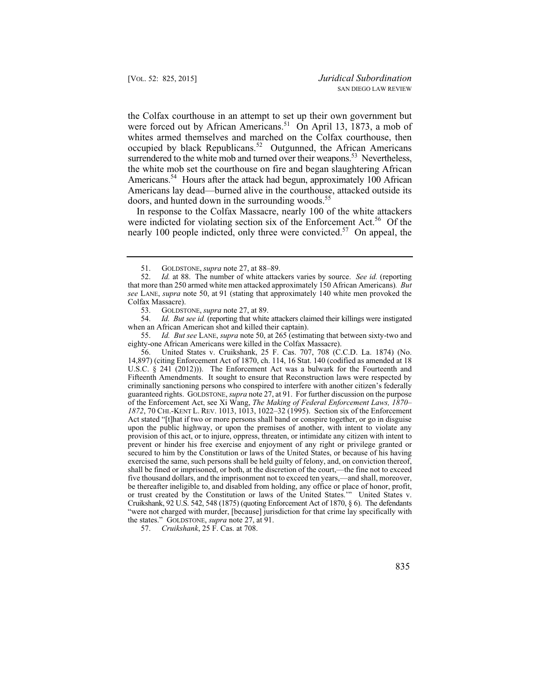Americans.<sup>54</sup> Hours after the attack had begun, approximately 100 African the Colfax courthouse in an attempt to set up their own government but were forced out by African Americans.<sup>51</sup> On April 13, 1873, a mob of whites armed themselves and marched on the Colfax courthouse, then occupied by black Republicans.<sup>52</sup> Outgunned, the African Americans surrendered to the white mob and turned over their weapons.<sup>53</sup> Nevertheless, the white mob set the courthouse on fire and began slaughtering African Americans lay dead—burned alive in the courthouse, attacked outside its doors, and hunted down in the surrounding woods.<sup>55</sup>

were indicted for violating section six of the Enforcement Act.<sup>56</sup> Of the In response to the Colfax Massacre, nearly 100 of the white attackers nearly 100 people indicted, only three were convicted.<sup>57</sup> On appeal, the

 54. *Id*. *But see id.* (reporting that white attackers claimed their killings were instigated when an African American shot and killed their captain).

55. *Id. But see* LANE, *supra* note 50, at 265 (estimating that between sixty-two and eighty-one African Americans were killed in the Colfax Massacre).

 provision of this act, or to injure, oppress, threaten, or intimidate any citizen with intent to five thousand dollars, and the imprisonment not to exceed ten years,—and shall, moreover, 56. United States v. Cruikshank, 25 F. Cas. 707, 708 (C.C.D. La. 1874) (No. 14,897) (citing Enforcement Act of 1870, ch. 114, 16 Stat. 140 (codified as amended at 18 U.S.C. § 241 (2012))). The Enforcement Act was a bulwark for the Fourteenth and Fifteenth Amendments. It sought to ensure that Reconstruction laws were respected by criminally sanctioning persons who conspired to interfere with another citizen's federally guaranteed rights. GOLDSTONE, *supra* note 27, at 91. For further discussion on the purpose of the Enforcement Act, see Xi Wang, *The Making of Federal Enforcement Laws, 1870– 1872*, 70 CHI.-KENT L. REV. 1013, 1013, 1022–32 (1995). Section six of the Enforcement Act stated "[t]hat if two or more persons shall band or conspire together, or go in disguise upon the public highway, or upon the premises of another, with intent to violate any prevent or hinder his free exercise and enjoyment of any right or privilege granted or secured to him by the Constitution or laws of the United States, or because of his having exercised the same, such persons shall be held guilty of felony, and, on conviction thereof, shall be fined or imprisoned, or both, at the discretion of the court,—the fine not to exceed be thereafter ineligible to, and disabled from holding, any office or place of honor, profit, or trust created by the Constitution or laws of the United States.'" United States v. Cruikshank, 92 U.S. 542, 548 (1875) (quoting Enforcement Act of 1870, § 6). The defendants "were not charged with murder, [because] jurisdiction for that crime lay specifically with the states." GOLDSTONE, *supra* note 27, at 91.

57. *Cruikshank*, 25 F. Cas. at 708.

 <sup>51.</sup> GOLDSTONE, *supra* note 27, at 88–89.

<sup>52.</sup> *Id.* at 88. The number of white attackers varies by source. *See id.* (reporting that more than 250 armed white men attacked approximately 150 African Americans)*. But see* LANE, *supra* note 50, at 91 (stating that approximately 140 white men provoked the Colfax Massacre).<br>53. GOLDS1

<sup>53.</sup> GOLDSTONE, *supra* note 27, at 89.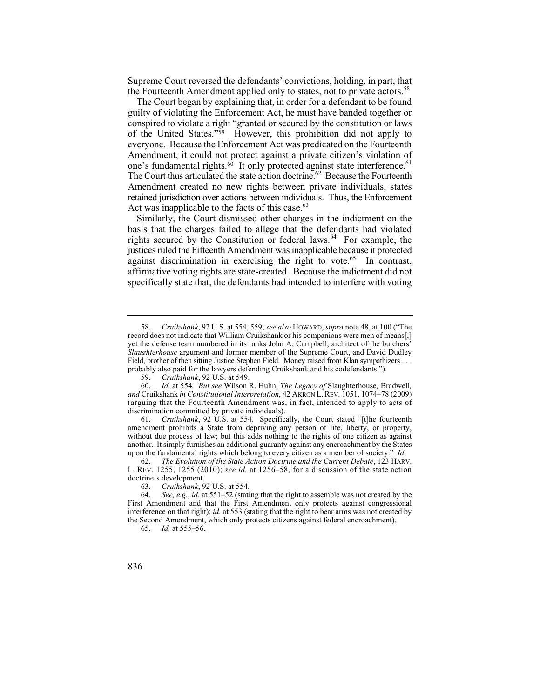Supreme Court reversed the defendants' convictions, holding, in part, that the Fourteenth Amendment applied only to states, not to private actors.<sup>58</sup>

 of the United States."59 However, this prohibition did not apply to The Court began by explaining that, in order for a defendant to be found guilty of violating the Enforcement Act, he must have banded together or conspired to violate a right "granted or secured by the constitution or laws everyone. Because the Enforcement Act was predicated on the Fourteenth Amendment, it could not protect against a private citizen's violation of one's fundamental rights.<sup>60</sup> It only protected against state interference.<sup>61</sup> The Court thus articulated the state action doctrine.<sup>62</sup> Because the Fourteenth Amendment created no new rights between private individuals, states retained jurisdiction over actions between individuals. Thus, the Enforcement Act was inapplicable to the facts of this case. $63$ 

Similarly, the Court dismissed other charges in the indictment on the basis that the charges failed to allege that the defendants had violated rights secured by the Constitution or federal laws.<sup>64</sup> For example, the justices ruled the Fifteenth Amendment was inapplicable because it protected against discrimination in exercising the right to vote.<sup>65</sup> In contrast, affirmative voting rights are state-created. Because the indictment did not specifically state that, the defendants had intended to interfere with voting

 upon the fundamental rights which belong to every citizen as a member of society." *Id.* 61. *Cruikshank*, 92 U.S. at 554. Specifically, the Court stated "[t]he fourteenth amendment prohibits a State from depriving any person of life, liberty, or property, without due process of law; but this adds nothing to the rights of one citizen as against another. It simply furnishes an additional guaranty against any encroachment by the States

 62. *The Evolution of the State Action Doctrine and the Current Debate*, 123 HARV. L. REV. 1255, 1255 (2010); *see id.* at 1256–58, for a discussion of the state action doctrine's development.

63. *Cruikshank*, 92 U.S. at 554.

*Id.* at 555–56.

 Field, brother of then sitting Justice Stephen Field. Money raised from Klan sympathizers . . . 58. *Cruikshank*, 92 U.S. at 554, 559; *see also* HOWARD, *supra* note 48, at 100 ("The record does not indicate that William Cruikshank or his companions were men of means[,] yet the defense team numbered in its ranks John A. Campbell, architect of the butchers' *Slaughterhouse* argument and former member of the Supreme Court, and David Dudley probably also paid for the lawyers defending Cruikshank and his codefendants.").<br>59. Cruikshank, 92 U.S. at 549.

<sup>59.</sup> *Cruikshank*, 92 U.S. at 549.

<sup>60.</sup> *Id.* at 554*. But see* Wilson R. Huhn, *The Legacy of* Slaughterhouse*,* Bradwell*, and* Cruikshank *in Constitutional Interpretation*, 42 AKRON L. REV. 1051, 1074–78 (2009) (arguing that the Fourteenth Amendment was, in fact, intended to apply to acts of discrimination committed by private individuals).

<sup>64.</sup> *See, e.g.*, *id.* at 551–52 (stating that the right to assemble was not created by the First Amendment and that the First Amendment only protects against congressional interference on that right); *id.* at 553 (stating that the right to bear arms was not created by the Second Amendment, which only protects citizens against federal encroachment).<br>65. Id. at 555–56.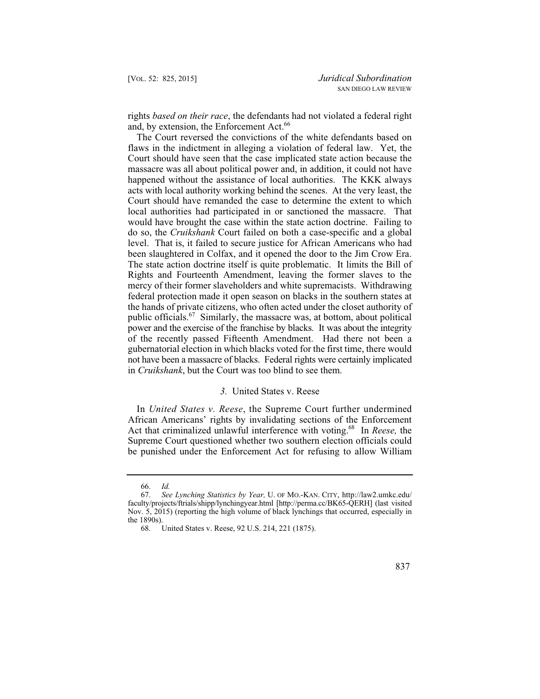rights *based on their race*, the defendants had not violated a federal right and, by extension, the Enforcement Act.<sup>66</sup>

 been slaughtered in Colfax, and it opened the door to the Jim Crow Era. The Court reversed the convictions of the white defendants based on flaws in the indictment in alleging a violation of federal law. Yet, the Court should have seen that the case implicated state action because the massacre was all about political power and, in addition, it could not have happened without the assistance of local authorities. The KKK always acts with local authority working behind the scenes. At the very least, the Court should have remanded the case to determine the extent to which local authorities had participated in or sanctioned the massacre. That would have brought the case within the state action doctrine. Failing to do so, the *Cruikshank* Court failed on both a case-specific and a global level. That is, it failed to secure justice for African Americans who had The state action doctrine itself is quite problematic. It limits the Bill of Rights and Fourteenth Amendment, leaving the former slaves to the mercy of their former slaveholders and white supremacists. Withdrawing federal protection made it open season on blacks in the southern states at the hands of private citizens, who often acted under the closet authority of public officials.<sup>67</sup> Similarly, the massacre was, at bottom, about political power and the exercise of the franchise by blacks. It was about the integrity of the recently passed Fifteenth Amendment. Had there not been a gubernatorial election in which blacks voted for the first time, there would not have been a massacre of blacks. Federal rights were certainly implicated in *Cruikshank*, but the Court was too blind to see them.

#### *3.* United States v. Reese

In *United States v. Reese*, the Supreme Court further undermined African Americans' rights by invalidating sections of the Enforcement Act that criminalized unlawful interference with voting.68 In *Reese,* the Supreme Court questioned whether two southern election officials could be punished under the Enforcement Act for refusing to allow William

837

 <sup>66.</sup> *Id.*

 <sup>67.</sup> *See Lynching Statistics by Year,* U. OF MO.-KAN. CITY, http://law2.umkc.edu/ faculty/projects/ftrials/shipp/lynchingyear.html [http://perma.cc/BK65-QERH] (last visited Nov. 5, 2015) (reporting the high volume of black lynchings that occurred, especially in the 1890s).

<sup>68.</sup> United States v. Reese, 92 U.S. 214, 221 (1875).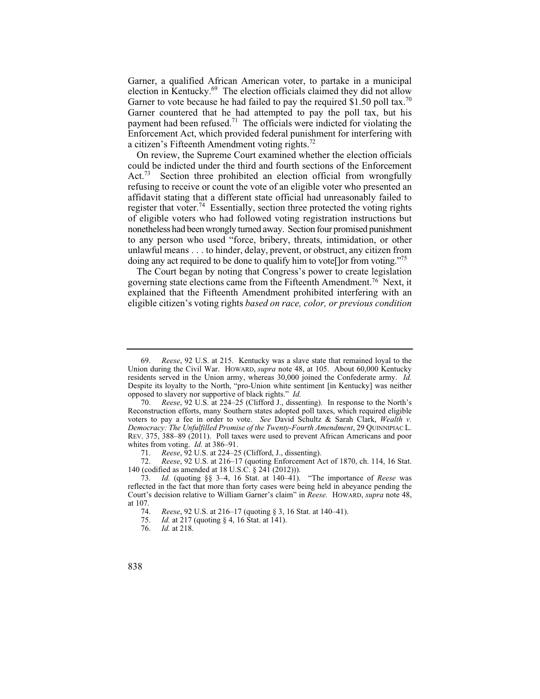Garner, a qualified African American voter, to partake in a municipal election in Kentucky. $^{69}$  The election officials claimed they did not allow Garner to vote because he had failed to pay the required  $$1.50$  poll tax.<sup>70</sup> Garner countered that he had attempted to pay the poll tax, but his payment had been refused.<sup>71</sup> The officials were indicted for violating the Enforcement Act, which provided federal punishment for interfering with a citizen's Fifteenth Amendment voting rights.<sup>72</sup>

On review, the Supreme Court examined whether the election officials could be indicted under the third and fourth sections of the Enforcement Act.<sup>73</sup> Section three prohibited an election official from wrongfully refusing to receive or count the vote of an eligible voter who presented an affidavit stating that a different state official had unreasonably failed to register that voter.<sup>74</sup> Essentially, section three protected the voting rights of eligible voters who had followed voting registration instructions but nonetheless had been wrongly turned away. Section four promised punishment to any person who used "force, bribery, threats, intimidation, or other unlawful means . . . to hinder, delay, prevent, or obstruct, any citizen from doing any act required to be done to qualify him to vote [lor from voting.<sup>75</sup>

The Court began by noting that Congress's power to create legislation governing state elections came from the Fifteenth Amendment.76 Next, it explained that the Fifteenth Amendment prohibited interfering with an eligible citizen's voting rights *based on race, color, or previous condition* 

72. *Reese*, 92 U.S. at 216–17 (quoting Enforcement Act of 1870, ch. 114, 16 Stat. 140 (codified as amended at 18 U.S.C. § 241 (2012))).

<sup>69.</sup> *Reese*, 92 U.S. at 215. Kentucky was a slave state that remained loyal to the Union during the Civil War. HOWARD, *supra* note 48, at 105. About 60,000 Kentucky residents served in the Union army, whereas 30,000 joined the Confederate army. *Id.*  Despite its loyalty to the North, "pro-Union white sentiment [in Kentucky] was neither opposed to slavery nor supportive of black rights." *Id.*

*Reese*, 92 U.S. at 224–25 (Clifford J., dissenting). In response to the North's Reconstruction efforts, many Southern states adopted poll taxes, which required eligible voters to pay a fee in order to vote. *See* David Schultz & Sarah Clark, *Wealth v. Democracy: The Unfulfilled Promise of the Twenty-Fourth Amendment*, 29 QUINNIPIAC L. REV. 375, 388–89 (2011). Poll taxes were used to prevent African Americans and poor whites from voting. *Id.* at 386–91.<br>71. *Reese* 92 U.S. at 224–2<sup>4</sup>

<sup>71.</sup> *Reese*, 92 U.S. at 224–25 (Clifford, J., dissenting).<br>72. *Reese*, 92 U.S. at 216–17 (quoting Enforcement A

 Court's decision relative to William Garner's claim" in *Reese.* HOWARD, *supra* note 48, 73. *Id.* (quoting §§ 3–4, 16 Stat. at 140–41). "The importance of *Reese* was reflected in the fact that more than forty cases were being held in abeyance pending the at 107.<br> $\frac{74}{}$ 

<sup>74.</sup> *Reese*, 92 U.S. at 216–17 (quoting § 3, 16 Stat. at 140–41).

<sup>75.</sup> *Id.* at 217 (quoting § 4, 16 Stat. at 141).<br>76. *Id.* at 218.

*Id.* at 218.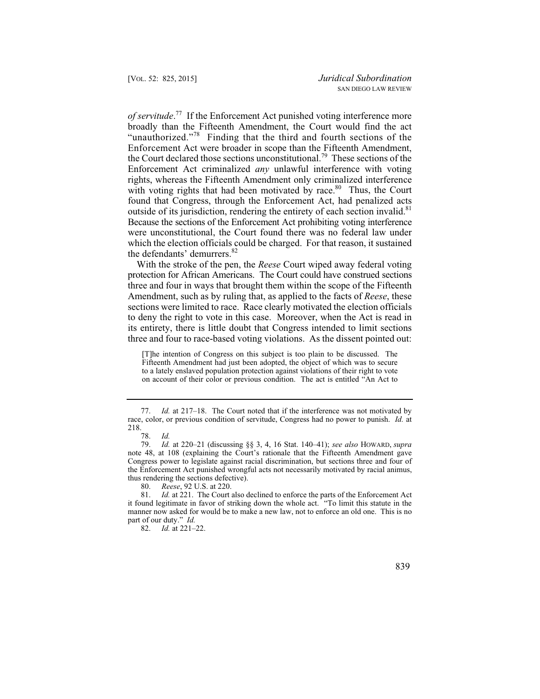Because the sections of the Enforcement Act prohibiting voting interference *of servitude*. 77 If the Enforcement Act punished voting interference more broadly than the Fifteenth Amendment, the Court would find the act "unauthorized."78 Finding that the third and fourth sections of the Enforcement Act were broader in scope than the Fifteenth Amendment, the Court declared those sections unconstitutional.<sup>79</sup> These sections of the Enforcement Act criminalized *any* unlawful interference with voting rights, whereas the Fifteenth Amendment only criminalized interference with voting rights that had been motivated by race.<sup>80</sup> Thus, the Court found that Congress, through the Enforcement Act, had penalized acts outside of its jurisdiction, rendering the entirety of each section invalid.<sup>81</sup> were unconstitutional, the Court found there was no federal law under which the election officials could be charged. For that reason, it sustained the defendants' demurrers.<sup>82</sup>

With the stroke of the pen, the *Reese* Court wiped away federal voting protection for African Americans. The Court could have construed sections three and four in ways that brought them within the scope of the Fifteenth Amendment, such as by ruling that, as applied to the facts of *Reese*, these sections were limited to race. Race clearly motivated the election officials to deny the right to vote in this case. Moreover, when the Act is read in its entirety, there is little doubt that Congress intended to limit sections three and four to race-based voting violations. As the dissent pointed out:

[T]he intention of Congress on this subject is too plain to be discussed. The Fifteenth Amendment had just been adopted, the object of which was to secure to a lately enslaved population protection against violations of their right to vote on account of their color or previous condition. The act is entitled "An Act to

 77. *Id.* at 217–18. The Court noted that if the interference was not motivated by race, color, or previous condition of servitude, Congress had no power to punish. *Id.* at 218.

 <sup>78.</sup> *Id.*

 Congress power to legislate against racial discrimination, but sections three and four of 79. *Id.* at 220–21 (discussing §§ 3, 4, 16 Stat. 140–41); *see also* HOWARD, *supra*  note 48, at 108 (explaining the Court's rationale that the Fifteenth Amendment gave the Enforcement Act punished wrongful acts not necessarily motivated by racial animus, thus rendering the sections defective).

<sup>80.</sup> *Reese*, 92 U.S. at 220.

<sup>81.</sup> *Id.* at 221. The Court also declined to enforce the parts of the Enforcement Act it found legitimate in favor of striking down the whole act. "To limit this statute in the manner now asked for would be to make a new law, not to enforce an old one. This is no part of our duty." *Id.*

 <sup>82.</sup> *Id.* at 221–22.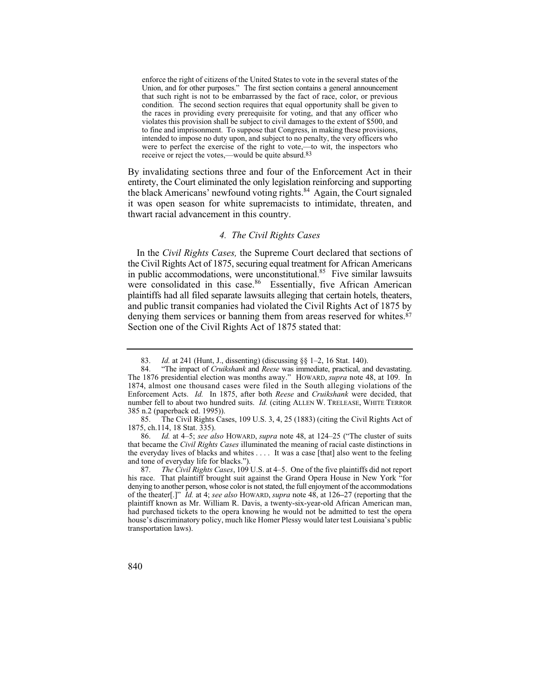enforce the right of citizens of the United States to vote in the several states of the Union, and for other purposes." The first section contains a general announcement that such right is not to be embarrassed by the fact of race, color, or previous condition. The second section requires that equal opportunity shall be given to the races in providing every prerequisite for voting, and that any officer who violates this provision shall be subject to civil damages to the extent of \$500, and to fine and imprisonment. To suppose that Congress, in making these provisions, intended to impose no duty upon, and subject to no penalty, the very officers who were to perfect the exercise of the right to vote,—to wit, the inspectors who receive or reject the votes,—would be quite absurd.83

 entirety, the Court eliminated the only legislation reinforcing and supporting By invalidating sections three and four of the Enforcement Act in their the black Americans' newfound voting rights.<sup>84</sup> Again, the Court signaled it was open season for white supremacists to intimidate, threaten, and thwart racial advancement in this country.

## *4. The Civil Rights Cases*

denying them services or banning them from areas reserved for whites.<sup>87</sup> In the *Civil Rights Cases,* the Supreme Court declared that sections of the Civil Rights Act of 1875, securing equal treatment for African Americans in public accommodations, were unconstitutional. $85$  Five similar lawsuits were consolidated in this case.<sup>86</sup> Essentially, five African American plaintiffs had all filed separate lawsuits alleging that certain hotels, theaters, and public transit companies had violated the Civil Rights Act of 1875 by Section one of the Civil Rights Act of 1875 stated that:

85. The Civil Rights Cases, 109 U.S. 3, 4, 25 (1883) (citing the Civil Rights Act of 1875, ch.114, 18 Stat. 335).

86. *Id.* at 4–5; *see also* HOWARD, *supra* note 48, at 124–25 ("The cluster of suits that became the *Civil Rights Cases* illuminated the meaning of racial caste distinctions in the everyday lives of blacks and whites . . . . It was a case [that] also went to the feeling and tone of everyday life for blacks.").

<sup>83.</sup> *Id.* at 241 (Hunt, J., dissenting) (discussing §§ 1–2, 16 Stat. 140).

<sup>84</sup>  1874, almost one thousand cases were filed in the South alleging violations of the 84. "The impact of *Cruikshank* and *Reese* was immediate, practical, and devastating. The 1876 presidential election was months away." HOWARD, *supra* note 48, at 109. In Enforcement Acts. *Id.* In 1875, after both *Reese* and *Cruikshank* were decided, that number fell to about two hundred suits. *Id.* (citing ALLEN W. TRELEASE, WHITE TERROR 385 n.2 (paperback ed. 1995)).

<sup>87.</sup> *The Civil Rights Cases*, 109 U.S. at 4–5. One of the five plaintiffs did not report his race. That plaintiff brought suit against the Grand Opera House in New York "for denying to another person, whose color is not stated, the full enjoyment of the accommodations of the theater[.]" *Id.* at 4; *see also* HOWARD, *supra* note 48, at 126**–**27 (reporting that the plaintiff known as Mr. William R. Davis, a twenty-six-year-old African American man, had purchased tickets to the opera knowing he would not be admitted to test the opera house's discriminatory policy, much like Homer Plessy would later test Louisiana's public transportation laws).

<sup>840</sup>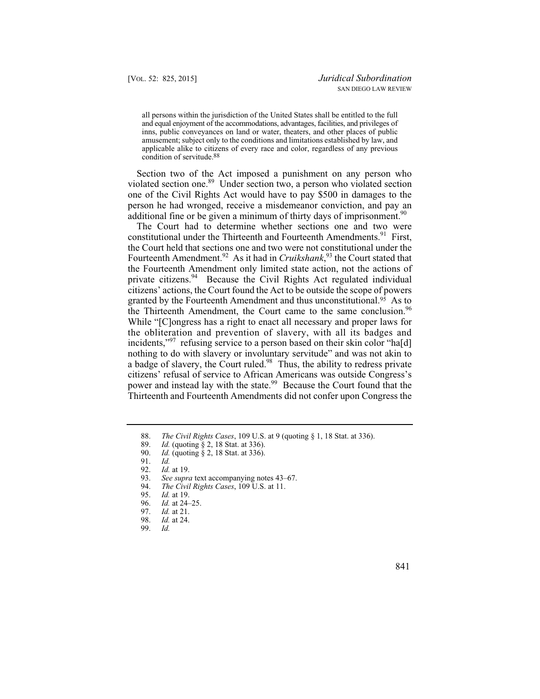all persons within the jurisdiction of the United States shall be entitled to the full and equal enjoyment of the accommodations, advantages, facilities, and privileges of inns, public conveyances on land or water, theaters, and other places of public amusement; subject only to the conditions and limitations established by law, and applicable alike to citizens of every race and color, regardless of any previous condition of servitude.88

Section two of the Act imposed a punishment on any person who violated section one.<sup>89</sup> Under section two, a person who violated section one of the Civil Rights Act would have to pay \$500 in damages to the person he had wronged, receive a misdemeanor conviction, and pay an additional fine or be given a minimum of thirty days of imprisonment.<sup>90</sup>

 Fourteenth Amendment.92 As it had in *Cruikshank*, 93 the Court stated that granted by the Fourteenth Amendment and thus unconstitutional.<sup>95</sup> As to The Court had to determine whether sections one and two were constitutional under the Thirteenth and Fourteenth Amendments.<sup>91</sup> First, the Court held that sections one and two were not constitutional under the the Fourteenth Amendment only limited state action, not the actions of private citizens.<sup>94</sup> Because the Civil Rights Act regulated individual citizens' actions, the Court found the Act to be outside the scope of powers the Thirteenth Amendment, the Court came to the same conclusion.<sup>96</sup> While "[Clongress has a right to enact all necessary and proper laws for the obliteration and prevention of slavery, with all its badges and incidents,"<sup>97</sup> refusing service to a person based on their skin color "hald] nothing to do with slavery or involuntary servitude" and was not akin to a badge of slavery, the Court ruled.98 Thus, the ability to redress private citizens' refusal of service to African Americans was outside Congress's power and instead lay with the state.<sup>99</sup> Because the Court found that the Thirteenth and Fourteenth Amendments did not confer upon Congress the

- 93. *See supra* text accompanying notes 43–67.<br>94. *The Civil Rights Cases*, 109 U.S. at 11.
- 94. *The Civil Rights Cases*, 109 U.S. at 11.
- 95. *Id.* at 19.
- 96. *Id.* at 24–25.<br>97. *Id.* at 21.
- 97. *Id.* at 21.<br>98. *Id.* at 24.
- *Id.* at 24.<br>*Id.*
- 99. *Id.*

<sup>88.</sup> *The Civil Rights Cases*, 109 U.S. at 9 (quoting § 1, 18 Stat. at 336).

<sup>89.</sup> *Id.* (quoting § 2, 18 Stat. at 336).<br>90. *Id.* (quoting § 2, 18 Stat. at 336).

<sup>90.</sup> *Id.* (quoting § 2, 18 Stat. at 336).

<sup>91.</sup> *Id.*

 <sup>92.</sup> *Id.* at 19.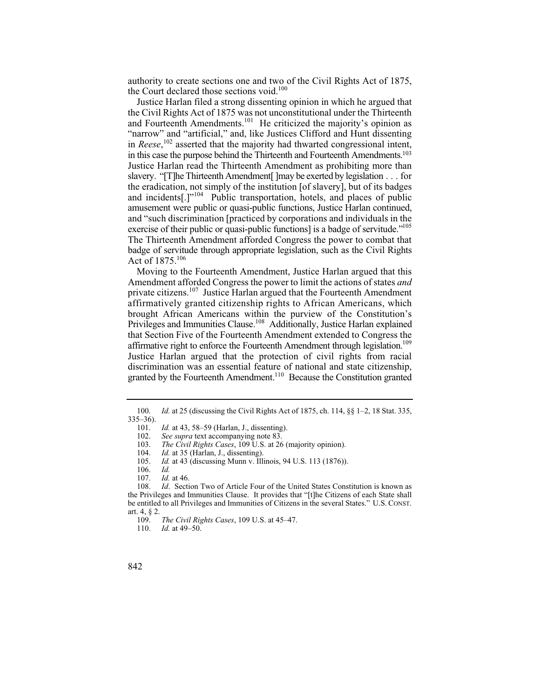authority to create sections one and two of the Civil Rights Act of 1875, the Court declared those sections void. $100$ 

 slavery. "[T]he Thirteenth Amendment[ ]may be exerted by legislation . . . for Justice Harlan filed a strong dissenting opinion in which he argued that the Civil Rights Act of 1875 was not unconstitutional under the Thirteenth and Fourteenth Amendments.<sup>101</sup> He criticized the majority's opinion as "narrow" and "artificial," and, like Justices Clifford and Hunt dissenting in *Reese*, 102 asserted that the majority had thwarted congressional intent, in this case the purpose behind the Thirteenth and Fourteenth Amendments.103 Justice Harlan read the Thirteenth Amendment as prohibiting more than the eradication, not simply of the institution [of slavery], but of its badges and incidents[.]"104 Public transportation, hotels, and places of public amusement were public or quasi-public functions, Justice Harlan continued, and "such discrimination [practiced by corporations and individuals in the exercise of their public or quasi-public functions] is a badge of servitude."<sup>105</sup> The Thirteenth Amendment afforded Congress the power to combat that badge of servitude through appropriate legislation, such as the Civil Rights Act of 1875.106

 Justice Harlan argued that the protection of civil rights from racial Moving to the Fourteenth Amendment, Justice Harlan argued that this Amendment afforded Congress the power to limit the actions of states *and*  private citizens.<sup>107</sup> Justice Harlan argued that the Fourteenth Amendment affirmatively granted citizenship rights to African Americans, which brought African Americans within the purview of the Constitution's Privileges and Immunities Clause.<sup>108</sup> Additionally, Justice Harlan explained that Section Five of the Fourteenth Amendment extended to Congress the affirmative right to enforce the Fourteenth Amendment through legislation.<sup>109</sup> discrimination was an essential feature of national and state citizenship, granted by the Fourteenth Amendment.110 Because the Constitution granted

<sup>100.</sup> *Id.* at 25 (discussing the Civil Rights Act of 1875, ch. 114, §§ 1–2, 18 Stat. 335,  $335-36$ ).<br>101.

<sup>101.</sup> *Id.* at 43, 58–59 (Harlan, J., dissenting).<br>102. *See supra* text accompanying note 83.

<sup>102.</sup> *See supra* text accompanying note 83.<br>103. *The Civil Rights Cases*, 109 U.S. at 26

<sup>103.</sup> *The Civil Rights Cases*, 109 U.S. at 26 (majority opinion).

<sup>104.</sup> *Id.* at 35 (Harlan, J., dissenting).<br>105. *Id.* at 43 (discussing Munn v. Ill.

*Id.* at 43 (discussing Munn v. Illinois, 94 U.S. 113 (1876)).

<sup>106.</sup> *Id.*

*Id.* at 46.

<sup>108.</sup> *Id*. Section Two of Article Four of the United States Constitution is known as the Privileges and Immunities Clause. It provides that "[t]he Citizens of each State shall be entitled to all Privileges and Immunities of Citizens in the several States." U.S. CONST. art. 4, § 2.

 <sup>109.</sup> *The Civil Rights Cases*, 109 U.S. at 45–47.

*Id.* at 49–50.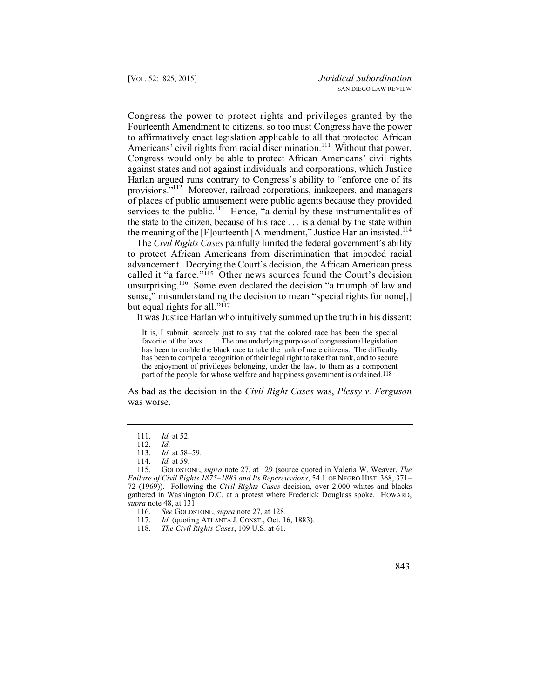Congress the power to protect rights and privileges granted by the Fourteenth Amendment to citizens, so too must Congress have the power to affirmatively enact legislation applicable to all that protected African Americans' civil rights from racial discrimination.<sup>111</sup> Without that power, Congress would only be able to protect African Americans' civil rights against states and not against individuals and corporations, which Justice Harlan argued runs contrary to Congress's ability to "enforce one of its provisions."112 Moreover, railroad corporations, innkeepers, and managers of places of public amusement were public agents because they provided services to the public.<sup>113</sup> Hence, "a denial by these instrumentalities of the state to the citizen, because of his race . . . is a denial by the state within the meaning of the [F]ourteenth [A]mendment," Justice Harlan insisted.<sup>114</sup>

The *Civil Rights Cases* painfully limited the federal government's ability to protect African Americans from discrimination that impeded racial advancement. Decrying the Court's decision, the African American press called it "a farce."115 Other news sources found the Court's decision unsurprising.<sup>116</sup> Some even declared the decision "a triumph of law and sense," misunderstanding the decision to mean "special rights for none.] but equal rights for all."117

It was Justice Harlan who intuitively summed up the truth in his dissent:

It is, I submit, scarcely just to say that the colored race has been the special favorite of the laws . . . . The one underlying purpose of congressional legislation has been to enable the black race to take the rank of mere citizens. The difficulty has been to compel a recognition of their legal right to take that rank, and to secure the enjoyment of privileges belonging, under the law, to them as a component part of the people for whose welfare and happiness government is ordained.<sup>118</sup>

As bad as the decision in the *Civil Right Cases* was, *Plessy v. Ferguson*  was worse.

117. *Id.* (quoting ATLANTA J. CONST., Oct. 16, 1883).<br>118. *The Civil Rights Cases*, 109 U.S. at 61.

 <sup>111.</sup> *Id.* at 52.

<sup>112.</sup> *Id*.

 <sup>113.</sup> *Id.* at 58–59.

<sup>114.</sup> *Id.* at 59.

 72 (1969)). Following the *Civil Rights Cases* decision, over 2,000 whites and blacks 115. GOLDSTONE, *supra* note 27, at 129 (source quoted in Valeria W. Weaver, *The Failure of Civil Rights 1875–1883 and Its Repercussions*, 54 J. OF NEGRO HIST. 368, 371– gathered in Washington D.C. at a protest where Frederick Douglass spoke. HOWARD, *supra* note 48, at 131.

<sup>116.</sup> *See* GOLDSTONE, *supra* note 27, at 128.

<sup>118.</sup> *The Civil Rights Cases*, 109 U.S. at 61.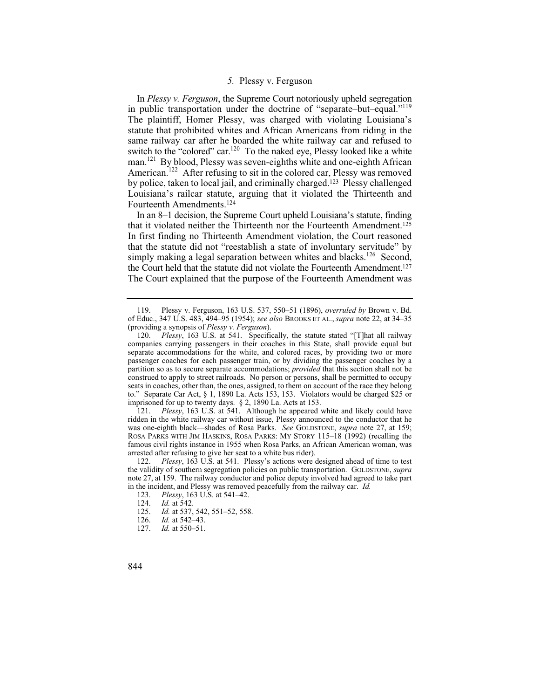## *5.* Plessy v. Ferguson

In *Plessy v. Ferguson*, the Supreme Court notoriously upheld segregation in public transportation under the doctrine of "separate–but–equal."119 The plaintiff, Homer Plessy, was charged with violating Louisiana's statute that prohibited whites and African Americans from riding in the same railway car after he boarded the white railway car and refused to switch to the "colored" car.<sup>120</sup> To the naked eye, Plessy looked like a white man.<sup>121</sup> By blood, Plessy was seven-eighths white and one-eighth African American.<sup>122</sup> After refusing to sit in the colored car, Plessy was removed by police, taken to local jail, and criminally charged.123 Plessy challenged Louisiana's railcar statute, arguing that it violated the Thirteenth and Fourteenth Amendments.124

In an 8–1 decision, the Supreme Court upheld Louisiana's statute, finding that it violated neither the Thirteenth nor the Fourteenth Amendment.125 In first finding no Thirteenth Amendment violation, the Court reasoned that the statute did not "reestablish a state of involuntary servitude" by simply making a legal separation between whites and blacks.<sup>126</sup> Second, the Court held that the statute did not violate the Fourteenth Amendment.127 The Court explained that the purpose of the Fourteenth Amendment was

 ridden in the white railway car without issue, Plessy announced to the conductor that he 121. *Plessy*, 163 U.S. at 541. Although he appeared white and likely could have was one-eighth black—shades of Rosa Parks. *See* GOLDSTONE, *supra* note 27, at 159; ROSA PARKS WITH JIM HASKINS, ROSA PARKS: MY STORY 115–18 (1992) (recalling the famous civil rights instance in 1955 when Rosa Parks, an African American woman, was arrested after refusing to give her seat to a white bus rider).

- 125. *Id.* at 537, 542, 551–52, 558.<br>126. *Id.* at 542–43.
- 126. *Id.* at 542–43.<br>127. *Id.* at 550–51.
- *Id.* at 550–51.
- 844

<sup>119.</sup> Plessy v. Ferguson, 163 U.S. 537, 550–51 (1896), *overruled by* Brown v. Bd. of Educ., 347 U.S. 483, 494–95 (1954); *see also* BROOKS ET AL., *supra* note 22, at 34–35 (providing a synopsis of *Plessy v. Ferguson*).

 imprisoned for up to twenty days. § 2, 1890 La. Acts at 153. 120. *Plessy*, 163 U.S. at 541. Specifically, the statute stated "[T]hat all railway companies carrying passengers in their coaches in this State, shall provide equal but separate accommodations for the white, and colored races, by providing two or more passenger coaches for each passenger train, or by dividing the passenger coaches by a partition so as to secure separate accommodations; *provided* that this section shall not be construed to apply to street railroads. No person or persons, shall be permitted to occupy seats in coaches, other than, the ones, assigned, to them on account of the race they belong to." Separate Car Act, § 1, 1890 La. Acts 153, 153. Violators would be charged \$25 or

<sup>122.</sup> *Plessy*, 163 U.S. at 541. Plessy's actions were designed ahead of time to test the validity of southern segregation policies on public transportation. GOLDSTONE, *supra*  note 27, at 159. The railway conductor and police deputy involved had agreed to take part in the incident, and Plessy was removed peacefully from the railway car. *Id.*

 <sup>123.</sup> *Plessy*, 163 U.S. at 541–42.

<sup>124.</sup> *Id.* at 542.<br>125. *Id.* at 537.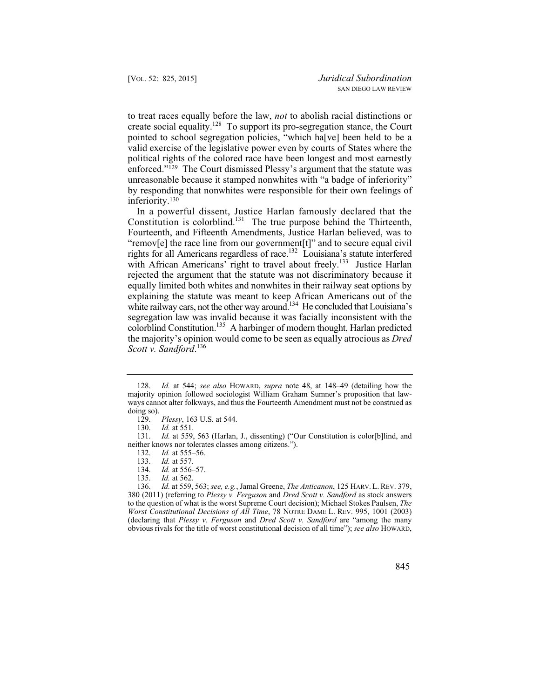to treat races equally before the law, *not* to abolish racial distinctions or create social equality.128 To support its pro-segregation stance, the Court pointed to school segregation policies, "which ha[ve] been held to be a valid exercise of the legislative power even by courts of States where the political rights of the colored race have been longest and most earnestly enforced."129 The Court dismissed Plessy's argument that the statute was unreasonable because it stamped nonwhites with "a badge of inferiority" by responding that nonwhites were responsible for their own feelings of inferiority.130

colorblind Constitution.<sup>135</sup> A harbinger of modern thought, Harlan predicted In a powerful dissent, Justice Harlan famously declared that the Constitution is colorblind.<sup>131</sup> The true purpose behind the Thirteenth, Fourteenth, and Fifteenth Amendments, Justice Harlan believed, was to "remov[e] the race line from our government[t]" and to secure equal civil rights for all Americans regardless of race.132 Louisiana's statute interfered with African Americans' right to travel about freely.<sup>133</sup> Justice Harlan rejected the argument that the statute was not discriminatory because it equally limited both whites and nonwhites in their railway seat options by explaining the statute was meant to keep African Americans out of the white railway cars, not the other way around.<sup>134</sup> He concluded that Louisiana's segregation law was invalid because it was facially inconsistent with the the majority's opinion would come to be seen as equally atrocious as *Dred Scott v. Sandford*. 136

 <sup>128.</sup> *Id.* at 544; *see also* HOWARD, *supra* note 48, at 148–49 (detailing how the majority opinion followed sociologist William Graham Sumner's proposition that lawways cannot alter folkways, and thus the Fourteenth Amendment must not be construed as doing so).

<sup>129.</sup> *Plessy*, 163 U.S. at 544.

<sup>130.</sup> *Id.* at 551.

<sup>131.</sup> *Id.* at 559, 563 (Harlan, J., dissenting) ("Our Constitution is color[b]lind, and neither knows nor tolerates classes among citizens.").

<sup>132.</sup> *Id.* at 555–56.<br>133. *Id.* at 557.

<sup>133.</sup> *Id.* at 557.<br>134. *Id.* at 556–

<sup>134.</sup> *Id.* at 556–57.<br>135. *Id.* at 562.

*Id.* at 562.

<sup>136.</sup> *Id.* at 559, 563; *see, e.g.*, Jamal Greene, *The Anticanon*, 125 HARV. L. REV. 379, 380 (2011) (referring to *Plessy v. Ferguson* and *Dred Scott v. Sandford* as stock answers to the question of what is the worst Supreme Court decision); Michael Stokes Paulsen, *The Worst Constitutional Decisions of All Time*, 78 NOTRE DAME L. REV. 995, 1001 (2003) (declaring that *Plessy v. Ferguson* and *Dred Scott v. Sandford* are "among the many obvious rivals for the title of worst constitutional decision of all time"); *see also* HOWARD,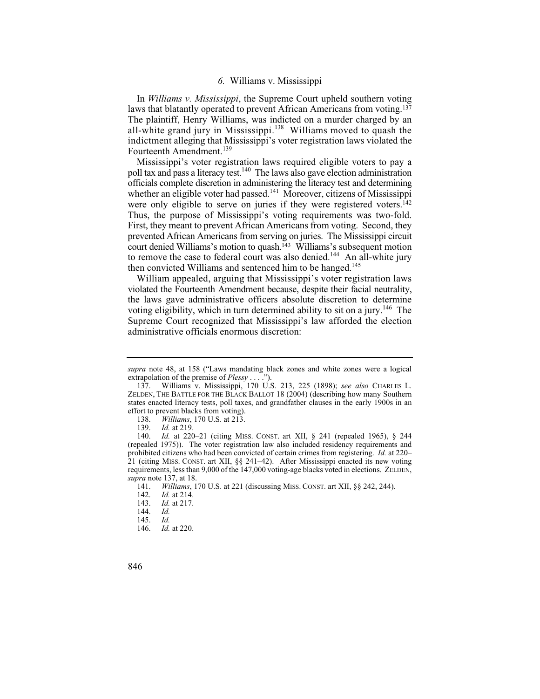## *6.* Williams v. Mississippi

all-white grand jury in Mississippi.<sup>138</sup> Williams moved to quash the In *Williams v. Mississippi*, the Supreme Court upheld southern voting laws that blatantly operated to prevent African Americans from voting.137 The plaintiff, Henry Williams, was indicted on a murder charged by an indictment alleging that Mississippi's voter registration laws violated the Fourteenth Amendment.<sup>139</sup>

Mississippi's voter registration laws required eligible voters to pay a poll tax and pass a literacy test.<sup>140</sup> The laws also gave election administration officials complete discretion in administering the literacy test and determining whether an eligible voter had passed.<sup>141</sup> Moreover, citizens of Mississippi were only eligible to serve on juries if they were registered voters.<sup>142</sup> Thus, the purpose of Mississippi's voting requirements was two-fold. First, they meant to prevent African Americans from voting. Second, they prevented African Americans from serving on juries. The Mississippi circuit court denied Williams's motion to quash.<sup>143</sup> Williams's subsequent motion to remove the case to federal court was also denied.<sup>144</sup> An all-white jury then convicted Williams and sentenced him to be hanged.<sup>145</sup>

voting eligibility, which in turn determined ability to sit on a jury.<sup>146</sup> The William appealed, arguing that Mississippi's voter registration laws violated the Fourteenth Amendment because, despite their facial neutrality, the laws gave administrative officers absolute discretion to determine Supreme Court recognized that Mississippi's law afforded the election administrative officials enormous discretion:

*supra* note 48, at 158 ("Laws mandating black zones and white zones were a logical extrapolation of the premise of *Plessy* . . . .").

<sup>137.</sup> Williams v. Mississippi, 170 U.S. 213, 225 (1898); *see also* CHARLES L. ZELDEN, THE BATTLE FOR THE BLACK BALLOT 18 (2004) (describing how many Southern states enacted literacy tests, poll taxes, and grandfather clauses in the early 1900s in an effort to prevent blacks from voting).

<sup>138.</sup> *Williams*, 170 U.S. at 213.

<sup>139.</sup> *Id.* at 219<br>140. *Id.* at 220

 prohibited citizens who had been convicted of certain crimes from registering. *Id.* at 220– Id. at 220–21 (citing MISS. CONST. art XII, § 241 (repealed 1965), § 244 (repealed 1975)). The voter registration law also included residency requirements and 21 (citing MISS. CONST. art XII, §§ 241–42). After Mississippi enacted its new voting requirements, less than 9,000 of the 147,000 voting-age blacks voted in elections. ZELDEN, *supra* note 137, at 18.

 <sup>141.</sup> *Williams*, 170 U.S. at 221 (discussing MISS. CONST. art XII, §§ 242, 244).

<sup>142.</sup> *Id.* at 214.<br>143. *Id.* at 217.

<sup>143.</sup> *Id.* at 217.

<sup>144.</sup> *Id.*

 <sup>145.</sup> *Id. Id.* at 220.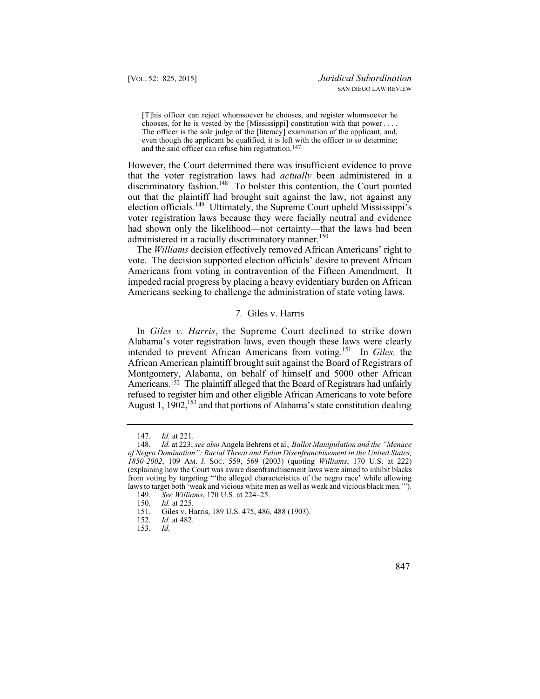[T]his officer can reject whomsoever he chooses, and register whomsoever he chooses, for he is vested by the [Mississippi] constitution with that power . . . . The officer is the sole judge of the [literacy] examination of the applicant, and, even though the applicant be qualified, it is left with the officer to so determine; and the said officer can refuse him registration.147

However, the Court determined there was insufficient evidence to prove that the voter registration laws had *actually* been administered in a discriminatory fashion.<sup>148</sup> To bolster this contention, the Court pointed out that the plaintiff had brought suit against the law, not against any election officials.<sup>149</sup> Ultimately, the Supreme Court upheld Mississippi's voter registration laws because they were facially neutral and evidence had shown only the likelihood—not certainty—that the laws had been administered in a racially discriminatory manner.<sup>150</sup>

The *Williams* decision effectively removed African Americans' right to vote. The decision supported election officials' desire to prevent African Americans from voting in contravention of the Fifteen Amendment. It impeded racial progress by placing a heavy evidentiary burden on African Americans seeking to challenge the administration of state voting laws.

#### *7.* Giles v. Harris

In *Giles v. Harris*, the Supreme Court declined to strike down Alabama's voter registration laws, even though these laws were clearly intended to prevent African Americans from voting.151 In *Giles,* the African American plaintiff brought suit against the Board of Registrars of Montgomery, Alabama, on behalf of himself and 5000 other African Americans.152 The plaintiff alleged that the Board of Registrars had unfairly refused to register him and other eligible African Americans to vote before August 1, 1902,<sup>153</sup> and that portions of Alabama's state constitution dealing

<sup>153.</sup> *Id.* 



<sup>147.</sup> *Id.* at 221.<br>148. *Id.* at 223:

<sup>148.</sup> *Id.* at 223; *see also* Angela Behrens et al.*, Ballot Manipulation and the "Menace of Negro Domination": Racial Threat and Felon Disenfranchisement in the United States, 1850-2002*, 109 AM. J. SOC. 559, 569 (2003) (quoting *Williams*, 170 U.S. at 222) (explaining how the Court was aware disenfranchisement laws were aimed to inhibit blacks from voting by targeting "'the alleged characteristics of the negro race' while allowing laws to target both 'weak and vicious white men as well as weak and vicious black men.'").

<sup>149.</sup> *See Williams*, 170 U.S. at 224–25.

<sup>150.</sup> *Id.* at 225.<br>151. Giles v. H

<sup>151.</sup> Giles v. Harris, 189 U.S. 475, 486, 488 (1903).<br>152. Id. at 482.

*Id.* at 482.<br>*Id.*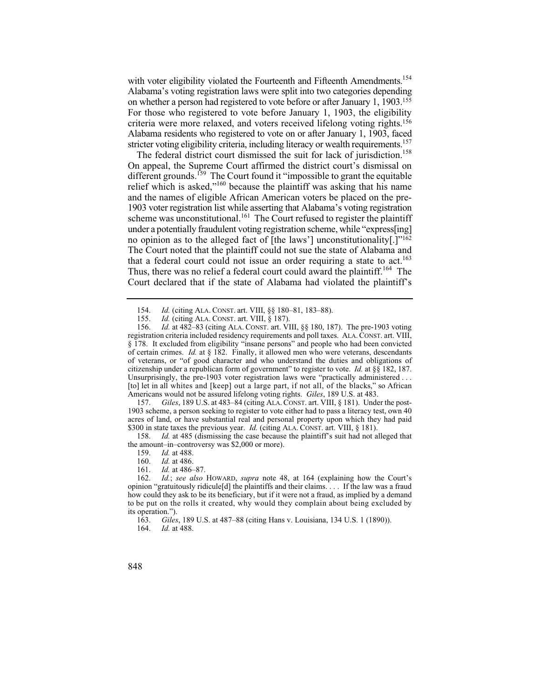with voter eligibility violated the Fourteenth and Fifteenth Amendments.<sup>154</sup> Alabama's voting registration laws were split into two categories depending on whether a person had registered to vote before or after January 1, 1903.155 For those who registered to vote before January 1, 1903, the eligibility criteria were more relaxed, and voters received lifelong voting rights.156 Alabama residents who registered to vote on or after January 1, 1903, faced stricter voting eligibility criteria, including literacy or wealth requirements.<sup>157</sup>

 under a potentially fraudulent voting registration scheme, while "express[ing] Thus, there was no relief a federal court could award the plaintiff.<sup>164</sup> The The federal district court dismissed the suit for lack of jurisdiction.<sup>158</sup> On appeal, the Supreme Court affirmed the district court's dismissal on different grounds.<sup>159</sup> The Court found it "impossible to grant the equitable" relief which is asked,"<sup>160</sup> because the plaintiff was asking that his name and the names of eligible African American voters be placed on the pre-1903 voter registration list while asserting that Alabama's voting registration scheme was unconstitutional.<sup>161</sup> The Court refused to register the plaintiff no opinion as to the alleged fact of [the laws'] unconstitutionality[.]"162 The Court noted that the plaintiff could not sue the state of Alabama and that a federal court could not issue an order requiring a state to act.<sup>163</sup> Court declared that if the state of Alabama had violated the plaintiff's

 [to] let in all whites and [keep] out a large part, if not all, of the blacks," so African 156. *Id.* at 482–83 (citing ALA. CONST. art. VIII, §§ 180, 187). The pre-1903 voting registration criteria included residency requirements and poll taxes. ALA. CONST. art. VIII, § 178. It excluded from eligibility "insane persons" and people who had been convicted of certain crimes. *Id.* at § 182. Finally, it allowed men who were veterans, descendants of veterans, or "of good character and who understand the duties and obligations of citizenship under a republican form of government" to register to vote. *Id.* at §§ 182, 187. Unsurprisingly, the pre-1903 voter registration laws were "practically administered ... Americans would not be assured lifelong voting rights. *Giles*, 189 U.S. at 483.

Giles, 189 U.S. at 483–84 (citing ALA. CONST. art. VIII, § 181). Under the post-1903 scheme, a person seeking to register to vote either had to pass a literacy test, own 40 acres of land, or have substantial real and personal property upon which they had paid \$300 in state taxes the previous year. *Id.* (citing ALA. CONST. art. VIII, § 181).

158. *Id.* at 485 (dismissing the case because the plaintiff's suit had not alleged that the amount–in–controversy was \$2,000 or more).<br>159.  $Id.$  at 488.

- 159. *Id.* at 488.<br>160. *Id.* at 486.
- *Id.* at 486.
- 161. *Id.* at 486–87.

 to be put on the rolls it created, why would they complain about being excluded by 162. *Id.*; *see also* HOWARD, *supra* note 48, at 164 (explaining how the Court's opinion "gratuitously ridicule[d] the plaintiffs and their claims. . . . If the law was a fraud how could they ask to be its beneficiary, but if it were not a fraud, as implied by a demand its operation.").<br>163. Giles

163. *Giles*, 189 U.S. at 487–88 (citing Hans v. Louisiana, 134 U.S. 1 (1890)).

848

<sup>154.</sup> *Id.* (citing ALA. CONST. art. VIII, §§ 180–81, 183–88).<br>155. *Id.* (citing ALA. CONST. art. VIII. 8 187).

<sup>155.</sup> *Id.* (citing ALA. CONST. art. VIII, § 187).

*Id.* at 488.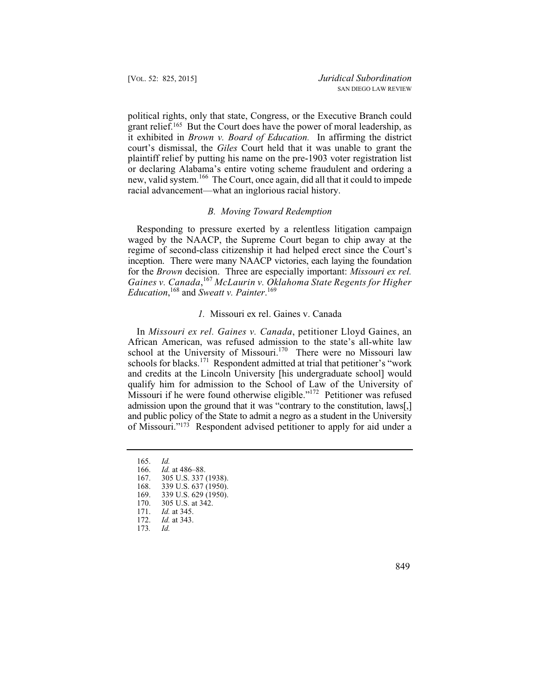grant relief.165 But the Court does have the power of moral leadership, as  it exhibited in *Brown v. Board of Education.* In affirming the district political rights, only that state, Congress, or the Executive Branch could court's dismissal, the *Giles* Court held that it was unable to grant the plaintiff relief by putting his name on the pre-1903 voter registration list or declaring Alabama's entire voting scheme fraudulent and ordering a new, valid system.166 The Court, once again, did all that it could to impede racial advancement—what an inglorious racial history.

## *B. Moving Toward Redemption*

Responding to pressure exerted by a relentless litigation campaign waged by the NAACP, the Supreme Court began to chip away at the regime of second-class citizenship it had helped erect since the Court's inception. There were many NAACP victories, each laying the foundation for the *Brown* decision. Three are especially important: *Missouri ex rel. Gaines v. Canada*, <sup>167</sup>*McLaurin v. Oklahoma State Regents for Higher Education*, 168 and *Sweatt v. Painter*. 169

## *1.* Missouri ex rel. Gaines v. Canada

In *Missouri ex rel. Gaines v. Canada*, petitioner Lloyd Gaines, an African American, was refused admission to the state's all-white law school at the University of Missouri.<sup>170</sup> There were no Missouri law schools for blacks.<sup>171</sup> Respondent admitted at trial that petitioner's "work" and credits at the Lincoln University [his undergraduate school] would qualify him for admission to the School of Law of the University of Missouri if he were found otherwise eligible."<sup>172</sup> Petitioner was refused admission upon the ground that it was "contrary to the constitution, laws[,] and public policy of the State to admit a negro as a student in the University of Missouri."173 Respondent advised petitioner to apply for aid under a

- 167. 305 U.S. 337 (1938).
- 168. 339 U.S. 637 (1950).<br>169. 339 U.S. 629 (1950).
- 169. 339 U.S. 629 (1950).<br>170. 305 U.S. at 342.
- 170. 305 U.S. at 342.<br>171. *Id.* at 345.
- 171. *Id.* at 345.
- *Id.* at 343.<br>*Id.*
- 173*. Id.*

849

<sup>165.</sup> *Id.*

 <sup>166.</sup> *Id.* at 486–88.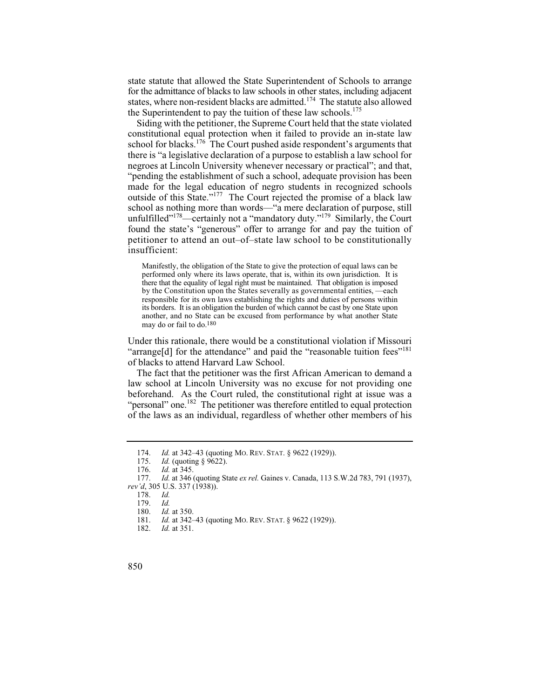state statute that allowed the State Superintendent of Schools to arrange for the admittance of blacks to law schools in other states, including adjacent states, where non-resident blacks are admitted.<sup>174</sup> The statute also allowed the Superintendent to pay the tuition of these law schools.<sup>175</sup>

Siding with the petitioner, the Supreme Court held that the state violated constitutional equal protection when it failed to provide an in-state law school for blacks.<sup>176</sup> The Court pushed aside respondent's arguments that there is "a legislative declaration of a purpose to establish a law school for negroes at Lincoln University whenever necessary or practical"; and that, "pending the establishment of such a school, adequate provision has been made for the legal education of negro students in recognized schools outside of this State."177 The Court rejected the promise of a black law school as nothing more than words—"a mere declaration of purpose, still unfulfilled"<sup>178</sup>—certainly not a "mandatory duty."<sup>179</sup> Similarly, the Court found the state's "generous" offer to arrange for and pay the tuition of petitioner to attend an out–of–state law school to be constitutionally insufficient:

 Manifestly, the obligation of the State to give the protection of equal laws can be performed only where its laws operate, that is, within its own jurisdiction. It is there that the equality of legal right must be maintained. That obligation is imposed by the Constitution upon the States severally as governmental entities, —each responsible for its own laws establishing the rights and duties of persons within its borders. It is an obligation the burden of which cannot be cast by one State upon another, and no State can be excused from performance by what another State may do or fail to do.180

Under this rationale, there would be a constitutional violation if Missouri "arrange[d] for the attendance" and paid the "reasonable tuition fees"<sup>181</sup> of blacks to attend Harvard Law School.

The fact that the petitioner was the first African American to demand a law school at Lincoln University was no excuse for not providing one beforehand. As the Court ruled, the constitutional right at issue was a "personal" one.<sup>182</sup> The petitioner was therefore entitled to equal protection of the laws as an individual, regardless of whether other members of his

*Id.* at 351.



<sup>174.</sup> *Id.* at 342–43 (quoting Mo. REV. STAT. § 9622 (1929)).<br>175. *Id.* (quoting § 9622).

*Id.* (quoting § 9622).

<sup>176.</sup> *Id.* at 345.

<sup>177.</sup> *Id.* at 346 (quoting State *ex rel.* Gaines v. Canada, 113 S.W.2d 783, 791 (1937), *rev'd*, 305 U.S. 337 (1938)).

<sup>178.</sup> *Id.*

 <sup>179.</sup> *Id.*

 <sup>180.</sup> *Id.* at 350.

<sup>181.</sup> *Id.* at 342–43 (quoting Mo. REV. STAT. § 9622 (1929)).<br>182. *Id.* at 351.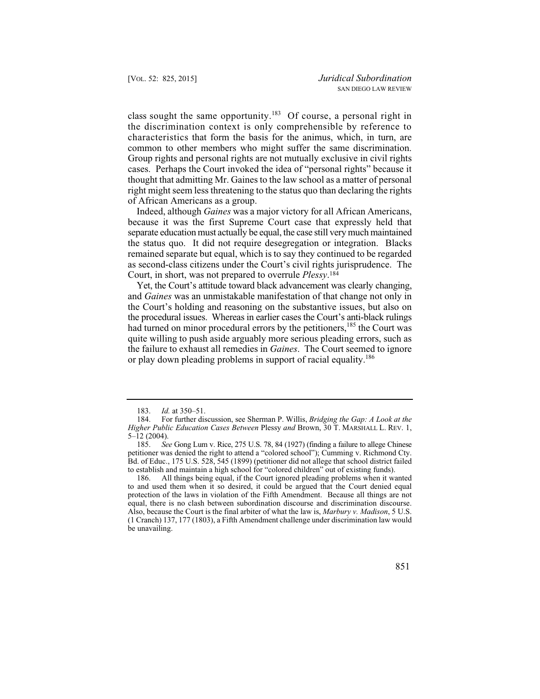class sought the same opportunity.<sup>183</sup> Of course, a personal right in the discrimination context is only comprehensible by reference to characteristics that form the basis for the animus, which, in turn, are common to other members who might suffer the same discrimination. Group rights and personal rights are not mutually exclusive in civil rights cases. Perhaps the Court invoked the idea of "personal rights" because it thought that admitting Mr. Gaines to the law school as a matter of personal right might seem less threatening to the status quo than declaring the rights of African Americans as a group.

Indeed, although *Gaines* was a major victory for all African Americans, because it was the first Supreme Court case that expressly held that separate education must actually be equal, the case still very much maintained the status quo. It did not require desegregation or integration. Blacks remained separate but equal, which is to say they continued to be regarded as second-class citizens under the Court's civil rights jurisprudence. The Court, in short, was not prepared to overrule *Plessy*. 184

Yet, the Court's attitude toward black advancement was clearly changing, and *Gaines* was an unmistakable manifestation of that change not only in the Court's holding and reasoning on the substantive issues, but also on the procedural issues. Whereas in earlier cases the Court's anti-black rulings had turned on minor procedural errors by the petitioners,<sup>185</sup> the Court was quite willing to push aside arguably more serious pleading errors, such as the failure to exhaust all remedies in *Gaines*. The Court seemed to ignore or play down pleading problems in support of racial equality.<sup>186</sup>

186. All things being equal, if the Court ignored pleading problems when it wanted to and used them when it so desired, it could be argued that the Court denied equal protection of the laws in violation of the Fifth Amendment. Because all things are not equal, there is no clash between subordination discourse and discrimination discourse. Also, because the Court is the final arbiter of what the law is, *Marbury v. Madison*, 5 U.S. (1 Cranch) 137, 177 (1803), a Fifth Amendment challenge under discrimination law would be unavailing.

 <sup>183.</sup> *Id.* at 350–51.

<sup>184.</sup> For further discussion, see Sherman P. Willis, *Bridging the Gap: A Look at the Higher Public Education Cases Between* Plessy *and* Brown, 30 T. MARSHALL L. REV. 1,  $5-12$  (2004).<br>185. Se

See Gong Lum v. Rice, 275 U.S. 78, 84 (1927) (finding a failure to allege Chinese petitioner was denied the right to attend a "colored school"); Cumming v. Richmond Cty. Bd. of Educ., 175 U.S. 528, 545 (1899) (petitioner did not allege that school district failed to establish and maintain a high school for "colored children" out of existing funds).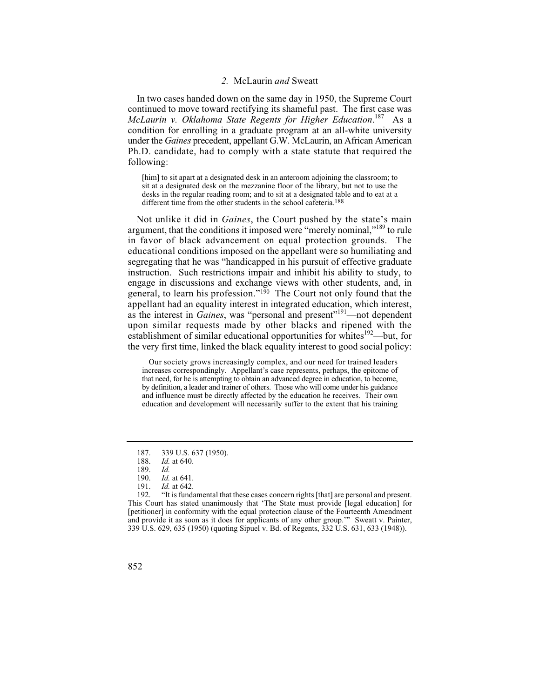## *2.* McLaurin *and* Sweatt

In two cases handed down on the same day in 1950, the Supreme Court continued to move toward rectifying its shameful past. The first case was *McLaurin v. Oklahoma State Regents for Higher Education*. 187 As a condition for enrolling in a graduate program at an all-white university under the *Gaines* precedent, appellant G.W. McLaurin, an African American Ph.D. candidate, had to comply with a state statute that required the following:

[him] to sit apart at a designated desk in an anteroom adjoining the classroom; to sit at a designated desk on the mezzanine floor of the library, but not to use the desks in the regular reading room; and to sit at a designated table and to eat at a different time from the other students in the school cafeteria.188

Not unlike it did in *Gaines*, the Court pushed by the state's main argument, that the conditions it imposed were "merely nominal,"189 to rule in favor of black advancement on equal protection grounds. The educational conditions imposed on the appellant were so humiliating and segregating that he was "handicapped in his pursuit of effective graduate instruction. Such restrictions impair and inhibit his ability to study, to engage in discussions and exchange views with other students, and, in general, to learn his profession."190 The Court not only found that the appellant had an equality interest in integrated education, which interest, as the interest in *Gaines*, was "personal and present"<sup>191</sup>—not dependent upon similar requests made by other blacks and ripened with the establishment of similar educational opportunities for whites $192$ —but, for the very first time, linked the black equality interest to good social policy:

 that need, for he is attempting to obtain an advanced degree in education, to become, and influence must be directly affected by the education he receives. Their own Our society grows increasingly complex, and our need for trained leaders increases correspondingly. Appellant's case represents, perhaps, the epitome of by definition, a leader and trainer of others. Those who will come under his guidance education and development will necessarily suffer to the extent that his training

<sup>187. 339</sup> U.S. 637 (1950).

<sup>188.</sup> *Id.* at 640.

<sup>189.</sup> *Id.*

 <sup>190.</sup> *Id.* at 641.

<sup>191.</sup> *Id.* at 642.

<sup>&</sup>quot;It is fundamental that these cases concern rights [that] are personal and present. This Court has stated unanimously that 'The State must provide [legal education] for [petitioner] in conformity with the equal protection clause of the Fourteenth Amendment and provide it as soon as it does for applicants of any other group.'" Sweatt v. Painter, 339 U.S. 629, 635 (1950) (quoting Sipuel v. Bd. of Regents, 332 U.S. 631, 633 (1948)).

<sup>852</sup>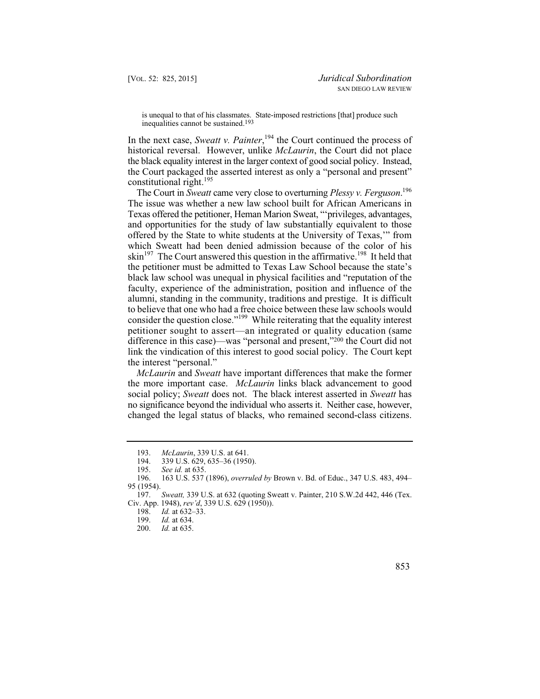is unequal to that of his classmates. State-imposed restrictions [that] produce such inequalities cannot be sustained.193

In the next case, *Sweatt v. Painter*, 194 the Court continued the process of historical reversal. However, unlike *McLaurin*, the Court did not place the black equality interest in the larger context of good social policy. Instead, the Court packaged the asserted interest as only a "personal and present" constitutional right.<sup>195</sup>

The Court in *Sweatt* came very close to overturning *Plessy v. Ferguson*. 196 The issue was whether a new law school built for African Americans in Texas offered the petitioner, Heman Marion Sweat, "'privileges, advantages, and opportunities for the study of law substantially equivalent to those offered by the State to white students at the University of Texas,'" from which Sweatt had been denied admission because of the color of his  $\sin^{197}$  The Court answered this question in the affirmative.<sup>198</sup> It held that the petitioner must be admitted to Texas Law School because the state's black law school was unequal in physical facilities and "reputation of the faculty, experience of the administration, position and influence of the alumni, standing in the community, traditions and prestige. It is difficult to believe that one who had a free choice between these law schools would consider the question close."199 While reiterating that the equality interest petitioner sought to assert—an integrated or quality education (same difference in this case)—was "personal and present,"200 the Court did not link the vindication of this interest to good social policy. The Court kept the interest "personal."

 changed the legal status of blacks, who remained second-class citizens. *McLaurin* and *Sweatt* have important differences that make the former the more important case. *McLaurin* links black advancement to good social policy; *Sweatt* does not. The black interest asserted in *Sweatt* has no significance beyond the individual who asserts it. Neither case, however,

 <sup>193.</sup> *McLaurin*, 339 U.S. at 641.

<sup>194. 339</sup> U.S. 629, 635–36 (1950).<br>195. See id. at 635.

<sup>195.</sup> *See id.* at 635.

<sup>196. 163</sup> U.S. 537 (1896), *overruled by* Brown v. Bd. of Educ., 347 U.S. 483, 494– 95 (1954).

<sup>197.</sup> *Sweatt,* 339 U.S. at 632 (quoting Sweatt v. Painter, 210 S.W.2d 442, 446 (Tex. Civ. App. 1948), *rev'd*, 339 U.S. 629 (1950)).

<sup>198.</sup> *Id.* at 632–33.

<sup>199.</sup> *Id.* at 634.

*Id.* at 635.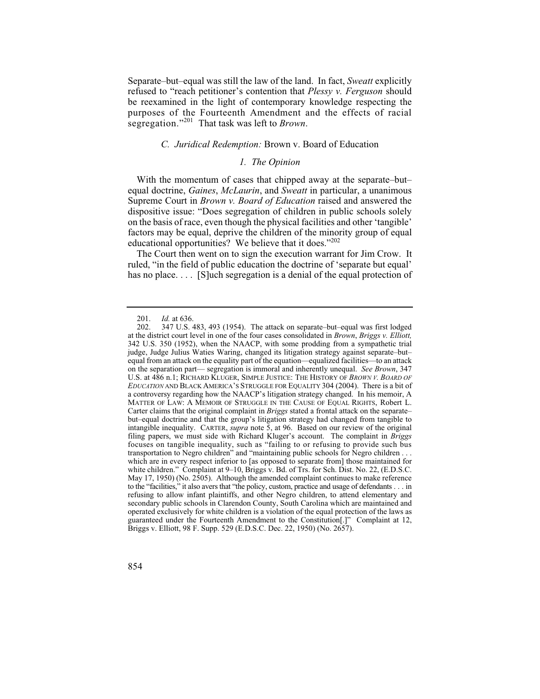Separate–but–equal was still the law of the land. In fact, *Sweatt* explicitly refused to "reach petitioner's contention that *Plessy v. Ferguson* should be reexamined in the light of contemporary knowledge respecting the purposes of the Fourteenth Amendment and the effects of racial segregation."201 That task was left to *Brown*.

## *C. Juridical Redemption:* Brown v. Board of Education

#### *1. The Opinion*

With the momentum of cases that chipped away at the separate–but– equal doctrine, *Gaines*, *McLaurin*, and *Sweatt* in particular, a unanimous Supreme Court in *Brown v. Board of Education* raised and answered the dispositive issue: "Does segregation of children in public schools solely on the basis of race, even though the physical facilities and other 'tangible' factors may be equal, deprive the children of the minority group of equal educational opportunities? We believe that it does."<sup>202</sup>

The Court then went on to sign the execution warrant for Jim Crow. It ruled, "in the field of public education the doctrine of 'separate but equal' has no place.... [S] uch segregation is a denial of the equal protection of

<sup>201.</sup> *Id.* at 636.<br>202. 347 U.S.

 to the "facilities," it also avers that "the policy, custom, practice and usage of defendants . . . in 347 U.S. 483, 493 (1954). The attack on separate–but–equal was first lodged at the district court level in one of the four cases consolidated in *Brown*, *Briggs v. Elliott,*  342 U.S. 350 (1952), when the NAACP, with some prodding from a sympathetic trial judge, Judge Julius Waties Waring, changed its litigation strategy against separate–but– equal from an attack on the equality part of the equation—equalized facilities—to an attack on the separation part— segregation is immoral and inherently unequal. *See Brown*, 347 U.S. at 486 n.1; RICHARD KLUGER, SIMPLE JUSTICE: THE HISTORY OF *BROWN V. BOARD OF EDUCATION* AND BLACK AMERICA'S STRUGGLE FOR EQUALITY 304 (2004). There is a bit of a controversy regarding how the NAACP's litigation strategy changed. In his memoir, A MATTER OF LAW: A MEMOIR OF STRUGGLE IN THE CAUSE OF EQUAL RIGHTS, Robert L. Carter claims that the original complaint in *Briggs* stated a frontal attack on the separate– but–equal doctrine and that the group's litigation strategy had changed from tangible to intangible inequality. CARTER, *supra* note 5, at 96. Based on our review of the original filing papers, we must side with Richard Kluger's account. The complaint in *Briggs*  focuses on tangible inequality, such as "failing to or refusing to provide such bus transportation to Negro children" and "maintaining public schools for Negro children . . . which are in every respect inferior to [as opposed to separate from] those maintained for white children." Complaint at 9–10, Briggs v. Bd. of Trs. for Sch. Dist. No. 22, (E.D.S.C. May 17, 1950) (No. 2505). Although the amended complaint continues to make reference refusing to allow infant plaintiffs, and other Negro children, to attend elementary and secondary public schools in Clarendon County, South Carolina which are maintained and operated exclusively for white children is a violation of the equal protection of the laws as guaranteed under the Fourteenth Amendment to the Constitution[.]" Complaint at 12, Briggs v. Elliott, 98 F. Supp. 529 (E.D.S.C. Dec. 22, 1950) (No. 2657).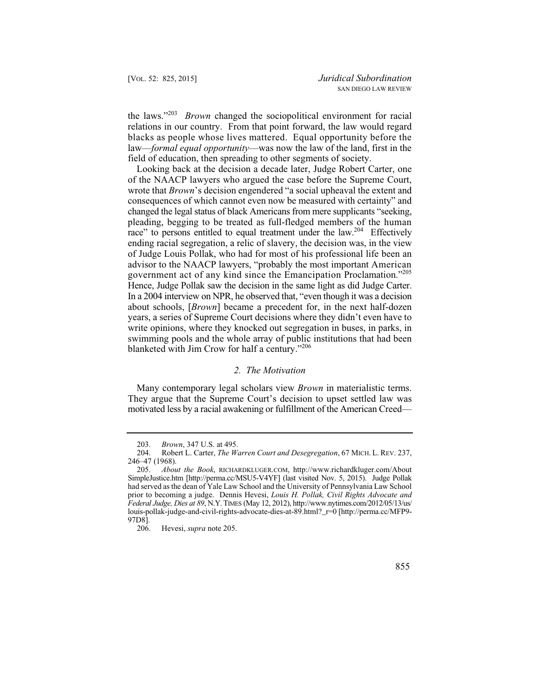the laws."<sup>203</sup>*Brown* changed the sociopolitical environment for racial relations in our country. From that point forward, the law would regard blacks as people whose lives mattered. Equal opportunity before the law—*formal equal opportunity*—was now the law of the land, first in the field of education, then spreading to other segments of society.

 Hence, Judge Pollak saw the decision in the same light as did Judge Carter. Looking back at the decision a decade later, Judge Robert Carter, one of the NAACP lawyers who argued the case before the Supreme Court, wrote that *Brown*'s decision engendered "a social upheaval the extent and consequences of which cannot even now be measured with certainty" and changed the legal status of black Americans from mere supplicants "seeking, pleading, begging to be treated as full-fledged members of the human race" to persons entitled to equal treatment under the law.<sup>204</sup> Effectively ending racial segregation, a relic of slavery, the decision was, in the view of Judge Louis Pollak, who had for most of his professional life been an advisor to the NAACP lawyers, "probably the most important American government act of any kind since the Emancipation Proclamation."205 In a 2004 interview on NPR, he observed that, "even though it was a decision about schools, [*Brown*] became a precedent for, in the next half-dozen years, a series of Supreme Court decisions where they didn't even have to write opinions, where they knocked out segregation in buses, in parks, in swimming pools and the whole array of public institutions that had been blanketed with Jim Crow for half a century."<sup>206</sup>

## *2. The Motivation*

Many contemporary legal scholars view *Brown* in materialistic terms. They argue that the Supreme Court's decision to upset settled law was motivated less by a racial awakening or fulfillment of the American Creed—

 <sup>203.</sup> *Brown*, 347 U.S. at 495.

<sup>204.</sup> Robert L. Carter, *The Warren Court and Desegregation*, 67 MICH. L. REV. 237, 246–47 (1968).

<sup>205.</sup> *About the Book*, RICHARDKLUGER.COM, http://www.richardkluger.com/About SimpleJustice.htm [http://perma.cc/MSU5-V4YF] (last visited Nov. 5, 2015). Judge Pollak had served as the dean of Yale Law School and the University of Pennsylvania Law School prior to becoming a judge. Dennis Hevesi, *Louis H. Pollak, Civil Rights Advocate and Federal Judge, Dies at 89*, N.Y. TIMES (May 12, 2012), http://www.nytimes.com/2012/05/13/us/ louis-pollak-judge-and-civil-rights-advocate-dies-at-89.html?\_r=0 [http://perma.cc/MFP9- 97D8].

 <sup>206.</sup> Hevesi, *supra* note 205.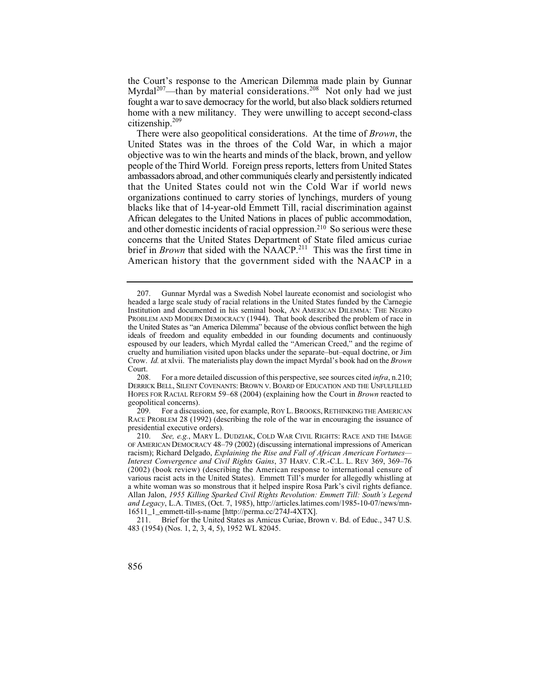Myrdal<sup>207</sup>—than by material considerations.<sup>208</sup> Not only had we just fought a war to save democracy for the world, but also black soldiers returned the Court's response to the American Dilemma made plain by Gunnar home with a new militancy. They were unwilling to accept second-class citizenship.<sup>209</sup>

 ambassadors abroad, and other communiqués clearly and persistently indicated There were also geopolitical considerations. At the time of *Brown*, the United States was in the throes of the Cold War, in which a major objective was to win the hearts and minds of the black, brown, and yellow people of the Third World. Foreign press reports, letters from United States that the United States could not win the Cold War if world news organizations continued to carry stories of lynchings, murders of young blacks like that of 14-year-old Emmett Till, racial discrimination against African delegates to the United Nations in places of public accommodation, and other domestic incidents of racial oppression.<sup>210</sup> So serious were these concerns that the United States Department of State filed amicus curiae brief in *Brown* that sided with the NAACP.<sup>211</sup> This was the first time in American history that the government sided with the NAACP in a

<sup>207.</sup> Gunnar Myrdal was a Swedish Nobel laureate economist and sociologist who headed a large scale study of racial relations in the United States funded by the Carnegie Institution and documented in his seminal book, AN AMERICAN DILEMMA: THE NEGRO PROBLEM AND MODERN DEMOCRACY (1944). That book described the problem of race in the United States as "an America Dilemma" because of the obvious conflict between the high ideals of freedom and equality embedded in our founding documents and continuously espoused by our leaders, which Myrdal called the "American Creed," and the regime of cruelty and humiliation visited upon blacks under the separate–but–equal doctrine, or Jim Crow. *Id.* at xlvii. The materialists play down the impact Myrdal's book had on the *Brown*  Court.<br> $208.$ 

<sup>208.</sup> For a more detailed discussion of this perspective, see sources cited *infra*, n.210; DERRICK BELL, SILENT COVENANTS: BROWN V. BOARD OF EDUCATION AND THE UNFULFILLED HOPES FOR RACIAL REFORM 59–68 (2004) (explaining how the Court in *Brown* reacted to geopolitical concerns).<br>209. For a discuss

<sup>209.</sup> For a discussion, see, for example, ROY L. BROOKS, RETHINKING THE AMERICAN RACE PROBLEM 28 (1992) (describing the role of the war in encouraging the issuance of presidential executive orders).

 various racist acts in the United States). Emmett Till's murder for allegedly whistling at 210. *See, e.g.*, MARY L. DUDZIAK, COLD WAR CIVIL RIGHTS: RACE AND THE IMAGE OF AMERICAN DEMOCRACY 48–79 (2002) (discussing international impressions of American racism); Richard Delgado, *Explaining the Rise and Fall of African American Fortunes— Interest Convergence and Civil Rights Gains*, 37 HARV. C.R.-C.L. L. REV 369, 369–76 (2002) (book review) (describing the American response to international censure of a white woman was so monstrous that it helped inspire Rosa Park's civil rights defiance. Allan Jalon, *1955 Killing Sparked Civil Rights Revolution: Emmett Till: South's Legend and Legacy*, L.A. TIMES, (Oct. 7, 1985), http://articles.latimes.com/1985-10-07/news/mn-16511\_1\_emmett-till-s-name [http://perma.cc/274J-4XTX].

<sup>211.</sup> Brief for the United States as Amicus Curiae, Brown v. Bd. of Educ., 347 U.S. 483 (1954) (Nos. 1, 2, 3, 4, 5), 1952 WL 82045.

<sup>856</sup>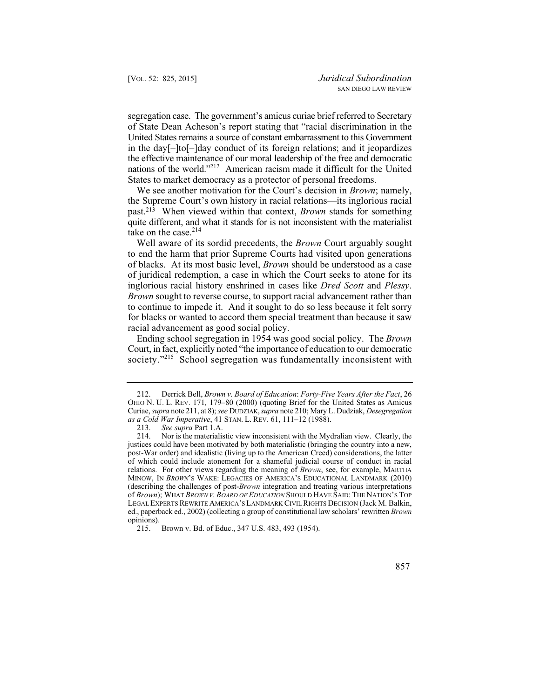the effective maintenance of our moral leadership of the free and democratic nations of the world."<sup>212</sup> American racism made it difficult for the United segregation case. The government's amicus curiae brief referred to Secretary of State Dean Acheson's report stating that "racial discrimination in the United States remains a source of constant embarrassment to this Government in the day[–]to[–]day conduct of its foreign relations; and it jeopardizes States to market democracy as a protector of personal freedoms.

We see another motivation for the Court's decision in *Brown*; namely, the Supreme Court's own history in racial relations—its inglorious racial past.213 When viewed within that context, *Brown* stands for something quite different, and what it stands for is not inconsistent with the materialist take on the case.<sup>214</sup>

Well aware of its sordid precedents, the *Brown* Court arguably sought to end the harm that prior Supreme Courts had visited upon generations of blacks. At its most basic level, *Brown* should be understood as a case of juridical redemption, a case in which the Court seeks to atone for its inglorious racial history enshrined in cases like *Dred Scott* and *Plessy*. *Brown* sought to reverse course, to support racial advancement rather than to continue to impede it. And it sought to do so less because it felt sorry for blacks or wanted to accord them special treatment than because it saw racial advancement as good social policy.

Ending school segregation in 1954 was good social policy. The *Brown*  Court, in fact, explicitly noted "the importance of education to our democratic society."<sup>215</sup> School segregation was fundamentally inconsistent with

 212. Derrick Bell, *Brown v. Board of Education*: *Forty-Five Years After the Fact*, 26 OHIO N. U. L. REV. 171*,* 179–80 (2000) (quoting Brief for the United States as Amicus Curiae, *supra* note 211, at 8); *see* DUDZIAK, *supra* note 210; Mary L. Dudziak, *Desegregation as a Cold War Imperative*, 41 STAN. L. REV*.* 61, 111–12 (1988).

 justices could have been motivated by both materialistic (bringing the country into a new, 213. *See supra* Part 1.A. Nor is the materialistic view inconsistent with the Mydralian view. Clearly, the post-War order) and idealistic (living up to the American Creed) considerations, the latter of which could include atonement for a shameful judicial course of conduct in racial relations. For other views regarding the meaning of *Brown*, see, for example, MARTHA MINOW, IN *BROWN*'S WAKE: LEGACIES OF AMERICA'S EDUCATIONAL LANDMARK (2010) (describing the challenges of post-*Brown* integration and treating various interpretations of *Brown*); WHAT *BROWN V. BOARD OF EDUCATION* SHOULD HAVE SAID: THE NATION'S TOP LEGAL EXPERTS REWRITE AMERICA'S LANDMARK CIVIL RIGHTS DECISION (Jack M. Balkin, ed., paperback ed., 2002) (collecting a group of constitutional law scholars' rewritten *Brown*  opinions).<br>215.

Brown v. Bd. of Educ., 347 U.S. 483, 493 (1954).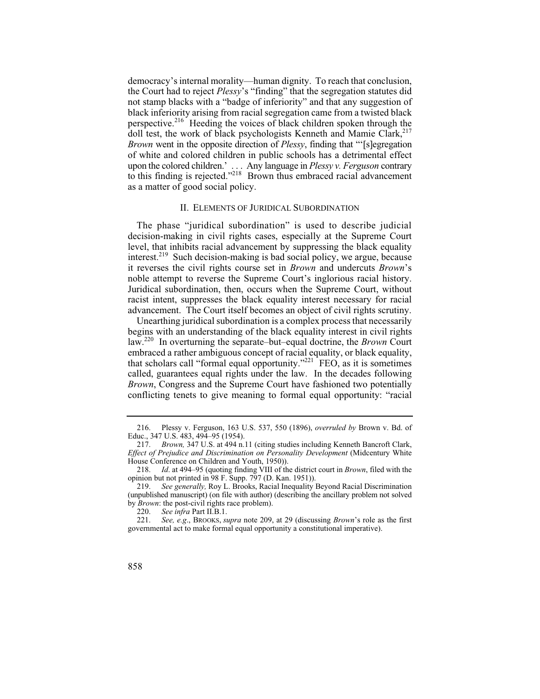perspective.<sup>216</sup> Heeding the voices of black children spoken through the *Brown* went in the opposite direction of *Plessy*, finding that "'[s]egregation upon the colored children.' . . . Any language in *Plessy v. Ferguson* contrary democracy's internal morality—human dignity. To reach that conclusion, the Court had to reject *Plessy*'s "finding" that the segregation statutes did not stamp blacks with a "badge of inferiority" and that any suggestion of black inferiority arising from racial segregation came from a twisted black doll test, the work of black psychologists Kenneth and Mamie Clark, $217$ of white and colored children in public schools has a detrimental effect to this finding is rejected."<sup>218</sup> Brown thus embraced racial advancement as a matter of good social policy.

## II. ELEMENTS OF JURIDICAL SUBORDINATION

The phase "juridical subordination" is used to describe judicial decision-making in civil rights cases, especially at the Supreme Court level, that inhibits racial advancement by suppressing the black equality interest.<sup>219</sup> Such decision-making is bad social policy, we argue, because it reverses the civil rights course set in *Brown* and undercuts *Brown*'s noble attempt to reverse the Supreme Court's inglorious racial history. Juridical subordination, then, occurs when the Supreme Court, without racist intent, suppresses the black equality interest necessary for racial advancement. The Court itself becomes an object of civil rights scrutiny.

Unearthing juridical subordination is a complex process that necessarily begins with an understanding of the black equality interest in civil rights law.220 In overturning the separate–but–equal doctrine, the *Brown* Court embraced a rather ambiguous concept of racial equality, or black equality, that scholars call "formal equal opportunity."<sup>221</sup>  $FEO$ , as it is sometimes called, guarantees equal rights under the law. In the decades following *Brown*, Congress and the Supreme Court have fashioned two potentially conflicting tenets to give meaning to formal equal opportunity: "racial

<sup>216.</sup> Plessy v. Ferguson, 163 U.S. 537, 550 (1896), *overruled by* Brown v. Bd. of Educ., 347 U.S. 483, 494–95 (1954).

<sup>217.</sup> *Brown,* 347 U.S. at 494 n.11 (citing studies including Kenneth Bancroft Clark, *Effect of Prejudice and Discrimination on Personality Development* (Midcentury White House Conference on Children and Youth, 1950)).

<sup>218.</sup> *Id*. at 494–95 (quoting finding VIII of the district court in *Brown*, filed with the opinion but not printed in 98 F. Supp. 797 (D. Kan. 1951)).

<sup>219.</sup> *See generally,* Roy L. Brooks, Racial Inequality Beyond Racial Discrimination (unpublished manuscript) (on file with author) (describing the ancillary problem not solved by *Brown*: the post-civil rights race problem).

<sup>220.</sup> *See infra* Part II.B.1.<br>221. *See, e.g.*, BROOKS. su

<sup>221.</sup> *See, e.g*., BROOKS, *supra* note 209, at 29 (discussing *Brown*'s role as the first governmental act to make formal equal opportunity a constitutional imperative).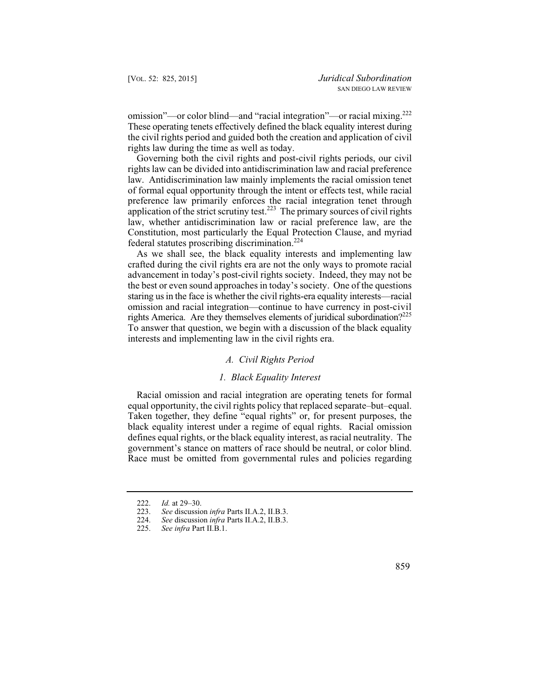omission"—or color blind—and "racial integration"—or racial mixing.222 These operating tenets effectively defined the black equality interest during the civil rights period and guided both the creation and application of civil rights law during the time as well as today.

Governing both the civil rights and post-civil rights periods, our civil rights law can be divided into antidiscrimination law and racial preference law. Antidiscrimination law mainly implements the racial omission tenet of formal equal opportunity through the intent or effects test, while racial preference law primarily enforces the racial integration tenet through application of the strict scrutiny test. $2^{23}$  The primary sources of civil rights law, whether antidiscrimination law or racial preference law, are the Constitution, most particularly the Equal Protection Clause, and myriad federal statutes proscribing discrimination.<sup>224</sup>

 the best or even sound approaches in today's society. One of the questions staring us in the face is whether the civil rights-era equality interests—racial As we shall see, the black equality interests and implementing law crafted during the civil rights era are not the only ways to promote racial advancement in today's post-civil rights society. Indeed, they may not be omission and racial integration—continue to have currency in post-civil rights America. Are they themselves elements of juridical subordination?<sup>225</sup> To answer that question, we begin with a discussion of the black equality interests and implementing law in the civil rights era.

## *A. Civil Rights Period*

## *1. Black Equality Interest*

Racial omission and racial integration are operating tenets for formal equal opportunity, the civil rights policy that replaced separate–but–equal. Taken together, they define "equal rights" or, for present purposes, the black equality interest under a regime of equal rights. Racial omission defines equal rights, or the black equality interest, as racial neutrality. The government's stance on matters of race should be neutral, or color blind. Race must be omitted from governmental rules and policies regarding

<sup>222.</sup> *Id.* at 29–30.<br>223. *See* discussion

<sup>223.</sup> *See* discussion *infra* Parts II.A.2, II.B.3.

See discussion *infra* Parts II.A.2, II.B.3.

<sup>225.</sup> *See infra* Part II.B.1.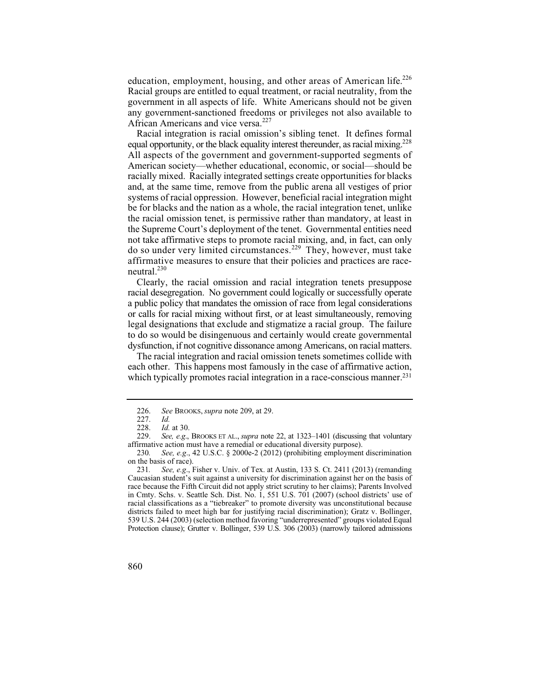education, employment, housing, and other areas of American life.<sup>226</sup> Racial groups are entitled to equal treatment, or racial neutrality, from the government in all aspects of life. White Americans should not be given any government-sanctioned freedoms or privileges not also available to African Americans and vice versa.<sup>227</sup>

Racial integration is racial omission's sibling tenet. It defines formal equal opportunity, or the black equality interest thereunder, as racial mixing.<sup>228</sup> All aspects of the government and government-supported segments of American society—whether educational, economic, or social—should be racially mixed. Racially integrated settings create opportunities for blacks and, at the same time, remove from the public arena all vestiges of prior systems of racial oppression. However, beneficial racial integration might be for blacks and the nation as a whole, the racial integration tenet, unlike the racial omission tenet, is permissive rather than mandatory, at least in the Supreme Court's deployment of the tenet. Governmental entities need not take affirmative steps to promote racial mixing, and, in fact, can only do so under very limited circumstances.229 They, however, must take affirmative measures to ensure that their policies and practices are raceneutral.<sup>230</sup>

Clearly, the racial omission and racial integration tenets presuppose racial desegregation. No government could logically or successfully operate a public policy that mandates the omission of race from legal considerations or calls for racial mixing without first, or at least simultaneously, removing legal designations that exclude and stigmatize a racial group. The failure to do so would be disingenuous and certainly would create governmental dysfunction, if not cognitive dissonance among Americans, on racial matters.

The racial integration and racial omission tenets sometimes collide with each other. This happens most famously in the case of affirmative action, which typically promotes racial integration in a race-conscious manner.<sup>231</sup>

 <sup>226.</sup> *See* BROOKS, *supra* note 209, at 29.

<sup>227.</sup> *Id.*

 <sup>228.</sup> *Id.* at 30.

See, e.g., BROOKS ET AL., *supra* note 22, at 1323–1401 (discussing that voluntary affirmative action must have a remedial or educational diversity purpose).

<sup>230</sup>*. See, e.g*., 42 U.S.C. § 2000e-2 (2012) (prohibiting employment discrimination on the basis of race).

 Caucasian student's suit against a university for discrimination against her on the basis of 231*. See, e.g*., Fisher v. Univ. of Tex. at Austin, 133 S. Ct. 2411 (2013) (remanding race because the Fifth Circuit did not apply strict scrutiny to her claims); Parents Involved in Cmty. Schs. v. Seattle Sch. Dist. No. 1, 551 U.S. 701 (2007) (school districts' use of racial classifications as a "tiebreaker" to promote diversity was unconstitutional because districts failed to meet high bar for justifying racial discrimination); Gratz v. Bollinger, 539 U.S. 244 (2003) (selection method favoring "underrepresented" groups violated Equal Protection clause); Grutter v. Bollinger, 539 U.S. 306 (2003) (narrowly tailored admissions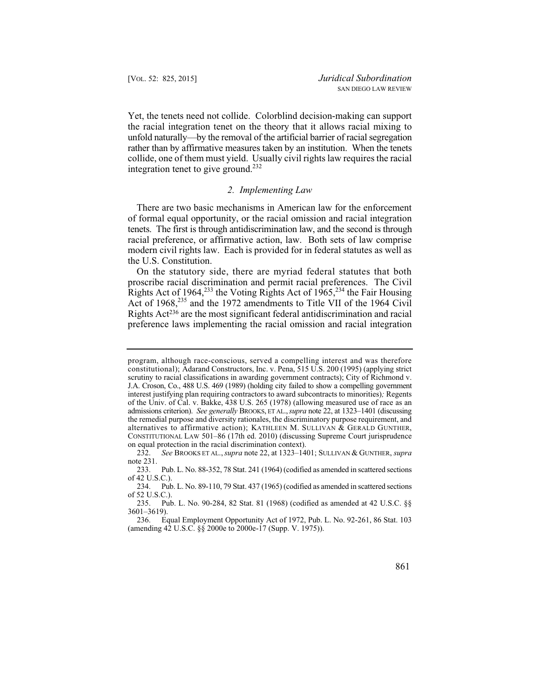Yet, the tenets need not collide. Colorblind decision-making can support the racial integration tenet on the theory that it allows racial mixing to unfold naturally—by the removal of the artificial barrier of racial segregation rather than by affirmative measures taken by an institution. When the tenets collide, one of them must yield. Usually civil rights law requires the racial integration tenet to give ground.<sup>232</sup>

# *2. Implementing Law*

There are two basic mechanisms in American law for the enforcement of formal equal opportunity, or the racial omission and racial integration tenets. The first is through antidiscrimination law, and the second is through racial preference, or affirmative action, law. Both sets of law comprise modern civil rights law. Each is provided for in federal statutes as well as the U.S. Constitution.

On the statutory side, there are myriad federal statutes that both proscribe racial discrimination and permit racial preferences. The Civil Rights Act of 1964,<sup>233</sup> the Voting Rights Act of  $1965$ ,<sup>234</sup> the Fair Housing Act of 1968,<sup>235</sup> and the 1972 amendments to Title VII of the 1964 Civil Rights Act236 are the most significant federal antidiscrimination and racial preference laws implementing the racial omission and racial integration

program, although race-conscious, served a compelling interest and was therefore constitutional); Adarand Constructors, Inc. v. Pena, 515 U.S. 200 (1995) (applying strict scrutiny to racial classifications in awarding government contracts); City of Richmond v. J.A. Croson, Co., 488 U.S. 469 (1989) (holding city failed to show a compelling government interest justifying plan requiring contractors to award subcontracts to minorities)*;* Regents of the Univ. of Cal. v. Bakke, 438 U.S. 265 (1978) (allowing measured use of race as an admissions criterion). *See generally* BROOKS, ET AL., *supra* note 22, at 1323–1401 (discussing the remedial purpose and diversity rationales, the discriminatory purpose requirement, and alternatives to affirmative action); KATHLEEN M. SULLIVAN & GERALD GUNTHER, CONSTITUTIONAL LAW 501–86 (17th ed. 2010) (discussing Supreme Court jurisprudence on equal protection in the racial discrimination context).

<sup>232.</sup> *See* BROOKS ET AL., *supra* note 22, at 1323–1401; SULLIVAN & GUNTHER, *supra*  note 231.

<sup>233.</sup> Pub. L. No. 88-352, 78 Stat. 241 (1964) (codified as amended in scattered sections of 42 U.S.C.).

<sup>234.</sup> Pub. L. No. 89-110, 79 Stat. 437 (1965) (codified as amended in scattered sections of 52 U.S.C.).

<sup>235.</sup> Pub. L. No. 90-284, 82 Stat. 81 (1968) (codified as amended at 42 U.S.C. §§ 3601–3619).

<sup>236.</sup> Equal Employment Opportunity Act of 1972, Pub. L. No. 92-261, 86 Stat. 103 (amending 42 U.S.C. §§ 2000e to 2000e-17 (Supp. V. 1975)).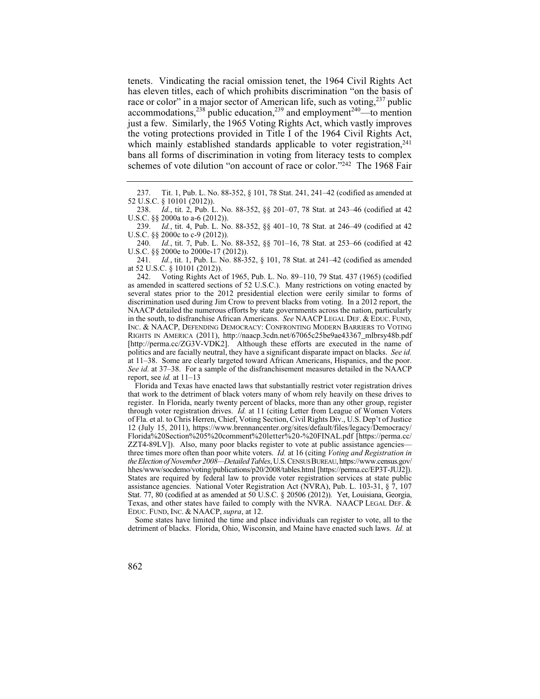tenets. Vindicating the racial omission tenet, the 1964 Civil Rights Act has eleven titles, each of which prohibits discrimination "on the basis of race or color" in a major sector of American life, such as voting, $237$  public  $\frac{238}{\text{pubic}}$  public education,<sup>239</sup> and employment<sup>240</sup>—to mention just a few. Similarly, the 1965 Voting Rights Act, which vastly improves the voting protections provided in Title I of the 1964 Civil Rights Act, which mainly established standards applicable to voter registration,<sup>241</sup> bans all forms of discrimination in voting from literacy tests to complex schemes of vote dilution "on account of race or color."242 The 1968 Fair

238. *Id.*, tit. 2, Pub. L. No. 88-352, §§ 201–07, 78 Stat. at 243–46 (codified at 42 U.S.C. §§ 2000a to a-6 (2012)).<br>239. *Id.*, tit. 4, Pub. L. No

Id., tit. 4, Pub. L. No. 88-352, §§ 401-10, 78 Stat. at 246-49 (codified at 42 U.S.C. §§ 2000c to c-9 (2012)).<br>240. *Id.*, tit. 7. Pub. L. No

Id., tit. 7, Pub. L. No. 88-352, §§ 701-16, 78 Stat. at 253-66 (codified at 42 U.S.C. §§ 2000e to 2000e-17 (2012)).<br>241. *Id.*, tit. 1, Pub. L. No. 88-3.

*Id.*, tit. 1, Pub. L. No. 88-352, § 101, 78 Stat. at 241–42 (codified as amended at 52 U.S.C. § 10101 (2012)).<br>242. Voting Rights Act

242. Voting Rights Act of 1965, Pub. L. No. 89–110, 79 Stat. 437 (1965) (codified as amended in scattered sections of 52 U.S.C.). Many restrictions on voting enacted by several states prior to the 2012 presidential election were eerily similar to forms of discrimination used during Jim Crow to prevent blacks from voting. In a 2012 report, the NAACP detailed the numerous efforts by state governments across the nation, particularly in the south, to disfranchise African Americans. *See* NAACP LEGAL DEF.&EDUC. FUND, INC. & NAACP, DEFENDING DEMOCRACY: CONFRONTING MODERN BARRIERS TO VOTING RIGHTS IN AMERICA (2011), http://naacp.3cdn.net/67065c25be9ae43367\_mlbrsy48b.pdf [http://perma.cc/ZG3V-VDK2]. Although these efforts are executed in the name of politics and are facially neutral, they have a significant disparate impact on blacks. *See id.*  at 11–38. Some are clearly targeted toward African Americans, Hispanics, and the poor. *See id.* at 37–38. For a sample of the disfranchisement measures detailed in the NAACP report, see *id.* at 11–13

 that work to the detriment of black voters many of whom rely heavily on these drives to Florida and Texas have enacted laws that substantially restrict voter registration drives register. In Florida, nearly twenty percent of blacks, more than any other group, register through voter registration drives. *Id.* at 11 (citing Letter from League of Women Voters of Fla. et al. to Chris Herren, Chief, Voting Section, Civil Rights Div., U.S. Dep't of Justice 12 (July 15, 2011), https://www.brennancenter.org/sites/default/files/legacy/Democracy/ Florida%20Section%205%20comment%20letter%20-%20FINAL.pdf [https://perma.cc/ ZZT4-89LV]). Also, many poor blacks register to vote at public assistance agencies three times more often than poor white voters. *Id.* at 16 (citing *Voting and Registration in the Election of November 2008—Detailed Tables*, U.S.CENSUSBUREAU, https://www.census.gov/ hhes/www/socdemo/voting/publications/p20/2008/tables.html [https://perma.cc/EP3T-JUJ2]). States are required by federal law to provide voter registration services at state public assistance agencies. National Voter Registration Act (NVRA), Pub. L. 103-31, § 7, 107 Stat. 77, 80 (codified at as amended at 50 U.S.C. § 20506 (2012)). Yet, Louisiana, Georgia, Texas, and other states have failed to comply with the NVRA. NAACP LEGAL DEF. & EDUC. FUND, INC. & NAACP, *supra*, at 12.

Some states have limited the time and place individuals can register to vote, all to the detriment of blacks. Florida, Ohio, Wisconsin, and Maine have enacted such laws. *Id.* at

862

<sup>237.</sup> Tit. 1, Pub. L. No. 88-352, § 101, 78 Stat. 241, 241–42 (codified as amended at 52 U.S.C. § 10101 (2012)).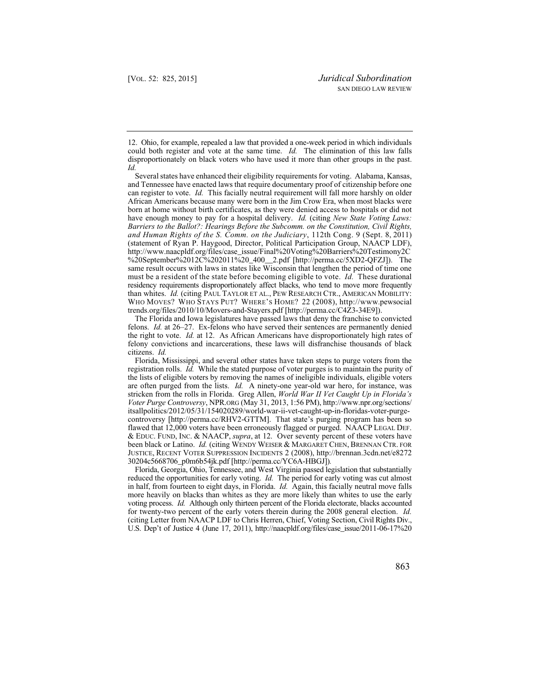12. Ohio, for example, repealed a law that provided a one-week period in which individuals could both register and vote at the same time. *Id.* The elimination of this law falls disproportionately on black voters who have used it more than other groups in the past. *Id.* 

 can register to vote. *Id.* This facially neutral requirement will fall more harshly on older have enough money to pay for a hospital delivery. *Id.* (citing *New State Voting Laws:*  must be a resident of the state before becoming eligible to vote. *Id.* These durational Several states have enhanced their eligibility requirements for voting. Alabama, Kansas, and Tennessee have enacted laws that require documentary proof of citizenship before one African Americans because many were born in the Jim Crow Era, when most blacks were born at home without birth certificates, as they were denied access to hospitals or did not *Barriers to the Ballot?: Hearings Before the Subcomm. on the Constitution, Civil Rights, and Human Rights of the S. Comm. on the Judiciary*, 112th Cong. 9 (Sept. 8, 2011) (statement of Ryan P. Haygood, Director, Political Participation Group, NAACP LDF), http://www.naacpldf.org/files/case\_issue/Final%20Voting%20Barriers%20Testimony2C %20September%2012C%202011%20\_400\_2.pdf [http://perma.cc/5XD2-QFZJ]). The same result occurs with laws in states like Wisconsin that lengthen the period of time one residency requirements disproportionately affect blacks, who tend to move more frequently than whites. *Id.* (citing PAUL TAYLOR ET AL., PEW RESEARCH CTR., AMERICAN MOBILITY: WHO MOVES? WHO STAYS PUT? WHERE'S HOME? 22 (2008), http://www.pewsocial trends.org/files/2010/10/Movers-and-Stayers.pdf [http://perma.cc/C4Z3-34E9]).

 felons. *Id.* at 26–27. Ex-felons who have served their sentences are permanently denied citizens. *Id.*  The Florida and Iowa legislatures have passed laws that deny the franchise to convicted the right to vote. *Id.* at 12. As African Americans have disproportionately high rates of felony convictions and incarcerations, these laws will disfranchise thousands of black

Florida, Mississippi, and several other states have taken steps to purge voters from the registration rolls. *Id.* While the stated purpose of voter purges is to maintain the purity of the lists of eligible voters by removing the names of ineligible individuals, eligible voters are often purged from the lists. *Id.* A ninety-one year-old war hero, for instance, was stricken from the rolls in Florida. Greg Allen, *World War II Vet Caught Up in Florida's Voter Purge Controversy*, NPR.ORG (May 31, 2013, 1:56 PM), http://www.npr.org/sections/ itsallpolitics/2012/05/31/154020289/world-war-ii-vet-caught-up-in-floridas-voter-purgecontroversy [http://perma.cc/RHV2-GTTM]. That state's purging program has been so flawed that 12,000 voters have been erroneously flagged or purged. NAACP LEGAL DEF. & EDUC. FUND, INC. & NAACP, *supra*, at 12. Over seventy percent of these voters have been black or Latino. *Id.* (citing WENDY WEISER & MARGARET CHEN, BRENNAN CTR. FOR JUSTICE, RECENT VOTER SUPPRESSION INCIDENTS 2 (2008), http://brennan.3cdn.net/e8272 30204c5668706\_p0m6b54jk.pdf [http://perma.cc/YC6A-HBGJ])*.* 

 reduced the opportunities for early voting. *Id.* The period for early voting was cut almost  in half, from fourteen to eight days, in Florida. *Id.* Again, this facially neutral move falls (citing Letter from NAACP LDF to Chris Herren, Chief, Voting Section, Civil Rights Div., Florida, Georgia, Ohio, Tennessee, and West Virginia passed legislation that substantially more heavily on blacks than whites as they are more likely than whites to use the early voting process. *Id.* Although only thirteen percent of the Florida electorate, blacks accounted for twenty-two percent of the early voters therein during the 2008 general election. *Id.*  U.S. Dep't of Justice 4 (June 17, 2011), http://naacpldf.org/files/case\_issue/2011-06-17%20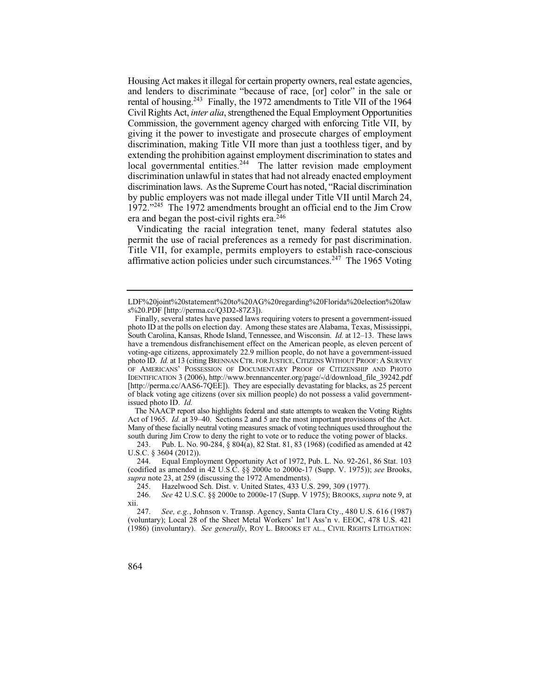rental of housing.<sup>243</sup> Finally, the 1972 amendments to Title VII of the 1964 Commission, the government agency charged with enforcing Title VII, by 1972."<sup>245</sup> The 1972 amendments brought an official end to the Jim Crow Housing Act makes it illegal for certain property owners, real estate agencies, and lenders to discriminate "because of race, [or] color" in the sale or Civil Rights Act, *inter alia*, strengthened the Equal Employment Opportunities giving it the power to investigate and prosecute charges of employment discrimination, making Title VII more than just a toothless tiger, and by extending the prohibition against employment discrimination to states and local governmental entities.<sup>244</sup> The latter revision made employment discrimination unlawful in states that had not already enacted employment discrimination laws. As the Supreme Court has noted, "Racial discrimination by public employers was not made illegal under Title VII until March 24, era and began the post-civil rights era.<sup>246</sup>

Vindicating the racial integration tenet, many federal statutes also permit the use of racial preferences as a remedy for past discrimination. Title VII, for example, permits employers to establish race-conscious affirmative action policies under such circumstances.<sup>247</sup> The 1965 Voting

LDF%20joint%20statement%20to%20AG%20regarding%20Florida%20election%20law s%20.PDF [http://perma.cc/Q3D2-87Z3]).

Finally, several states have passed laws requiring voters to present a government-issued photo ID at the polls on election day. Among these states are Alabama, Texas, Mississippi, South Carolina, Kansas, Rhode Island, Tennessee, and Wisconsin. *Id.* at 12–13. These laws have a tremendous disfranchisement effect on the American people, as eleven percent of voting-age citizens, approximately 22.9 million people, do not have a government-issued photo ID. *Id.* at 13 (citing BRENNAN CTR. FOR JUSTICE, CITIZENS WITHOUT PROOF: A SURVEY OF AMERICANS' POSSESSION OF DOCUMENTARY PROOF OF CITIZENSHIP AND PHOTO IDENTIFICATION 3 (2006), http://www.brennancenter.org/page/-/d/download\_file\_39242.pdf [http://perma.cc/AAS6-7QEE]). They are especially devastating for blacks, as 25 percent of black voting age citizens (over six million people) do not possess a valid governmentissued photo ID. *Id.* 

 south during Jim Crow to deny the right to vote or to reduce the voting power of blacks. The NAACP report also highlights federal and state attempts to weaken the Voting Rights Act of 1965. *Id.* at 39–40. Sections 2 and 5 are the most important provisions of the Act. Many of these facially neutral voting measures smack of voting techniques used throughout the

<sup>243.</sup> Pub. L. No. 90-284, § 804(a), 82 Stat. 81, 83 (1968) (codified as amended at 42 U.S.C. § 3604 (2012)).

<sup>244.</sup> Equal Employment Opportunity Act of 1972, Pub. L. No. 92-261, 86 Stat. 103 (codified as amended in 42 U.S.C. §§ 2000e to 2000e-17 (Supp. V. 1975)); *see* Brooks, *supra* note 23, at 259 (discussing the 1972 Amendments).

<sup>245.</sup> Hazelwood Sch. Dist. v. United States, 433 U.S. 299, 309 (1977).<br>246. See 42 U.S.C. §§ 2000e to 2000e-17 (Supp. V 1975); BROOKS, sup

<sup>246.</sup> *See* 42 U.S.C. §§ 2000e to 2000e-17 (Supp. V 1975); BROOKS, *supra* note 9, at xii.

<sup>247.</sup> *See, e.g.*, Johnson v. Transp. Agency, Santa Clara Cty., 480 U.S. 616 (1987) (voluntary); Local 28 of the Sheet Metal Workers' Int'l Ass'n v. EEOC, 478 U.S. 421 (1986) (involuntary). *See generally*, ROY L. BROOKS ET AL., CIVIL RIGHTS LITIGATION:

<sup>864</sup>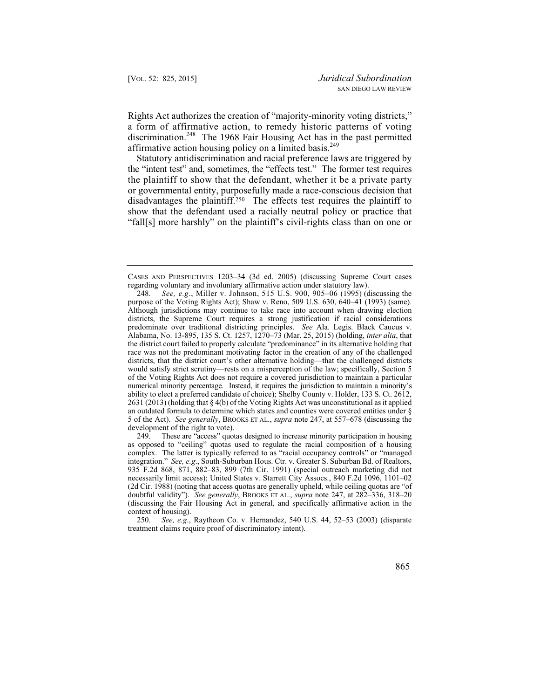Rights Act authorizes the creation of "majority-minority voting districts," a form of affirmative action, to remedy historic patterns of voting discrimination.248 The 1968 Fair Housing Act has in the past permitted affirmative action housing policy on a limited basis.<sup>249</sup>

Statutory antidiscrimination and racial preference laws are triggered by the "intent test" and, sometimes, the "effects test." The former test requires the plaintiff to show that the defendant, whether it be a private party or governmental entity, purposefully made a race-conscious decision that disadvantages the plaintiff.250 The effects test requires the plaintiff to show that the defendant used a racially neutral policy or practice that "fall[s] more harshly" on the plaintiff's civil-rights class than on one or

 integration." *See, e.g*., South-Suburban Hous. Ctr. v. Greater S. Suburban Bd. of Realtors, 249. These are "access" quotas designed to increase minority participation in housing as opposed to "ceiling" quotas used to regulate the racial composition of a housing complex. The latter is typically referred to as "racial occupancy controls" or "managed 935 F.2d 868, 871, 882–83, 899 (7th Cir. 1991) (special outreach marketing did not necessarily limit access); United States v. Starrett City Assocs., 840 F.2d 1096, 1101–02 (2d Cir. 1988) (noting that access quotas are generally upheld, while ceiling quotas are "of doubtful validity"). *See generally*, BROOKS ET AL., *supra* note 247, at 282–336, 318–20 (discussing the Fair Housing Act in general, and specifically affirmative action in the context of housing).

250. *See, e.g*., Raytheon Co. v. Hernandez, 540 U.S. 44, 52–53 (2003) (disparate treatment claims require proof of discriminatory intent).

CASES AND PERSPECTIVES 1203–34 (3d ed. 2005) (discussing Supreme Court cases regarding voluntary and involuntary affirmative action under statutory law).

 purpose of the Voting Rights Act); Shaw v. Reno, 509 U.S. 630, 640–41 (1993) (same). ability to elect a preferred candidate of choice); Shelby County v. Holder, 133 S. Ct. 2612, 248. *See, e.g*., Miller v. Johnson, 515 U.S. 900, 905–06 (1995) (discussing the Although jurisdictions may continue to take race into account when drawing election districts, the Supreme Court requires a strong justification if racial considerations predominate over traditional districting principles. *See* Ala. Legis. Black Caucus v. Alabama, No. 13-895, 135 S. Ct. 1257, 1270–73 (Mar. 25, 2015) (holding, *inter alia*, that the district court failed to properly calculate "predominance" in its alternative holding that race was not the predominant motivating factor in the creation of any of the challenged districts, that the district court's other alternative holding—that the challenged districts would satisfy strict scrutiny—rests on a misperception of the law; specifically, Section 5 of the Voting Rights Act does not require a covered jurisdiction to maintain a particular numerical minority percentage. Instead, it requires the jurisdiction to maintain a minority's 2631 (2013) (holding that § 4(b) of the Voting Rights Act was unconstitutional as it applied an outdated formula to determine which states and counties were covered entities under § 5 of the Act). *See generally*, BROOKS ET AL., *supra* note 247, at 557–678 (discussing the development of the right to vote).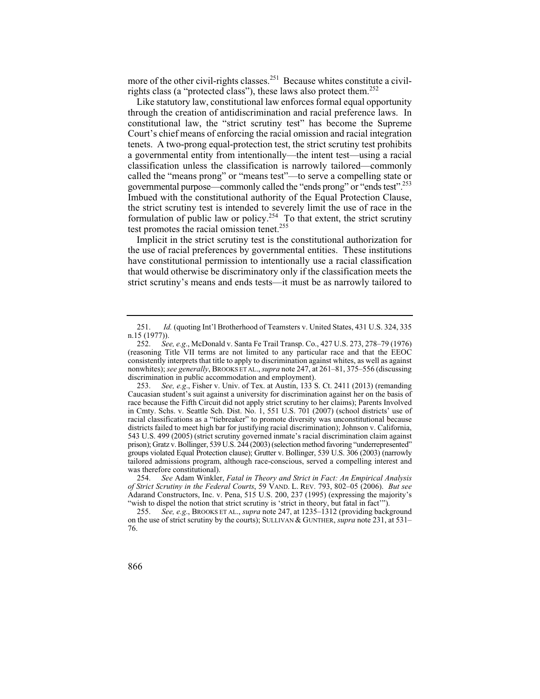more of the other civil-rights classes.<sup>251</sup> Because whites constitute a civilrights class (a "protected class"), these laws also protect them.252

Like statutory law, constitutional law enforces formal equal opportunity through the creation of antidiscrimination and racial preference laws. In constitutional law, the "strict scrutiny test" has become the Supreme Court's chief means of enforcing the racial omission and racial integration tenets. A two-prong equal-protection test, the strict scrutiny test prohibits a governmental entity from intentionally—the intent test—using a racial classification unless the classification is narrowly tailored—commonly called the "means prong" or "means test"—to serve a compelling state or governmental purpose—commonly called the "ends prong" or "ends test".253 Imbued with the constitutional authority of the Equal Protection Clause, the strict scrutiny test is intended to severely limit the use of race in the formulation of public law or policy.<sup>254</sup> To that extent, the strict scrutiny test promotes the racial omission tenet.<sup>255</sup>

Implicit in the strict scrutiny test is the constitutional authorization for the use of racial preferences by governmental entities. These institutions have constitutional permission to intentionally use a racial classification that would otherwise be discriminatory only if the classification meets the strict scrutiny's means and ends tests—it must be as narrowly tailored to

<sup>251.</sup> *Id.* (quoting Int'l Brotherhood of Teamsters v. United States, 431 U.S. 324, 335 n.15 (1977)).

 consistently interprets that title to apply to discrimination against whites, as well as against 252. *See, e.g*., McDonald v. Santa Fe Trail Transp. Co., 427 U.S. 273, 278–79 (1976) (reasoning Title VII terms are not limited to any particular race and that the EEOC nonwhites); *see generally*, BROOKS ET AL., *supra* note 247, at 261–81, 375–556 (discussing discrimination in public accommodation and employment).

 Caucasian student's suit against a university for discrimination against her on the basis of 253. *See, e.g*., Fisher v. Univ. of Tex. at Austin, 133 S. Ct. 2411 (2013) (remanding race because the Fifth Circuit did not apply strict scrutiny to her claims); Parents Involved in Cmty. Schs. v. Seattle Sch. Dist. No. 1, 551 U.S. 701 (2007) (school districts' use of racial classifications as a "tiebreaker" to promote diversity was unconstitutional because districts failed to meet high bar for justifying racial discrimination); Johnson v. California, 543 U.S. 499 (2005) (strict scrutiny governed inmate's racial discrimination claim against prison); Gratz v. Bollinger, 539 U.S. 244 (2003) (selection method favoring "underrepresented" groups violated Equal Protection clause); Grutter v. Bollinger, 539 U.S. 306 (2003) (narrowly tailored admissions program, although race-conscious, served a compelling interest and was therefore constitutional).

 254. *See* Adam Winkler, *Fatal in Theory and Strict in Fact: An Empirical Analysis of Strict Scrutiny in the Federal Courts*, 59 VAND. L. REV. 793, 802–05 (2006). *But see*  Adarand Constructors, Inc. v. Pena, 515 U.S. 200, 237 (1995) (expressing the majority's "wish to dispel the notion that strict scrutiny is 'strict in theory, but fatal in fact'").

<sup>255.</sup> *See, e.g*., BROOKS ET AL., *supra* note 247, at 1235–1312 (providing background on the use of strict scrutiny by the courts); SULLIVAN & GUNTHER, *supra* note 231, at 531– 76.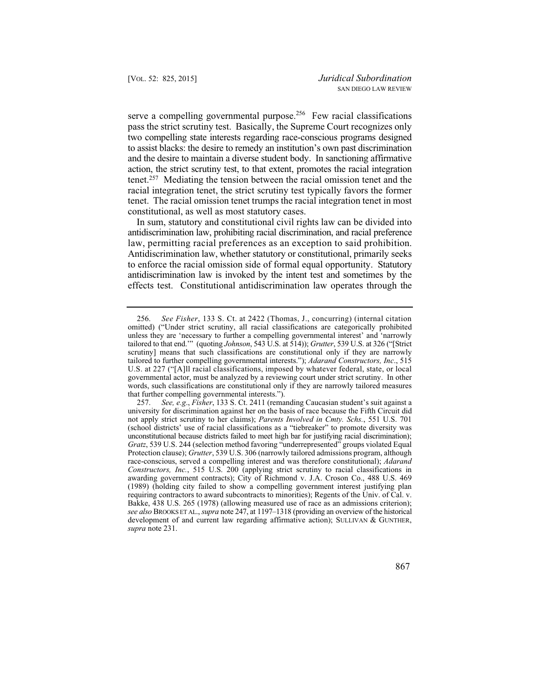constitutional, as well as most statutory cases. serve a compelling governmental purpose.<sup>256</sup> Few racial classifications pass the strict scrutiny test. Basically, the Supreme Court recognizes only two compelling state interests regarding race-conscious programs designed to assist blacks: the desire to remedy an institution's own past discrimination and the desire to maintain a diverse student body. In sanctioning affirmative action, the strict scrutiny test, to that extent, promotes the racial integration tenet.257 Mediating the tension between the racial omission tenet and the racial integration tenet, the strict scrutiny test typically favors the former tenet. The racial omission tenet trumps the racial integration tenet in most

 law, permitting racial preferences as an exception to said prohibition. antidiscrimination law is invoked by the intent test and sometimes by the In sum, statutory and constitutional civil rights law can be divided into antidiscrimination law, prohibiting racial discrimination, and racial preference Antidiscrimination law, whether statutory or constitutional, primarily seeks to enforce the racial omission side of formal equal opportunity. Statutory effects test. Constitutional antidiscrimination law operates through the

 omitted) ("Under strict scrutiny, all racial classifications are categorically prohibited scrutiny] means that such classifications are constitutional only if they are narrowly tailored to further compelling governmental interests."); *Adarand Constructors, Inc*., 515 governmental actor, must be analyzed by a reviewing court under strict scrutiny. In other 256. *See Fisher*, 133 S. Ct. at 2422 (Thomas, J., concurring) (internal citation unless they are 'necessary to further a compelling governmental interest' and 'narrowly tailored to that end.'" (quoting *Johnson*, 543 U.S. at 514)); *Grutter*, 539 U.S. at 326 ("[Strict U.S. at 227 ("[A]ll racial classifications, imposed by whatever federal, state, or local words, such classifications are constitutional only if they are narrowly tailored measures that further compelling governmental interests.").

<sup>257.</sup> *See, e.g*., *Fisher*, 133 S. Ct. 2411 (remanding Caucasian student's suit against a university for discrimination against her on the basis of race because the Fifth Circuit did not apply strict scrutiny to her claims); *Parents Involved in Cmty. Schs.*, 551 U.S. 701 (school districts' use of racial classifications as a "tiebreaker" to promote diversity was unconstitutional because districts failed to meet high bar for justifying racial discrimination); *Gratz*, 539 U.S. 244 (selection method favoring "underrepresented" groups violated Equal Protection clause); *Grutter*, 539 U.S. 306 (narrowly tailored admissions program, although race-conscious, served a compelling interest and was therefore constitutional); *Adarand Constructors, Inc.*, 515 U.S. 200 (applying strict scrutiny to racial classifications in awarding government contracts); City of Richmond v. J.A. Croson Co., 488 U.S. 469 (1989) (holding city failed to show a compelling government interest justifying plan requiring contractors to award subcontracts to minorities); Regents of the Univ. of Cal. v. Bakke, 438 U.S. 265 (1978) (allowing measured use of race as an admissions criterion); *see also* BROOKS ET AL., *supra* note 247, at 1197–1318 (providing an overview of the historical development of and current law regarding affirmative action); SULLIVAN & GUNTHER, *supra* note 231.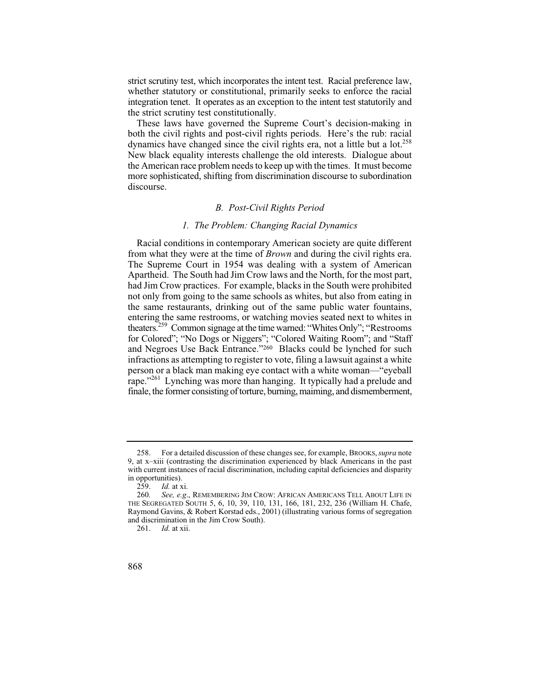strict scrutiny test, which incorporates the intent test. Racial preference law, whether statutory or constitutional, primarily seeks to enforce the racial integration tenet. It operates as an exception to the intent test statutorily and the strict scrutiny test constitutionally.

 the American race problem needs to keep up with the times. It must become These laws have governed the Supreme Court's decision-making in both the civil rights and post-civil rights periods. Here's the rub: racial dynamics have changed since the civil rights era, not a little but a  $\text{lot.}^{258}$ New black equality interests challenge the old interests. Dialogue about more sophisticated, shifting from discrimination discourse to subordination discourse.

## *B. Post-Civil Rights Period*

# *1. The Problem: Changing Racial Dynamics*

from what they were at the time of *Brown* and during the civil rights era. Racial conditions in contemporary American society are quite different The Supreme Court in 1954 was dealing with a system of American Apartheid. The South had Jim Crow laws and the North, for the most part, had Jim Crow practices. For example, blacks in the South were prohibited not only from going to the same schools as whites, but also from eating in the same restaurants, drinking out of the same public water fountains, entering the same restrooms, or watching movies seated next to whites in theaters.259 Common signage at the time warned: "Whites Only"; "Restrooms for Colored"; "No Dogs or Niggers"; "Colored Waiting Room"; and "Staff and Negroes Use Back Entrance."260 Blacks could be lynched for such infractions as attempting to register to vote, filing a lawsuit against a white person or a black man making eye contact with a white woman—"eyeball rape."<sup>261</sup> Lynching was more than hanging. It typically had a prelude and finale, the former consisting of torture, burning, maiming, and dismemberment,

<sup>258.</sup> For a detailed discussion of these changes see, for example, BROOKS, *supra* note 9, at x–xiii (contrasting the discrimination experienced by black Americans in the past with current instances of racial discrimination, including capital deficiencies and disparity in opportunities).<br>259.  $Id.$  at x

<sup>259.</sup> *Id.* at xi.

See, e.g., REMEMBERING JIM CROW: AFRICAN AMERICANS TELL ABOUT LIFE IN THE SEGREGATED SOUTH 5, 6, 10, 39, 110, 131, 166, 181, 232, 236 (William H. Chafe, Raymond Gavins, & Robert Korstad eds., 2001) (illustrating various forms of segregation and discrimination in the Jim Crow South).

<sup>261.</sup> *Id.* at xii.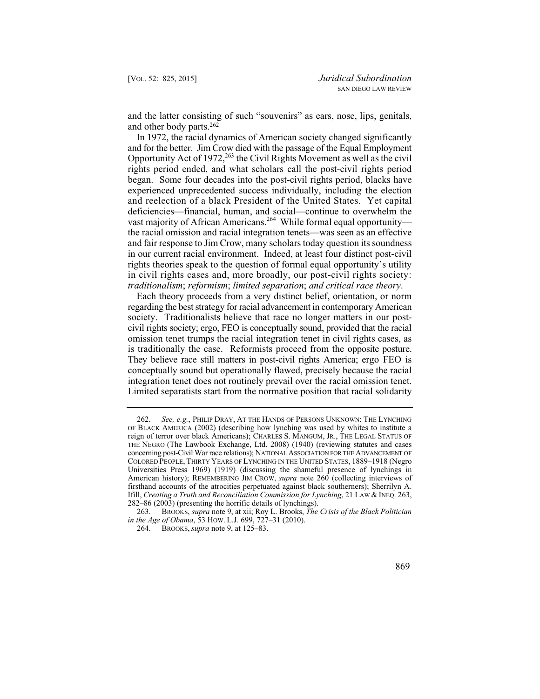and the latter consisting of such "souvenirs" as ears, nose, lips, genitals, and other body parts.262

In 1972, the racial dynamics of American society changed significantly and for the better. Jim Crow died with the passage of the Equal Employment Opportunity Act of 1972,<sup>263</sup> the Civil Rights Movement as well as the civil rights period ended, and what scholars call the post-civil rights period began. Some four decades into the post-civil rights period, blacks have experienced unprecedented success individually, including the election and reelection of a black President of the United States. Yet capital deficiencies—financial, human, and social—continue to overwhelm the vast majority of African Americans.<sup>264</sup> While formal equal opportunity the racial omission and racial integration tenets—was seen as an effective and fair response to Jim Crow, many scholars today question its soundness in our current racial environment. Indeed, at least four distinct post-civil rights theories speak to the question of formal equal opportunity's utility in civil rights cases and, more broadly, our post-civil rights society: *traditionalism*; *reformism*; *limited separation*; *and critical race theory*.

 is traditionally the case. Reformists proceed from the opposite posture. They believe race still matters in post-civil rights America; ergo FEO is Each theory proceeds from a very distinct belief, orientation, or norm regarding the best strategy for racial advancement in contemporary American society. Traditionalists believe that race no longer matters in our postcivil rights society; ergo, FEO is conceptually sound, provided that the racial omission tenet trumps the racial integration tenet in civil rights cases, as conceptually sound but operationally flawed, precisely because the racial integration tenet does not routinely prevail over the racial omission tenet. Limited separatists start from the normative position that racial solidarity

<sup>262.</sup> *See, e.g.*, PHILIP DRAY, AT THE HANDS OF PERSONS UNKNOWN: THE LYNCHING OF BLACK AMERICA (2002) (describing how lynching was used by whites to institute a reign of terror over black Americans); CHARLES S. MANGUM, JR., THE LEGAL STATUS OF THE NEGRO (The Lawbook Exchange, Ltd. 2008) (1940) (reviewing statutes and cases concerning post-Civil War race relations); NATIONAL ASSOCIATION FOR THE ADVANCEMENT OF COLORED PEOPLE, THIRTY YEARS OF LYNCHING IN THE UNITED STATES, 1889–1918 (Negro Universities Press 1969) (1919) (discussing the shameful presence of lynchings in American history); REMEMBERING JIM CROW, *supra* note 260 (collecting interviews of firsthand accounts of the atrocities perpetuated against black southerners); Sherrilyn A. Ifill, *Creating a Truth and Reconciliation Commission for Lynching*, 21 LAW & INEQ. 263, 282–86 (2003) (presenting the horrific details of lynchings).

<sup>263.</sup> BROOKS, *supra* note 9, at xii; Roy L. Brooks, *The Crisis of the Black Politician in the Age of Obama*, 53 HOW. L.J. 699, 727–31 (2010).

<sup>264.</sup> BROOKS, *supra* note 9, at 125–83.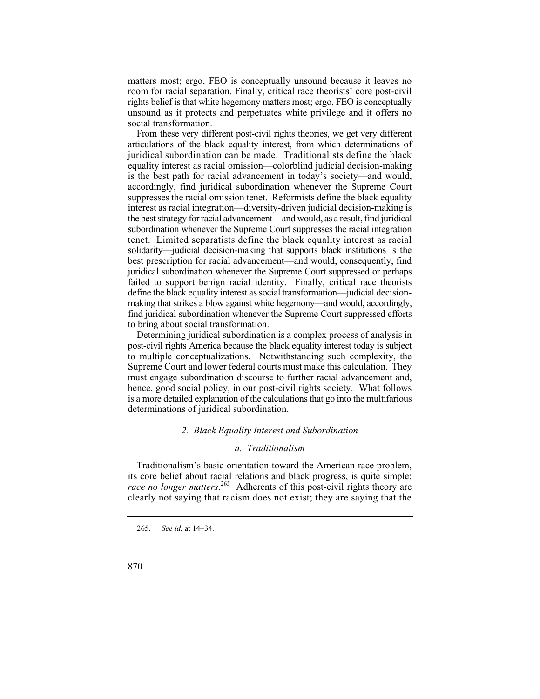matters most; ergo, FEO is conceptually unsound because it leaves no room for racial separation. Finally, critical race theorists' core post-civil rights belief is that white hegemony matters most; ergo, FEO is conceptually unsound as it protects and perpetuates white privilege and it offers no social transformation.

 solidarity—judicial decision-making that supports black institutions is the From these very different post-civil rights theories, we get very different articulations of the black equality interest, from which determinations of juridical subordination can be made. Traditionalists define the black equality interest as racial omission—colorblind judicial decision-making is the best path for racial advancement in today's society—and would, accordingly, find juridical subordination whenever the Supreme Court suppresses the racial omission tenet. Reformists define the black equality interest as racial integration—diversity-driven judicial decision-making is the best strategy for racial advancement—and would, as a result, find juridical subordination whenever the Supreme Court suppresses the racial integration tenet. Limited separatists define the black equality interest as racial best prescription for racial advancement—and would, consequently, find juridical subordination whenever the Supreme Court suppressed or perhaps failed to support benign racial identity. Finally, critical race theorists define the black equality interest as social transformation—judicial decisionmaking that strikes a blow against white hegemony—and would, accordingly, find juridical subordination whenever the Supreme Court suppressed efforts to bring about social transformation.

Determining juridical subordination is a complex process of analysis in post-civil rights America because the black equality interest today is subject to multiple conceptualizations. Notwithstanding such complexity, the Supreme Court and lower federal courts must make this calculation. They must engage subordination discourse to further racial advancement and, hence, good social policy, in our post-civil rights society. What follows is a more detailed explanation of the calculations that go into the multifarious determinations of juridical subordination.

### *2. Black Equality Interest and Subordination*

#### *a. Traditionalism*

Traditionalism's basic orientation toward the American race problem, its core belief about racial relations and black progress, is quite simple: *race no longer matters*. 265 Adherents of this post-civil rights theory are clearly not saying that racism does not exist; they are saying that the

<sup>265.</sup> *See id.* at 14–34.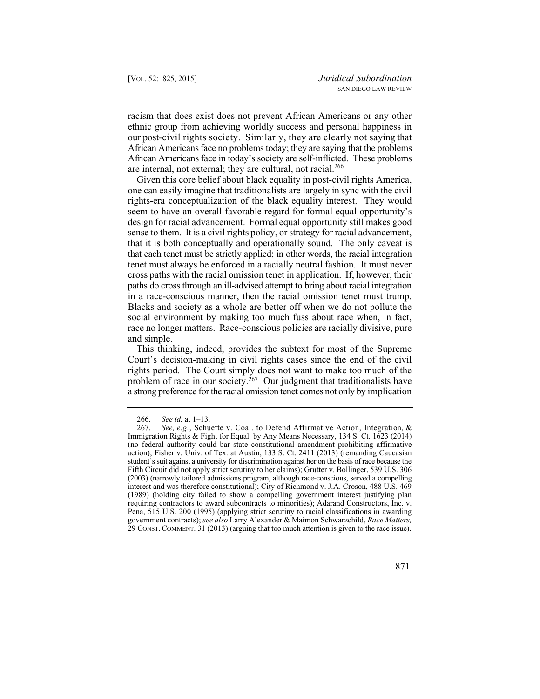our post-civil rights society. Similarly, they are clearly not saying that racism that does exist does not prevent African Americans or any other ethnic group from achieving worldly success and personal happiness in African Americans face no problems today; they are saying that the problems African Americans face in today's society are self-inflicted. These problems are internal, not external; they are cultural, not racial.<sup>266</sup>

in a race-conscious manner, then the racial omission tenet must trump. Given this core belief about black equality in post-civil rights America, one can easily imagine that traditionalists are largely in sync with the civil rights-era conceptualization of the black equality interest. They would seem to have an overall favorable regard for formal equal opportunity's design for racial advancement. Formal equal opportunity still makes good sense to them. It is a civil rights policy, or strategy for racial advancement, that it is both conceptually and operationally sound. The only caveat is that each tenet must be strictly applied; in other words, the racial integration tenet must always be enforced in a racially neutral fashion. It must never cross paths with the racial omission tenet in application. If, however, their paths do cross through an ill-advised attempt to bring about racial integration Blacks and society as a whole are better off when we do not pollute the social environment by making too much fuss about race when, in fact, race no longer matters. Race-conscious policies are racially divisive, pure and simple.

This thinking, indeed, provides the subtext for most of the Supreme Court's decision-making in civil rights cases since the end of the civil rights period. The Court simply does not want to make too much of the problem of race in our society.<sup>267</sup> Our judgment that traditionalists have a strong preference for the racial omission tenet comes not only by implication

 <sup>266.</sup> *See id.* at 1–13.

 267. *See, e.g.*, Schuette v. Coal. to Defend Affirmative Action, Integration, & (no federal authority could bar state constitutional amendment prohibiting affirmative (2003) (narrowly tailored admissions program, although race-conscious, served a compelling Immigration Rights & Fight for Equal. by Any Means Necessary, 134 S. Ct. 1623 (2014) action); Fisher v. Univ. of Tex. at Austin, 133 S. Ct. 2411 (2013) (remanding Caucasian student's suit against a university for discrimination against her on the basis of race because the Fifth Circuit did not apply strict scrutiny to her claims); Grutter v. Bollinger, 539 U.S. 306 interest and was therefore constitutional); City of Richmond v. J.A. Croson, 488 U.S. 469 (1989) (holding city failed to show a compelling government interest justifying plan requiring contractors to award subcontracts to minorities); Adarand Constructors, Inc. v. Pena, 515 U.S. 200 (1995) (applying strict scrutiny to racial classifications in awarding government contracts); *see also* Larry Alexander & Maimon Schwarzchild, *Race Matters,*  29 CONST. COMMENT. 31 (2013) (arguing that too much attention is given to the race issue).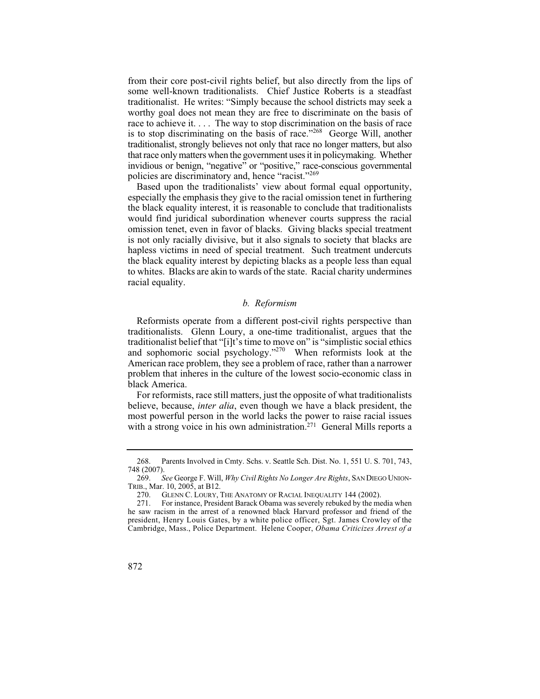from their core post-civil rights belief, but also directly from the lips of some well-known traditionalists. Chief Justice Roberts is a steadfast traditionalist. He writes: "Simply because the school districts may seek a worthy goal does not mean they are free to discriminate on the basis of race to achieve it. . . . The way to stop discrimination on the basis of race is to stop discriminating on the basis of race."268 George Will, another traditionalist, strongly believes not only that race no longer matters, but also that race only matters when the government uses it in policymaking. Whether invidious or benign, "negative" or "positive," race-conscious governmental policies are discriminatory and, hence "racist."<sup>269</sup>

Based upon the traditionalists' view about formal equal opportunity, especially the emphasis they give to the racial omission tenet in furthering the black equality interest, it is reasonable to conclude that traditionalists would find juridical subordination whenever courts suppress the racial omission tenet, even in favor of blacks. Giving blacks special treatment is not only racially divisive, but it also signals to society that blacks are hapless victims in need of special treatment. Such treatment undercuts the black equality interest by depicting blacks as a people less than equal to whites. Blacks are akin to wards of the state. Racial charity undermines racial equality.

#### *b. Reformism*

Reformists operate from a different post-civil rights perspective than traditionalists. Glenn Loury, a one-time traditionalist, argues that the traditionalist belief that "[i]t's time to move on" is "simplistic social ethics and sophomoric social psychology."270 When reformists look at the American race problem, they see a problem of race, rather than a narrower problem that inheres in the culture of the lowest socio-economic class in black America.

For reformists, race still matters, just the opposite of what traditionalists believe, because, *inter alia*, even though we have a black president, the most powerful person in the world lacks the power to raise racial issues with a strong voice in his own administration.<sup>271</sup> General Mills reports a

<sup>268.</sup> Parents Involved in Cmty. Schs. v. Seattle Sch. Dist. No. 1, 551 U. S. 701, 743, 748 (2007).

<sup>269.</sup> *See* George F. Will, *Why Civil Rights No Longer Are Rights*, SAN DIEGO UNION-TRIB., Mar. 10, 2005, at B12.

<sup>270.</sup> GLENN C. LOURY, THE ANATOMY OF RACIAL INEQUALITY 144 (2002).

 president, Henry Louis Gates, by a white police officer, Sgt. James Crowley of the 271. For instance, President Barack Obama was severely rebuked by the media when he saw racism in the arrest of a renowned black Harvard professor and friend of the Cambridge, Mass., Police Department. Helene Cooper, *Obama Criticizes Arrest of a*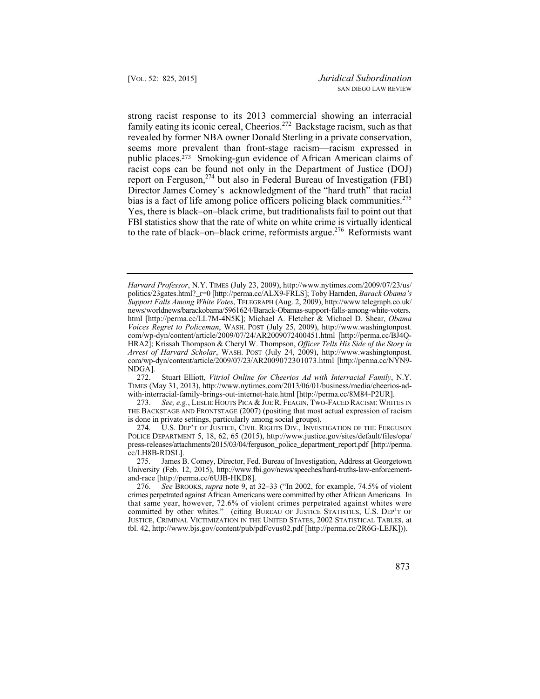family eating its iconic cereal, Cheerios.<sup>272</sup> Backstage racism, such as that strong racist response to its 2013 commercial showing an interracial revealed by former NBA owner Donald Sterling in a private conservation, seems more prevalent than front-stage racism—racism expressed in public places.273 Smoking-gun evidence of African American claims of racist cops can be found not only in the Department of Justice (DOJ) report on Ferguson,  $274$  but also in Federal Bureau of Investigation (FBI) Director James Comey's acknowledgment of the "hard truth" that racial bias is a fact of life among police officers policing black communities.<sup>275</sup> Yes, there is black–on–black crime, but traditionalists fail to point out that FBI statistics show that the rate of white on white crime is virtually identical to the rate of black–on–black crime, reformists argue.<sup>276</sup> Reformists want

*Harvard Professor*, N.Y. TIMES (July 23, 2009), http://www.nytimes.com/2009/07/23/us/ politics/23gates.html?\_r=0 [http://perma.cc/ALX9-FRLS]; Toby Harnden, *Barack Obama's Support Falls Among White Votes*, TELEGRAPH (Aug. 2, 2009), http://www.telegraph.co.uk/ news/worldnews/barackobama/5961624/Barack-Obamas-support-falls-among-white-voters. html [http://perma.cc/LL7M-4N5K]; Michael A. Fletcher & Michael D. Shear, *Obama Voices Regret to Policeman*, WASH. POST (July 25, 2009), http://www.washingtonpost. com/wp-dyn/content/article/2009/07/24/AR2009072400451.html [http://perma.cc/BJ4Q-HRA2]; Krissah Thompson & Cheryl W. Thompson, *Officer Tells His Side of the Story in Arrest of Harvard Scholar*, WASH. POST (July 24, 2009), http://www.washingtonpost. com/wp-dyn/content/article/2009/07/23/AR2009072301073.html [http://perma.cc/NYN9- NDGA].<br>272.

 272. Stuart Elliott, *Vitriol Online for Cheerios Ad with Interracial Family*, N.Y. TIMES (May 31, 2013), http://www.nytimes.com/2013/06/01/business/media/cheerios-adwith-interracial-family-brings-out-internet-hate.html [http://perma.cc/8M84-P2UR].<br>273. See, e.g., LESLIE HOUTS PICA & JOE R. FEAGIN, TWO-FACED RACISM: WHIT

 THE BACKSTAGE AND FRONTSTAGE (2007) (positing that most actual expression of racism See, e.g., LESLIE HOUTS PICA & JOE R. FEAGIN, TWO-FACED RACISM: WHITES IN is done in private settings, particularly among social groups).

<sup>274.</sup> U.S. DEP'T OF JUSTICE, CIVIL RIGHTS DIV., INVESTIGATION OF THE FERGUSON POLICE DEPARTMENT 5, 18, 62, 65 (2015), http://www.justice.gov/sites/default/files/opa/ press-releases/attachments/2015/03/04/ferguson\_police\_department\_report.pdf [http://perma. cc/LH8B-RDSL].

<sup>275.</sup> James B. Comey, Director, Fed. Bureau of Investigation, Address at Georgetown University (Feb. 12, 2015), http://www.fbi.gov/news/speeches/hard-truths-law-enforcementand-race [http://perma.cc/6UJB-HKD8].

 crimes perpetrated against African Americans were committed by other African Americans. In 276. *See* BROOKS, *supra* note 9, at 32–33 ("In 2002, for example, 74.5% of violent that same year, however, 72.6% of violent crimes perpetrated against whites were committed by other whites." (citing BUREAU OF JUSTICE STATISTICS, U.S. DEP'T OF JUSTICE, CRIMINAL VICTIMIZATION IN THE UNITED STATES, 2002 STATISTICAL TABLES, at tbl. 42, http://www.bjs.gov/content/pub/pdf/cvus02.pdf [http://perma.cc/2R6G-LEJK])).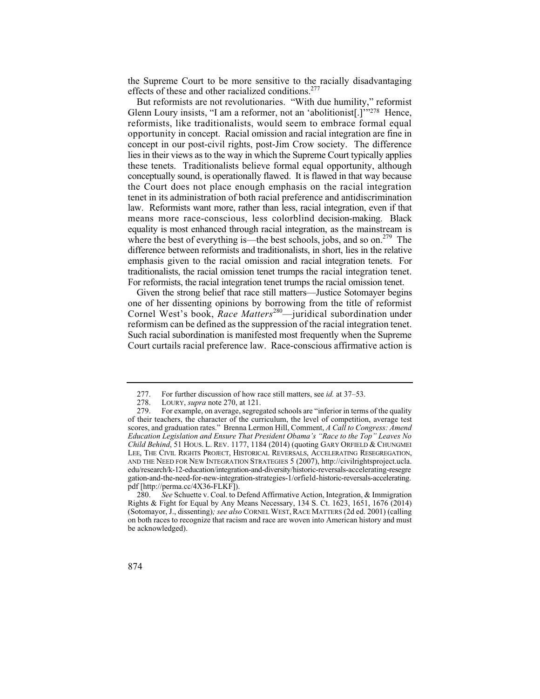the Supreme Court to be more sensitive to the racially disadvantaging effects of these and other racialized conditions.<sup>277</sup>

 means more race-conscious, less colorblind decision-making. Black equality is most enhanced through racial integration, as the mainstream is emphasis given to the racial omission and racial integration tenets. For But reformists are not revolutionaries. "With due humility," reformist Glenn Loury insists, "I am a reformer, not an 'abolitionist[.]'"278 Hence, reformists, like traditionalists, would seem to embrace formal equal opportunity in concept. Racial omission and racial integration are fine in concept in our post-civil rights, post-Jim Crow society. The difference lies in their views as to the way in which the Supreme Court typically applies these tenets. Traditionalists believe formal equal opportunity, although conceptually sound, is operationally flawed. It is flawed in that way because the Court does not place enough emphasis on the racial integration tenet in its administration of both racial preference and antidiscrimination law. Reformists want more, rather than less, racial integration, even if that where the best of everything is—the best schools, jobs, and so on.<sup>279</sup> The difference between reformists and traditionalists, in short, lies in the relative traditionalists, the racial omission tenet trumps the racial integration tenet. For reformists, the racial integration tenet trumps the racial omission tenet.

 Cornel West's book, *Race Matters*280—juridical subordination under Given the strong belief that race still matters—Justice Sotomayer begins one of her dissenting opinions by borrowing from the title of reformist reformism can be defined as the suppression of the racial integration tenet. Such racial subordination is manifested most frequently when the Supreme Court curtails racial preference law. Race-conscious affirmative action is

<sup>280.</sup> *See* Schuette v. Coal. to Defend Affirmative Action, Integration, & Immigration Rights & Fight for Equal by Any Means Necessary, 134 S. Ct. 1623, 1651, 1676 (2014) (Sotomayor, J., dissenting)*; see also* CORNEL WEST, RACE MATTERS (2d ed. 2001) (calling on both races to recognize that racism and race are woven into American history and must be acknowledged).



<sup>277.</sup> For further discussion of how race still matters, see *id.* at 37–53.<br>278. LOURY. *supra* note 270. at 121.

<sup>278.</sup> LOURY, *supra* note 270, at 121.<br>279. For example, on average, segreg

For example, on average, segregated schools are "inferior in terms of the quality" of their teachers, the character of the curriculum, the level of competition, average test scores, and graduation rates." Brenna Lermon Hill, Comment, *A Call to Congress: Amend Education Legislation and Ensure That President Obama's "Race to the Top" Leaves No Child Behind*, 51 HOUS. L. REV. 1177, 1184 (2014) (quoting GARY ORFIELD & CHUNGMEI LEE, THE CIVIL RIGHTS PROJECT, HISTORICAL REVERSALS, ACCELERATING RESEGREGATION, AND THE NEED FOR NEW INTEGRATION STRATEGIES 5 (2007), http://civilrightsproject.ucla. edu/research/k-12-education/integration-and-diversity/historic-reversals-accelerating-resegre gation-and-the-need-for-new-integration-strategies-1/orfield-historic-reversals-accelerating. pdf [http://perma.cc/4X36-FLKF]).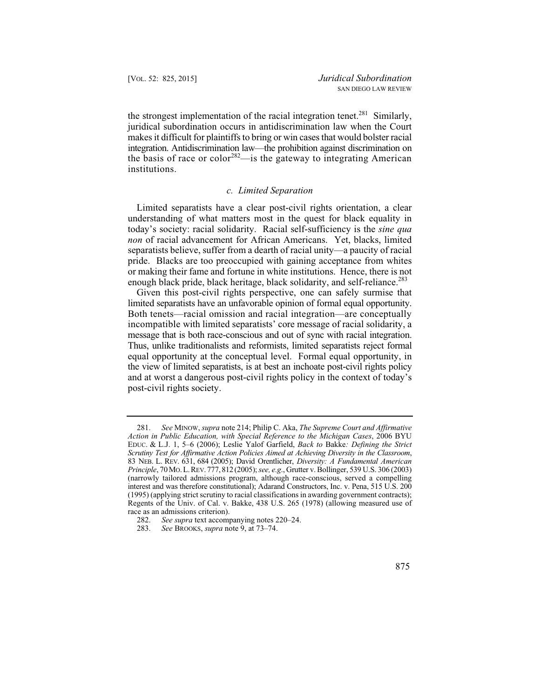the strongest implementation of the racial integration tenet.<sup>281</sup> Similarly, juridical subordination occurs in antidiscrimination law when the Court makes it difficult for plaintiffs to bring or win cases that would bolster racial integration. Antidiscrimination law—the prohibition against discrimination on the basis of race or color<sup>282</sup>—is the gateway to integrating American institutions.

# *c. Limited Separation*

 separatists believe, suffer from a dearth of racial unity—a paucity of racial Limited separatists have a clear post-civil rights orientation, a clear understanding of what matters most in the quest for black equality in today's society: racial solidarity. Racial self-sufficiency is the *sine qua non* of racial advancement for African Americans. Yet, blacks, limited pride. Blacks are too preoccupied with gaining acceptance from whites or making their fame and fortune in white institutions. Hence, there is not enough black pride, black heritage, black solidarity, and self-reliance.<sup>283</sup>

Given this post-civil rights perspective, one can safely surmise that limited separatists have an unfavorable opinion of formal equal opportunity. Both tenets—racial omission and racial integration—are conceptually incompatible with limited separatists' core message of racial solidarity, a message that is both race-conscious and out of sync with racial integration. Thus, unlike traditionalists and reformists, limited separatists reject formal equal opportunity at the conceptual level. Formal equal opportunity, in the view of limited separatists, is at best an inchoate post-civil rights policy and at worst a dangerous post-civil rights policy in the context of today's post-civil rights society.

 *Scrutiny Test for Affirmative Action Policies Aimed at Achieving Diversity in the Classroom*, 281. *See* MINOW, *supra* note 214; Philip C. Aka, *The Supreme Court and Affirmative Action in Public Education, with Special Reference to the Michigan Cases*, 2006 BYU EDUC. & L.J. 1, 5–6 (2006); Leslie Yalof Garfield, *Back to* Bakke*: Defining the Strict*  83 NEB. L. REV. 631, 684 (2005); David Orentlicher, *Diversity: A Fundamental American Principle*, 70 MO.L. REV. 777, 812 (2005); *see, e.g*., Grutter v. Bollinger, 539 U.S. 306 (2003) (narrowly tailored admissions program, although race-conscious, served a compelling interest and was therefore constitutional); Adarand Constructors, Inc. v. Pena, 515 U.S. 200 (1995) (applying strict scrutiny to racial classifications in awarding government contracts); Regents of the Univ. of Cal. v. Bakke, 438 U.S. 265 (1978) (allowing measured use of race as an admissions criterion).

<sup>282.</sup> *See supra* text accompanying notes 220–24.<br>283. *See* BROOKS, *supra* note 9, at 73–74.

See BROOKS, *supra* note 9, at 73–74.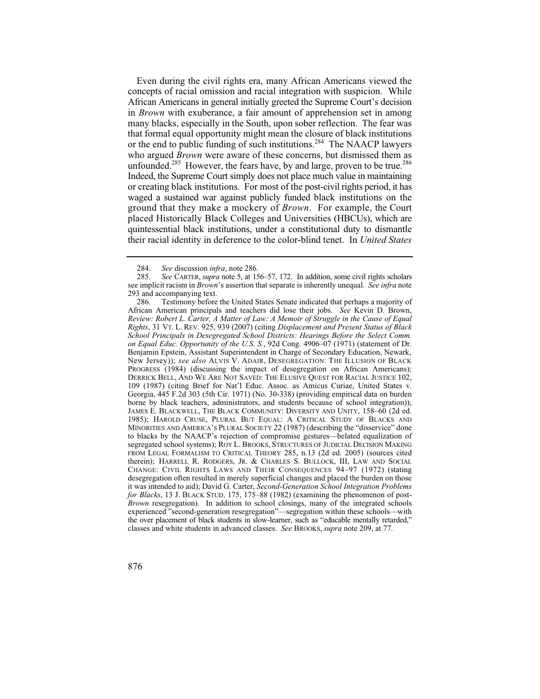Even during the civil rights era, many African Americans viewed the or creating black institutions. For most of the post-civil rights period, it has ground that they make a mockery of *Brown*. For example, the Court placed Historically Black Colleges and Universities (HBCUs), which are concepts of racial omission and racial integration with suspicion. While African Americans in general initially greeted the Supreme Court's decision in *Brown* with exuberance, a fair amount of apprehension set in among many blacks, especially in the South, upon sober reflection. The fear was that formal equal opportunity might mean the closure of black institutions or the end to public funding of such institutions.<sup>284</sup> The NAACP lawyers who argued *Brown* were aware of these concerns, but dismissed them as unfounded.<sup>285</sup> However, the fears have, by and large, proven to be true.<sup>286</sup> Indeed, the Supreme Court simply does not place much value in maintaining waged a sustained war against publicly funded black institutions on the quintessential black institutions, under a constitutional duty to dismantle their racial identity in deference to the color-blind tenet. In *United States* 

<sup>284.</sup> *See* discussion *infra*, note 286.

See CARTER, *supra* note 5, at 156–57, 172. In addition, some civil rights scholars see implicit racism in *Brown*'s assertion that separate is inherently unequal. *See infra* note 293 and accompanying text.

 CHANGE: CIVIL RIGHTS LAWS AND THEIR CONSEQUENCES 94–97 (1972) (stating classes and white students in advanced classes. *See* BROOKS, *supra* note 209, at 77. 286. Testimony before the United States Senate indicated that perhaps a majority of African American principals and teachers did lose their jobs. *See* Kevin D. Brown, *Review: Robert L. Carter, A Matter of Law: A Memoir of Struggle in the Cause of Equal Rights*, 31 VT. L. REV. 925, 939 (2007) (citing *Displacement and Present Status of Black School Principals in Desegregated School Districts: Hearings Before the Select Comm. on Equal Educ. Opportunity of the U.S. S.*, 92d Cong. 4906–07 (1971) (statement of Dr. Benjamin Epstein, Assistant Superintendent in Charge of Secondary Education, Newark, New Jersey)); *see also* ALVIS V. ADAIR, DESEGREGATION: THE ILLUSION OF BLACK PROGRESS (1984) (discussing the impact of desegregation on African Americans); DERRICK BELL, AND WE ARE NOT SAVED: THE ELUSIVE QUEST FOR RACIAL JUSTICE 102, 109 (1987) (citing Brief for Nat'l Educ. Assoc. as Amicus Curiae, United States v. Georgia, 445 F.2d 303 (5th Cir. 1971) (No. 30-338) (providing empirical data on burden borne by black teachers, administrators, and students because of school integration)); JAMES E. BLACKWELL, THE BLACK COMMUNITY: DIVERSITY AND UNITY, 158–60 (2d ed. 1985); HAROLD CRUSE, PLURAL BUT EQUAL: A CRITICAL STUDY OF BLACKS AND MINORITIES AND AMERICA'S PLURAL SOCIETY 22 (1987) (describing the "disservice" done to blacks by the NAACP's rejection of compromise gestures—belated equalization of segregated school systems); ROY L. BROOKS, STRUCTURES OF JUDICIAL DECISION MAKING FROM LEGAL FORMALISM TO CRITICAL THEORY 285, n.13 (2d ed. 2005) (sources cited therein); HARRELL R. RODGERS, JR. & CHARLES S. BULLOCK, III, LAW AND SOCIAL desegregation often resulted in merely superficial changes and placed the burden on those it was intended to aid); David G. Carter, *Second-Generation School Integration Problems for Blacks*, 13 J. BLACK STUD. 175, 175–88 (1982) (examining the phenomenon of post-*Brown* resegregation). In addition to school closings, many of the integrated schools experienced "second-generation resegregation"—segregation within these schools—with the over placement of black students in slow-learner, such as "educable mentally retarded,"

<sup>876</sup>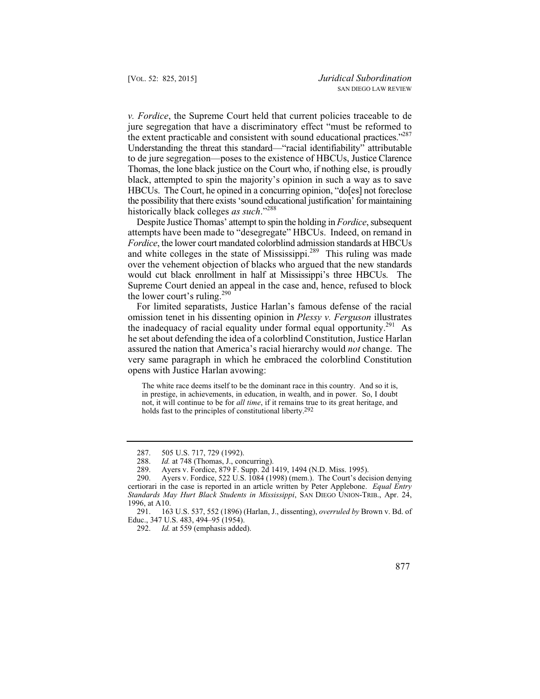to de jure segregation—poses to the existence of HBCUs, Justice Clarence Thomas, the lone black justice on the Court who, if nothing else, is proudly *v. Fordice*, the Supreme Court held that current policies traceable to de jure segregation that have a discriminatory effect "must be reformed to the extent practicable and consistent with sound educational practices."<sup>287</sup> Understanding the threat this standard—"racial identifiability" attributable black, attempted to spin the majority's opinion in such a way as to save HBCUs. The Court, he opined in a concurring opinion, "do[es] not foreclose the possibility that there exists 'sound educational justification' for maintaining historically black colleges *as such*."288

Despite Justice Thomas' attempt to spin the holding in *Fordice*, subsequent attempts have been made to "desegregate" HBCUs. Indeed, on remand in *Fordice*, the lower court mandated colorblind admission standards at HBCUs and white colleges in the state of Mississippi.<sup>289</sup> This ruling was made over the vehement objection of blacks who argued that the new standards would cut black enrollment in half at Mississippi's three HBCUs. The Supreme Court denied an appeal in the case and, hence, refused to block the lower court's ruling.<sup>290</sup>

the inadequacy of racial equality under formal equal opportunity.<sup>291</sup> As For limited separatists, Justice Harlan's famous defense of the racial omission tenet in his dissenting opinion in *Plessy v. Ferguson* illustrates he set about defending the idea of a colorblind Constitution, Justice Harlan assured the nation that America's racial hierarchy would *not* change. The very same paragraph in which he embraced the colorblind Constitution opens with Justice Harlan avowing:

The white race deems itself to be the dominant race in this country. And so it is, in prestige, in achievements, in education, in wealth, and in power. So, I doubt not, it will continue to be for *all time*, if it remains true to its great heritage, and holds fast to the principles of constitutional liberty.<sup>292</sup>

<sup>287. 505</sup> U.S. 717, 729 (1992).

<sup>288.</sup> *Id.* at 748 (Thomas, J., concurring).

<sup>289.</sup> Ayers v. Fordice, 879 F. Supp. 2d 1419, 1494 (N.D. Miss. 1995).

<sup>290.</sup> Ayers v. Fordice, 522 U.S. 1084 (1998) (mem.). The Court's decision denying certiorari in the case is reported in an article written by Peter Applebone. *Equal Entry Standards May Hurt Black Students in Mississippi*, SAN DIEGO UNION-TRIB., Apr. 24, 1996, at A10.

<sup>291. 163</sup> U.S. 537, 552 (1896) (Harlan, J., dissenting), *overruled by* Brown v. Bd. of Educ., 347 U.S. 483, 494–95 (1954).

<sup>292.</sup> *Id.* at 559 (emphasis added).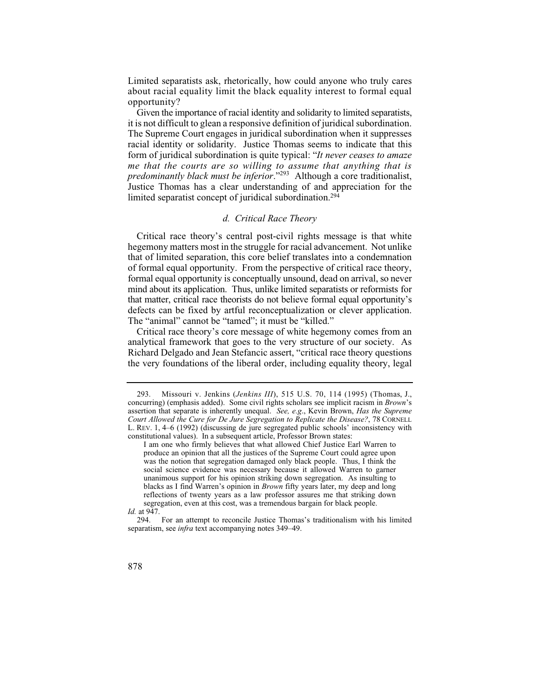Limited separatists ask, rhetorically, how could anyone who truly cares about racial equality limit the black equality interest to formal equal opportunity?

Given the importance of racial identity and solidarity to limited separatists, it is not difficult to glean a responsive definition of juridical subordination. The Supreme Court engages in juridical subordination when it suppresses racial identity or solidarity. Justice Thomas seems to indicate that this form of juridical subordination is quite typical: "*It never ceases to amaze me that the courts are so willing to assume that anything that is predominantly black must be inferior*."293 Although a core traditionalist, Justice Thomas has a clear understanding of and appreciation for the limited separatist concept of juridical subordination.294

#### *d. Critical Race Theory*

Critical race theory's central post-civil rights message is that white hegemony matters most in the struggle for racial advancement. Not unlike that of limited separation, this core belief translates into a condemnation of formal equal opportunity. From the perspective of critical race theory, formal equal opportunity is conceptually unsound, dead on arrival, so never mind about its application. Thus, unlike limited separatists or reformists for that matter, critical race theorists do not believe formal equal opportunity's defects can be fixed by artful reconceptualization or clever application. The "animal" cannot be "tamed"; it must be "killed."

Critical race theory's core message of white hegemony comes from an analytical framework that goes to the very structure of our society. As Richard Delgado and Jean Stefancic assert, "critical race theory questions the very foundations of the liberal order, including equality theory, legal

<sup>294.</sup> For an attempt to reconcile Justice Thomas's traditionalism with his limited separatism, see *infra* text accompanying notes 349–49.



<sup>293.</sup> Missouri v. Jenkins (*Jenkins III*), 515 U.S. 70, 114 (1995) (Thomas, J., concurring) (emphasis added). Some civil rights scholars see implicit racism in *Brown*'s assertion that separate is inherently unequal. *See, e.g*., Kevin Brown, *Has the Supreme Court Allowed the Cure for De Jure Segregation to Replicate the Disease?*, 78 CORNELL L. REV. 1, 4–6 (1992) (discussing de jure segregated public schools' inconsistency with constitutional values). In a subsequent article, Professor Brown states:

I am one who firmly believes that what allowed Chief Justice Earl Warren to produce an opinion that all the justices of the Supreme Court could agree upon was the notion that segregation damaged only black people. Thus, I think the social science evidence was necessary because it allowed Warren to garner unanimous support for his opinion striking down segregation. As insulting to blacks as I find Warren's opinion in *Brown* fifty years later, my deep and long reflections of twenty years as a law professor assures me that striking down segregation, even at this cost, was a tremendous bargain for black people. *Id.* at 947.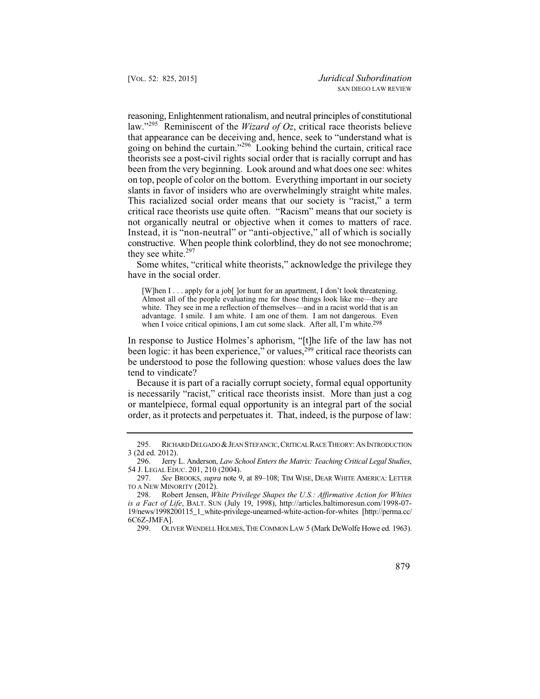constructive. When people think colorblind, they do not see monochrome; reasoning, Enlightenment rationalism, and neutral principles of constitutional law."295 Reminiscent of the *Wizard of Oz*, critical race theorists believe that appearance can be deceiving and, hence, seek to "understand what is going on behind the curtain."296 Looking behind the curtain, critical race theorists see a post-civil rights social order that is racially corrupt and has been from the very beginning. Look around and what does one see: whites on top, people of color on the bottom. Everything important in our society slants in favor of insiders who are overwhelmingly straight white males. This racialized social order means that our society is "racist," a term critical race theorists use quite often. "Racism" means that our society is not organically neutral or objective when it comes to matters of race. Instead, it is "non-neutral" or "anti-objective," all of which is socially they see white. $297$ 

Some whites, "critical white theorists," acknowledge the privilege they have in the social order.

[W]hen I . . . apply for a job[ ]or hunt for an apartment, I don't look threatening. Almost all of the people evaluating me for those things look like me—they are white. They see in me a reflection of themselves—and in a racist world that is an advantage. I smile. I am white. I am one of them. I am not dangerous. Even when I voice critical opinions, I am cut some slack. After all, I'm white.298

In response to Justice Holmes's aphorism, "[t]he life of the law has not been logic: it has been experience," or values, $2^{99}$  critical race theorists can be understood to pose the following question: whose values does the law tend to vindicate?

Because it is part of a racially corrupt society, formal equal opportunity is necessarily "racist," critical race theorists insist. More than just a cog or mantelpiece, formal equal opportunity is an integral part of the social order, as it protects and perpetuates it. That, indeed, is the purpose of law:

299. OLIVER WENDELL HOLMES, THE COMMON LAW 5 (Mark DeWolfe Howe ed. 1963).

<sup>295.</sup> RICHARD DELGADO & JEAN STEFANCIC, CRITICAL RACE THEORY: AN INTRODUCTION 3 (2d ed. 2012).

<sup>296.</sup> Jerry L. Anderson, *Law School Enters the Matrix: Teaching Critical Legal Studies*, 54 J. LEGAL EDUC. 201, 210 (2004).

<sup>297.</sup> *See* BROOKS, *supra* note 9, at 89–108; TIM WISE, DEAR WHITE AMERICA: LETTER TO A NEW MINORITY (2012).

<sup>298.</sup> Robert Jensen, *White Privilege Shapes the U.S.: Affirmative Action for Whites is a Fact of Life*, BALT. SUN (July 19, 1998), http://articles.baltimoresun.com/1998-07-19/news/1998200115\_1\_white-privilege-unearned-white-action-for-whites [http://perma.cc/ 6C6Z-JMFA].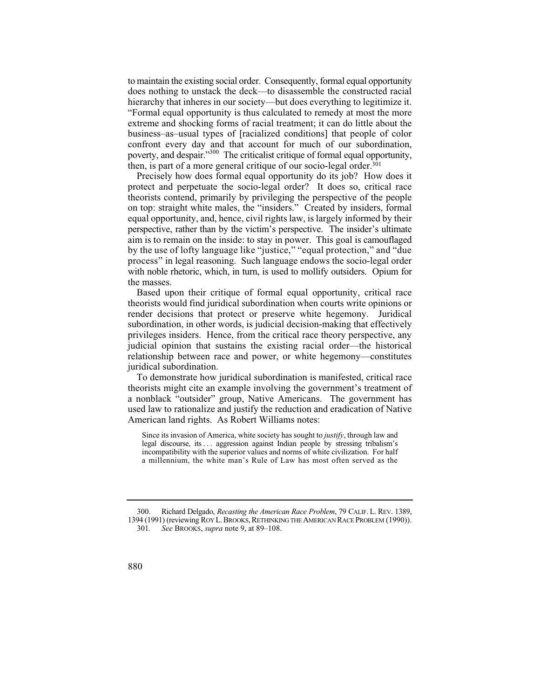hierarchy that inheres in our society—but does everything to legitimize it. to maintain the existing social order. Consequently, formal equal opportunity does nothing to unstack the deck—to disassemble the constructed racial "Formal equal opportunity is thus calculated to remedy at most the more extreme and shocking forms of racial treatment; it can do little about the business–as–usual types of [racialized conditions] that people of color confront every day and that account for much of our subordination, poverty, and despair."300 The criticalist critique of formal equal opportunity, then, is part of a more general critique of our socio-legal order.<sup>301</sup>

Precisely how does formal equal opportunity do its job? How does it protect and perpetuate the socio-legal order? It does so, critical race theorists contend, primarily by privileging the perspective of the people on top: straight white males, the "insiders." Created by insiders, formal equal opportunity, and, hence, civil rights law, is largely informed by their perspective, rather than by the victim's perspective. The insider's ultimate aim is to remain on the inside: to stay in power. This goal is camouflaged by the use of lofty language like "justice," "equal protection," and "due process" in legal reasoning. Such language endows the socio-legal order with noble rhetoric, which, in turn, is used to mollify outsiders. Opium for the masses.

Based upon their critique of formal equal opportunity, critical race theorists would find juridical subordination when courts write opinions or render decisions that protect or preserve white hegemony. Juridical subordination, in other words, is judicial decision-making that effectively privileges insiders. Hence, from the critical race theory perspective, any judicial opinion that sustains the existing racial order—the historical relationship between race and power, or white hegemony—constitutes juridical subordination.

To demonstrate how juridical subordination is manifested, critical race theorists might cite an example involving the government's treatment of a nonblack "outsider" group, Native Americans. The government has used law to rationalize and justify the reduction and eradication of Native American land rights. As Robert Williams notes:

 legal discourse, its . . . aggression against Indian people by stressing tribalism's Since its invasion of America, white society has sought to *justify*, through law and incompatibility with the superior values and norms of white civilization. For half a millennium, the white man's Rule of Law has most often served as the

 300. Richard Delgado, *Recasting the American Race Problem*, 79 CALIF. L. REV. 1389, 1394 (1991) (reviewing ROY L. BROOKS, RETHINKING THE AMERICAN RACE PROBLEM (1990)). 301*. See* BROOKS, *supra* note 9, at 89–108.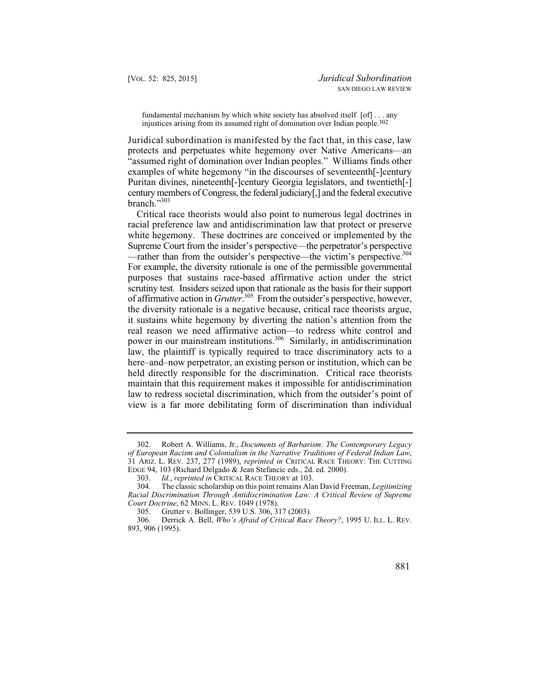fundamental mechanism by which white society has absolved itself [of] . . . any injustices arising from its assumed right of domination over Indian people.302

Juridical subordination is manifested by the fact that, in this case, law protects and perpetuates white hegemony over Native Americans—an "assumed right of domination over Indian peoples." Williams finds other examples of white hegemony "in the discourses of seventeenth[-]century Puritan divines, nineteenth[-]century Georgia legislators, and twentieth[-] century members of Congress, the federal judiciary[,] and the federal executive branch."303

 Supreme Court from the insider's perspective—the perpetrator's perspective of affirmative action in *Grutter*.<sup>305</sup> From the outsider's perspective, however, Critical race theorists would also point to numerous legal doctrines in racial preference law and antidiscrimination law that protect or preserve white hegemony. These doctrines are conceived or implemented by the —rather than from the outsider's perspective—the victim's perspective.<sup>304</sup> For example, the diversity rationale is one of the permissible governmental purposes that sustains race-based affirmative action under the strict scrutiny test. Insiders seized upon that rationale as the basis for their support the diversity rationale is a negative because, critical race theorists argue, it sustains white hegemony by diverting the nation's attention from the real reason we need affirmative action—to redress white control and power in our mainstream institutions.306 Similarly, in antidiscrimination law, the plaintiff is typically required to trace discriminatory acts to a here–and–now perpetrator, an existing person or institution, which can be held directly responsible for the discrimination. Critical race theorists maintain that this requirement makes it impossible for antidiscrimination law to redress societal discrimination, which from the outsider's point of view is a far more debilitating form of discrimination than individual

<sup>302.</sup> Robert A. Williams, Jr., *Documents of Barbarism: The Contemporary Legacy of European Racism and Colonialism in the Narrative Traditions of Federal Indian Law*, 31 ARIZ. L. REV. 237, 277 (1989), *reprinted in* CRITICAL RACE THEORY: THE CUTTING EDGE 94, 103 (Richard Delgado & Jean Stefancic eds., 2d. ed. 2000).

<sup>303.</sup> *Id.*, *reprinted in* CRITICAL RACE THEORY at 103.

<sup>304.</sup> The classic scholarship on this point remains Alan David Freeman, *Legitimizing Racial Discrimination Through Antidiscrimination Law: A Critical Review of Supreme Court Doctrine*, 62 MINN. L. REV. 1049 (1978).

<sup>305.</sup> Grutter v. Bollinger, 539 U.S. 306, 317 (2003).

<sup>306.</sup> Derrick A. Bell, *Who's Afraid of Critical Race Theory?*, 1995 U. ILL. L. REV. 893, 906 (1995).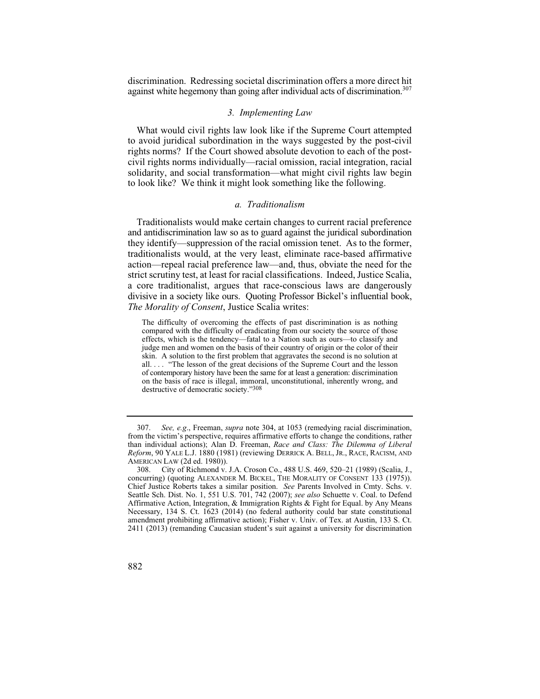discri m ination. Redressing societal discri mination offers a more direct hit against white hegemony than going after individual acts of discrimination.<sup>307</sup>

## *3. Implementing Law*

What would civil rights law look like if the Supreme Court attempted to avoid juridical subordination in the ways suggested by the post-civil rights norms? If the Court showed absolute devotion to each of the postcivil rights norms individually—racial omission, racial integration, racial solidarity, and social transformation—what might civil rights law begin to look like? We think it might look something like the following.

# *a. Traditionalism*

Traditionalists would make certain changes to current racial preference and antidiscrimination law so as to guard against the juridical subordination they identify—suppression of the racial omission tenet. As to the former, traditionalists would, at the very least, eliminate race-based affirmative action—repeal racial preference law—and, thus, obviate the need for the strict scrutiny test, at least for racial classifications. Indeed, Justice Scalia, a core traditionalist, argues that race-conscious laws are dangerously divisive in a society like ours. Quoting Professor Bickel's influential book, *The Morality of Consent*, Justice Scalia writes:

The difficulty of overcoming the effects of past discrimination is as nothing compared with the difficulty of eradicating from our society the source of those effects, which is the tendency—fatal to a Nation such as ours—to classify and judge men and women on the basis of their country of origin or the color of their skin. A solution to the first problem that aggravates the second is no solution at all. . . . "The lesson of the great decisions of the Supreme Court and the lesson of contemporary history have been the same for at least a generation: discrimination on the basis of race is illegal, immoral, unconstitutional, inherently wrong, and destructive of democratic society."308

See, e.g., Freeman, *supra* note 304, at 1053 (remedying racial discrimination, from the victim's perspective, requires affirmative efforts to change the conditions, rather than individual actions); Alan D. Freeman, *Race and Class: The Dilemma of Liberal Reform*, 90 YALE L.J. 1880 (1981) (reviewing DERRICK A. BELL, JR., RACE, RACISM, AND AMERICAN LAW (2d ed. 1980)).

<sup>308.</sup> City of Richmond v. J.A. Croson Co., 488 U.S. 469, 520–21 (1989) (Scalia, J., concurring) (quoting ALEXANDER M. BICKEL, THE MORALITY OF CONSENT 133 (1975)). Chief Justice Roberts takes a similar position. *See* Parents Involved in Cmty. Schs. v. Seattle Sch. Dist. No. 1, 551 U.S. 701, 742 (2007); *see also* Schuette v. Coal. to Defend Affirmative Action, Integration, & Immigration Rights & Fight for Equal. by Any Means Necessary, 134 S. Ct. 1623 (2014) (no federal authority could bar state constitutional amendment prohibiting affirmative action); Fisher v. Univ. of Tex. at Austin, 133 S. Ct. 2411 (2013) (remanding Caucasian student's suit against a university for discrimination

<sup>882</sup>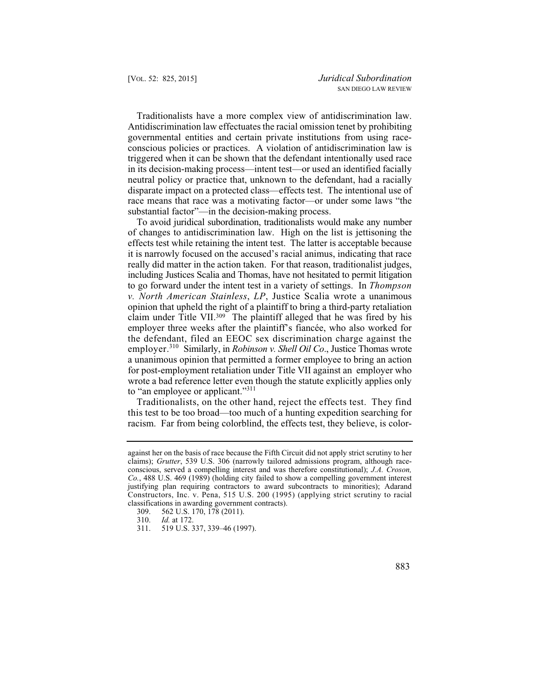Traditionalists have a more complex view of antidiscrimination law. Antidiscrimination law effectuates the racial omission tenet by prohibiting governmental entities and certain private institutions from using raceconscious policies or practices. A violation of antidiscrimination law is triggered when it can be shown that the defendant intentionally used race in its decision-making process—intent test—or used an identified facially neutral policy or practice that, unknown to the defendant, had a racially disparate impact on a protected class—effects test. The intentional use of race means that race was a motivating factor—or under some laws "the substantial factor"—in the decision-making process.

To avoid juridical subordination, traditionalists would make any number of changes to antidiscrimination law. High on the list is jettisoning the effects test while retaining the intent test. The latter is acceptable because it is narrowly focused on the accused's racial animus, indicating that race really did matter in the action taken. For that reason, traditionalist judges, including Justices Scalia and Thomas, have not hesitated to permit litigation to go forward under the intent test in a variety of settings. In *Thompson v. North American Stainless*, *LP*, Justice Scalia wrote a unanimous opinion that upheld the right of a plaintiff to bring a third-party retaliation claim under Title VII.<sup>309</sup> The plaintiff alleged that he was fired by his employer three weeks after the plaintiff's fiancée, who also worked for the defendant, filed an EEOC sex discrimination charge against the employer.<sup>310</sup> Similarly, in *Robinson v. Shell Oil Co.*, Justice Thomas wrote a unanimous opinion that permitted a former employee to bring an action for post-employment retaliation under Title VII against an employer who wrote a bad reference letter even though the statute explicitly applies only to "an employee or applicant."<sup>311</sup>

Traditionalists, on the other hand, reject the effects test. They find this test to be too broad—too much of a hunting expedition searching for racism. Far from being colorblind, the effects test, they believe, is color-

 claims); *Grutter*, 539 U.S. 306 (narrowly tailored admissions program, although raceagainst her on the basis of race because the Fifth Circuit did not apply strict scrutiny to her conscious, served a compelling interest and was therefore constitutional); *J.A. Croson, Co.*, 488 U.S. 469 (1989) (holding city failed to show a compelling government interest justifying plan requiring contractors to award subcontracts to minorities); Adarand Constructors, Inc. v. Pena, 515 U.S. 200 (1995) (applying strict scrutiny to racial classifications in awarding government contracts).

<sup>309. 562</sup> U.S. 170, 178 (2011).<br>310. Id. at 172.

<sup>310.</sup> *Id.* at 172.

<sup>519</sup> U.S. 337, 339-46 (1997).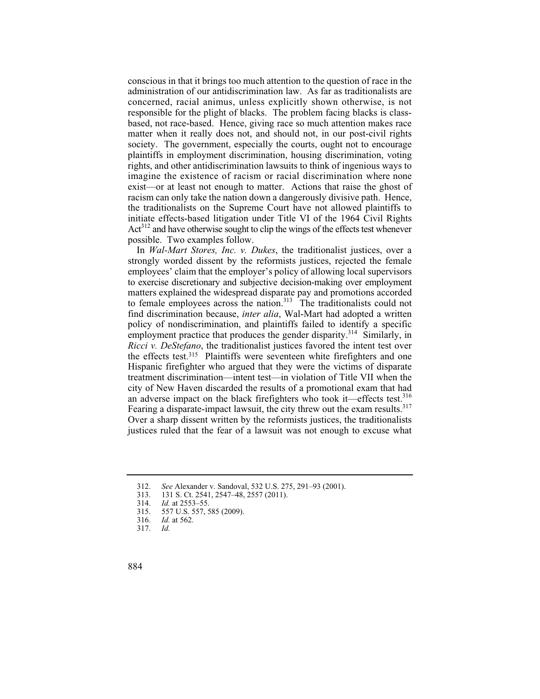conscious in that it brings too much attention to the question of race in the administration of our antidiscrimination law. As far as traditionalists are concerned, racial animus, unless explicitly shown otherwise, is not responsible for the plight of blacks. The problem facing blacks is classbased, not race-based. Hence, giving race so much attention makes race matter when it really does not, and should not, in our post-civil rights society. The government, especially the courts, ought not to encourage plaintiffs in employment discrimination, housing discrimination, voting rights, and other antidiscrimination lawsuits to think of ingenious ways to imagine the existence of racism or racial discrimination where none exist—or at least not enough to matter. Actions that raise the ghost of racism can only take the nation down a dangerously divisive path. Hence, the traditionalists on the Supreme Court have not allowed plaintiffs to initiate effects-based litigation under Title VI of the 1964 Civil Rights  $Act<sup>312</sup>$  and have otherwise sought to clip the wings of the effects test whenever possible. Two examples follow.

In *Wal-Mart Stores, Inc. v. Dukes*, the traditionalist justices, over a strongly worded dissent by the reformists justices, rejected the female employees' claim that the employer's policy of allowing local supervisors to exercise discretionary and subjective decision-making over employment matters explained the widespread disparate pay and promotions accorded to female employees across the nation.<sup>313</sup> The traditionalists could not find discrimination because, *inter alia*, Wal-Mart had adopted a written policy of nondiscrimination, and plaintiffs failed to identify a specific employment practice that produces the gender disparity.<sup>314</sup> Similarly, in *Ricci v. DeStefano*, the traditionalist justices favored the intent test over the effects test.315 Plaintiffs were seventeen white firefighters and one Hispanic firefighter who argued that they were the victims of disparate treatment discrimination—intent test—in violation of Title VII when the city of New Haven discarded the results of a promotional exam that had an adverse impact on the black firefighters who took it—effects test.<sup>316</sup> Fearing a disparate-impact lawsuit, the city threw out the exam results.<sup>317</sup> Over a sharp dissent written by the reformists justices, the traditionalists justices ruled that the fear of a lawsuit was not enough to excuse what

*Id.* at 562.<br>*Id.* 

<sup>312.</sup> *See* Alexander v. Sandoval, 532 U.S. 275, 291–93 (2001).

<sup>313. 131</sup> S. Ct. 2541, 2547–48, 2557 (2011).<br>314. *Id.* at 2553–55.

<sup>314.</sup> *Id.* at 2553–55.

<sup>315. 557</sup> U.S. 557, 585 (2009).<br>316. Id. at 562.

<sup>317.</sup> *Id.*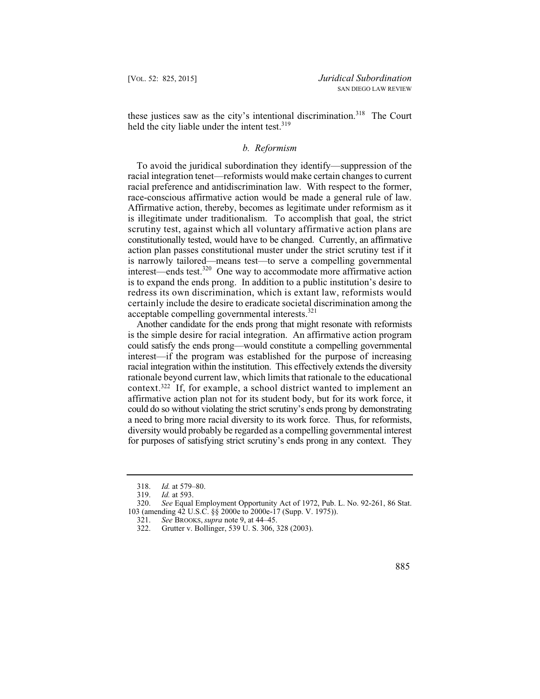these justices saw as the city's intentional discrimination.<sup>318</sup> The Court held the city liable under the intent test.<sup>319</sup>

### *b. Reformism*

race-conscious affirmative action would be made a general rule of law. constitutionally tested, would have to be changed. Currently, an affirmative To avoid the juridical subordination they identify—suppression of the racial integration tenet—reformists would make certain changes to current racial preference and antidiscrimination law. With respect to the former, Affirmative action, thereby, becomes as legitimate under reformism as it is illegitimate under traditionalism. To accomplish that goal, the strict scrutiny test, against which all voluntary affirmative action plans are action plan passes constitutional muster under the strict scrutiny test if it is narrowly tailored—means test—to serve a compelling governmental interest—ends test.320 One way to accommodate more affirmative action is to expand the ends prong. In addition to a public institution's desire to redress its own discrimination, which is extant law, reformists would certainly include the desire to eradicate societal discrimination among the acceptable compelling governmental interests.<sup>321</sup>

 for purposes of satisfying strict scrutiny's ends prong in any context. They Another candidate for the ends prong that might resonate with reformists is the simple desire for racial integration. An affirmative action program could satisfy the ends prong—would constitute a compelling governmental interest—if the program was established for the purpose of increasing racial integration within the institution. This effectively extends the diversity rationale beyond current law, which limits that rationale to the educational context.322 If, for example, a school district wanted to implement an affirmative action plan not for its student body, but for its work force, it could do so without violating the strict scrutiny's ends prong by demonstrating a need to bring more racial diversity to its work force. Thus, for reformists, diversity would probably be regarded as a compelling governmental interest

 <sup>318.</sup> *Id.* at 579–80.

<sup>319.</sup> *Id.* at 593.

See Equal Employment Opportunity Act of 1972, Pub. L. No. 92-261, 86 Stat. 103 (amending 42 U.S.C. §§ 2000e to 2000e-17 (Supp. V. 1975)).

<sup>321.</sup> *See* BROOKS, *supra* note 9, at 44–45.

Grutter v. Bollinger, 539 U. S. 306, 328 (2003).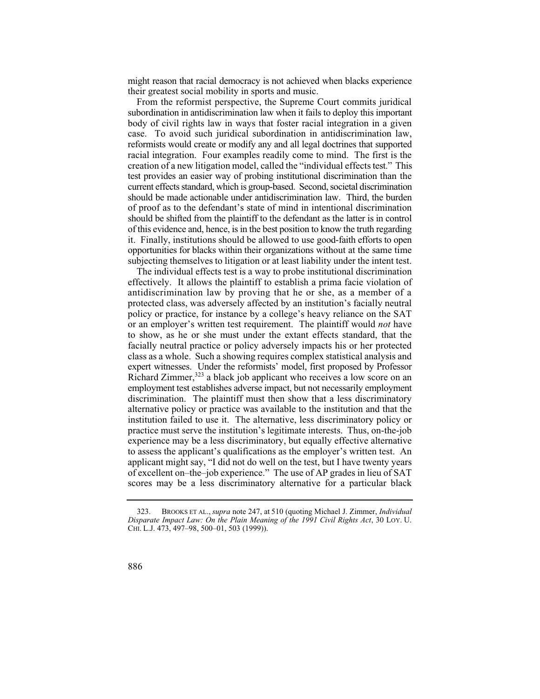might reason that racial democracy is not achieved when blacks experience their greatest social mobility in sports and music.

 creation of a new litigation model, called the "individual effects test." This test provides an easier way of probing institutional discrimination than the it. Finally, institutions should be allowed to use good-faith efforts to open opportunities for blacks within their organizations without at the same time From the reformist perspective, the Supreme Court commits juridical subordination in antidiscrimination law when it fails to deploy this important body of civil rights law in ways that foster racial integration in a given case. To avoid such juridical subordination in antidiscrimination law, reformists would create or modify any and all legal doctrines that supported racial integration. Four examples readily come to mind. The first is the current effects standard, which is group-based. Second, societal discrimination should be made actionable under antidiscrimination law. Third, the burden of proof as to the defendant's state of mind in intentional discrimination should be shifted from the plaintiff to the defendant as the latter is in control of this evidence and, hence, is in the best position to know the truth regarding subjecting themselves to litigation or at least liability under the intent test.

The individual effects test is a way to probe institutional discrimination effectively. It allows the plaintiff to establish a prima facie violation of antidiscrimination law by proving that he or she, as a member of a protected class, was adversely affected by an institution's facially neutral policy or practice, for instance by a college's heavy reliance on the SAT or an employer's written test requirement. The plaintiff would *not* have to show, as he or she must under the extant effects standard, that the facially neutral practice or policy adversely impacts his or her protected class as a whole. Such a showing requires complex statistical analysis and expert witnesses. Under the reformists' model, first proposed by Professor Richard Zimmer, $323$  a black job applicant who receives a low score on an employment test establishes adverse impact, but not necessarily employment discrimination. The plaintiff must then show that a less discriminatory alternative policy or practice was available to the institution and that the institution failed to use it. The alternative, less discriminatory policy or practice must serve the institution's legitimate interests. Thus, on-the-job experience may be a less discriminatory, but equally effective alternative to assess the applicant's qualifications as the employer's written test. An applicant might say, "I did not do well on the test, but I have twenty years of excellent on–the–job experience." The use of AP grades in lieu of SAT scores may be a less discriminatory alternative for a particular black

<sup>323.</sup> BROOKS ET AL., *supra* note 247, at 510 (quoting Michael J. Zimmer, *Individual Disparate Impact Law: On the Plain Meaning of the 1991 Civil Rights Act*, 30 LOY. U. CHI. L.J. 473, 497–98, 500–01, 503 (1999)).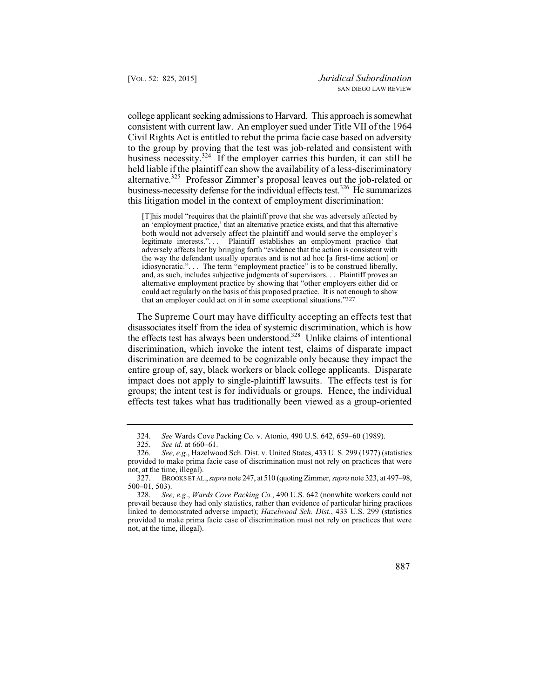alternative.<sup>325</sup> Professor Zimmer's proposal leaves out the job-related or business-necessity defense for the individual effects test.<sup>326</sup> He summarizes college applicant seeking admissions to Harvard. This approach is somewhat consistent with current law. An employer sued under Title VII of the 1964 Civil Rights Act is entitled to rebut the prima facie case based on adversity to the group by proving that the test was job-related and consistent with business necessity.<sup>324</sup> If the employer carries this burden, it can still be held liable if the plaintiff can show the availability of a less-discriminatory this litigation model in the context of employment discrimination:

 [T]his model "requires that the plaintiff prove that she was adversely affected by legitimate interests.". . . Plaintiff establishes an employment practice that an 'employment practice,' that an alternative practice exists, and that this alternative both would not adversely affect the plaintiff and would serve the employer's adversely affects her by bringing forth "evidence that the action is consistent with the way the defendant usually operates and is not ad hoc [a first-time action] or idiosyncratic.". . . The term "employment practice" is to be construed liberally, and, as such, includes subjective judgments of supervisors. . . Plaintiff proves an alternative employment practice by showing that "other employers either did or could act regularly on the basis of this proposed practice. It is not enough to show that an employer could act on it in some exceptional situations."327

The Supreme Court may have difficulty accepting an effects test that disassociates itself from the idea of systemic discrimination, which is how the effects test has always been understood.<sup>328</sup> Unlike claims of intentional discrimination, which invoke the intent test, claims of disparate impact discrimination are deemed to be cognizable only because they impact the entire group of, say, black workers or black college applicants. Disparate impact does not apply to single-plaintiff lawsuits. The effects test is for groups; the intent test is for individuals or groups. Hence, the individual effects test takes what has traditionally been viewed as a group-oriented

<sup>324.</sup> *See* Wards Cove Packing Co. v. Atonio, 490 U.S. 642, 659–60 (1989).

See id. at 660–61.

 not, at the time, illegal). 326. *See, e.g.*, Hazelwood Sch. Dist. v. United States, 433 U. S. 299 (1977) (statistics provided to make prima facie case of discrimination must not rely on practices that were

 <sup>327.</sup> BROOKS ET AL., *supra* note 247, at 510 (quoting Zimmer, *supra* note 323, at 497–98, 500–01, 503).

 not, at the time, illegal). 328. *See, e.g*., *Wards Cove Packing Co.*, 490 U.S. 642 (nonwhite workers could not prevail because they had only statistics, rather than evidence of particular hiring practices linked to demonstrated adverse impact); *Hazelwood Sch. Dist.*, 433 U.S. 299 (statistics provided to make prima facie case of discrimination must not rely on practices that were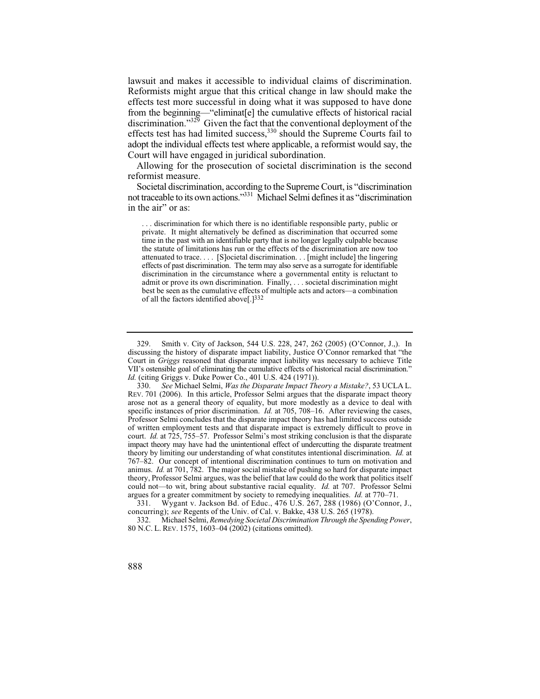lawsuit and makes it accessible to individual claims of discrimination. Reformists might argue that this critical change in law should make the effects test more successful in doing what it was supposed to have done from the beginning—"eliminat[e] the cumulative effects of historical racial discrimination."<sup>329</sup> Given the fact that the conventional deployment of the effects test has had limited success, $330$  should the Supreme Courts fail to adopt the individual effects test where applicable, a reformist would say, the Court will have engaged in juridical subordination.

Allowing for the prosecution of societal discrimination is the second reformist measure.

Societal discrimination, according to the Supreme Court, is "discrimination not traceable to its own actions."331 Michael Selmi defines it as "discrimination in the air" or as:

 effects of past discrimination. The term may also serve as a surrogate for identifiable . . . discrimination for which there is no identifiable responsible party, public or private. It might alternatively be defined as discrimination that occurred some time in the past with an identifiable party that is no longer legally culpable because the statute of limitations has run or the effects of the discrimination are now too attenuated to trace. . . . [S]ocietal discrimination. . . [might include] the lingering discrimination in the circumstance where a governmental entity is reluctant to admit or prove its own discrimination. Finally, . . . societal discrimination might best be seen as the cumulative effects of multiple acts and actors—a combination of all the factors identified above[.]332

 VII's ostensible goal of eliminating the cumulative effects of historical racial discrimination." 329. Smith v. City of Jackson, 544 U.S. 228, 247, 262 (2005) (O'Connor, J.,). In discussing the history of disparate impact liability, Justice O'Connor remarked that "the Court in *Griggs* reasoned that disparate impact liability was necessary to achieve Title *Id.* (citing Griggs v. Duke Power Co., 401 U.S. 424 (1971)).<br>330. *See Michael Selmi, Was the Disparate Impact The* 

 theory by limiting our understanding of what constitutes intentional discrimination. *Id.* at 330. *See* Michael Selmi, *Was the Disparate Impact Theory a Mistake?*, 53 UCLA L. REV. 701 (2006). In this article, Professor Selmi argues that the disparate impact theory arose not as a general theory of equality, but more modestly as a device to deal with specific instances of prior discrimination. *Id.* at 705, 708–16. After reviewing the cases, Professor Selmi concludes that the disparate impact theory has had limited success outside of written employment tests and that disparate impact is extremely difficult to prove in court. *Id.* at 725, 755–57. Professor Selmi's most striking conclusion is that the disparate impact theory may have had the unintentional effect of undercutting the disparate treatment 767–82. Our concept of intentional discrimination continues to turn on motivation and animus. *Id.* at 701, 782. The major social mistake of pushing so hard for disparate impact theory, Professor Selmi argues, was the belief that law could do the work that politics itself could not—to wit, bring about substantive racial equality. *Id.* at 707. Professor Selmi argues for a greater commitment by society to remedying inequalities. *Id.* at 770–71.

<sup>331.</sup> Wygant v. Jackson Bd. of Educ., 476 U.S. 267, 288 (1986) (O'Connor, J., concurring); *see* Regents of the Univ. of Cal. v. Bakke, 438 U.S. 265 (1978).

 332. Michael Selmi, *Remedying Societal Discrimination Through the Spending Power*, 80 N.C. L. REV. 1575, 1603–04 (2002) (citations omitted).

<sup>888</sup>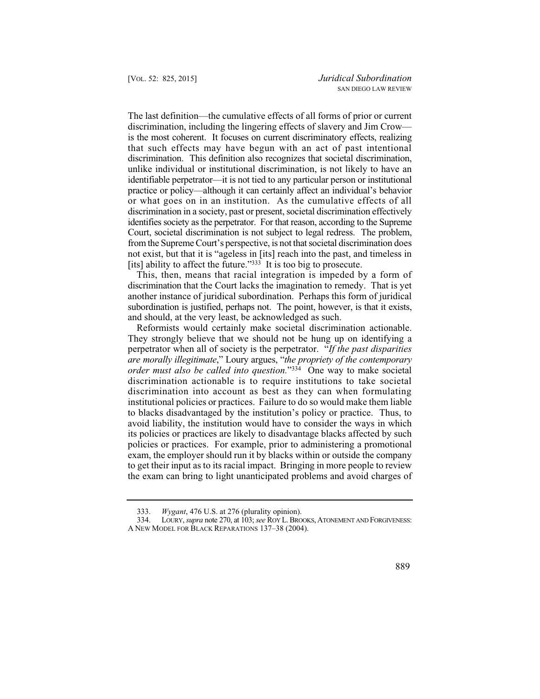that such effects may have begun with an act of past intentional identifiable perpetrator—it is not tied to any particular person or institutional The last definition—the cumulative effects of all forms of prior or current discrimination, including the lingering effects of slavery and Jim Crow is the most coherent. It focuses on current discriminatory effects, realizing discrimination. This definition also recognizes that societal discrimination, unlike individual or institutional discrimination, is not likely to have an practice or policy—although it can certainly affect an individual's behavior or what goes on in an institution. As the cumulative effects of all discrimination in a society, past or present, societal discrimination effectively identifies society as the perpetrator. For that reason, according to the Supreme Court, societal discrimination is not subject to legal redress. The problem, from the Supreme Court's perspective, is not that societal discrimination does not exist, but that it is "ageless in [its] reach into the past, and timeless in [its] ability to affect the future."<sup>333</sup> It is too big to prosecute.

 discrimination that the Court lacks the imagination to remedy. That is yet This, then, means that racial integration is impeded by a form of another instance of juridical subordination. Perhaps this form of juridical subordination is justified, perhaps not. The point, however, is that it exists, and should, at the very least, be acknowledged as such.

 *are morally illegitimate*," Loury argues, "*the propriety of the contemporary*  Reformists would certainly make societal discrimination actionable. They strongly believe that we should not be hung up on identifying a perpetrator when all of society is the perpetrator. "*If the past disparities order must also be called into question.*"334 One way to make societal discrimination actionable is to require institutions to take societal discrimination into account as best as they can when formulating institutional policies or practices. Failure to do so would make them liable to blacks disadvantaged by the institution's policy or practice. Thus, to avoid liability, the institution would have to consider the ways in which its policies or practices are likely to disadvantage blacks affected by such policies or practices. For example, prior to administering a promotional exam, the employer should run it by blacks within or outside the company to get their input as to its racial impact. Bringing in more people to review the exam can bring to light unanticipated problems and avoid charges of

<sup>333.</sup> *Wygant*, 476 U.S. at 276 (plurality opinion).

<sup>334.</sup> LOURY, *supra* note 270, at 103; *see* ROY L. BROOKS, ATONEMENT AND FORGIVENESS: A NEW MODEL FOR BLACK REPARATIONS 137–38 (2004).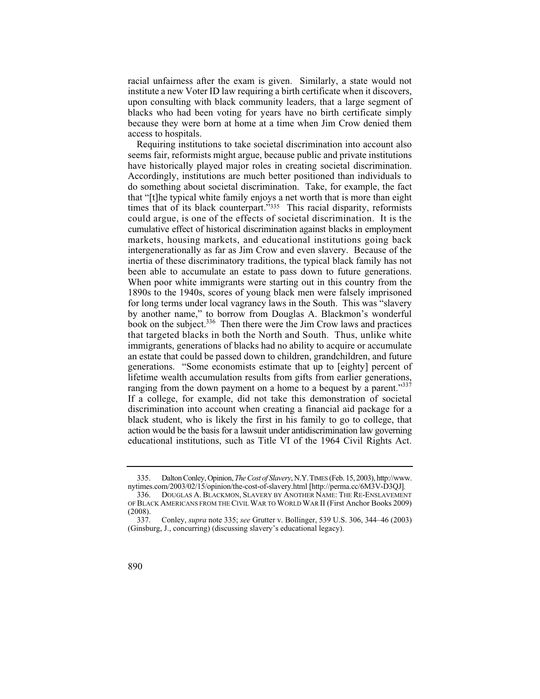racial unfairness after the exam is given. Similarly, a state would not institute a new Voter ID law requiring a birth certificate when it discovers, upon consulting with black community leaders, that a large segment of blacks who had been voting for years have no birth certificate simply because they were born at home at a time when Jim Crow denied them access to hospitals.

educational institutions, such as Title VI of the 1964 Civil Rights Act.<br>335. Dalton Conley, Opinion, *The Cost of Slavery*, N.Y. TIMES (Feb. 15, 2003), http://www. Requiring institutions to take societal discrimination into account also seems fair, reformists might argue, because public and private institutions have historically played major roles in creating societal discrimination. Accordingly, institutions are much better positioned than individuals to do something about societal discrimination. Take, for example, the fact that "[t]he typical white family enjoys a net worth that is more than eight times that of its black counterpart."<sup>335</sup> This racial disparity, reformists could argue, is one of the effects of societal discrimination. It is the cumulative effect of historical discrimination against blacks in employment markets, housing markets, and educational institutions going back intergenerationally as far as Jim Crow and even slavery. Because of the inertia of these discriminatory traditions, the typical black family has not been able to accumulate an estate to pass down to future generations. When poor white immigrants were starting out in this country from the 1890s to the 1940s, scores of young black men were falsely imprisoned for long terms under local vagrancy laws in the South. This was "slavery by another name," to borrow from Douglas A. Blackmon's wonderful book on the subject.<sup>336</sup> Then there were the Jim Crow laws and practices that targeted blacks in both the North and South. Thus, unlike white immigrants, generations of blacks had no ability to acquire or accumulate an estate that could be passed down to children, grandchildren, and future generations. "Some economists estimate that up to [eighty] percent of lifetime wealth accumulation results from gifts from earlier generations, ranging from the down payment on a home to a bequest by a parent." $337$ If a college, for example, did not take this demonstration of societal discrimination into account when creating a financial aid package for a black student, who is likely the first in his family to go to college, that action would be the basis for a lawsuit under antidiscrimination law governing

 <sup>337.</sup> Conley, *supra* note 335; *see* Grutter v. Bollinger, 539 U.S. 306, 344–46 (2003) (Ginsburg, J., concurring) (discussing slavery's educational legacy).



nytimes.com/2003/02/15/opinion/the-cost-of-slavery.html [http://perma.cc/6M3V-D3QJ]*.*

 <sup>336.</sup> DOUGLAS A. BLACKMON, SLAVERY BY ANOTHER NAME: THE RE-ENSLAVEMENT OF BLACK AMERICANS FROM THE CIVIL WAR TO WORLD WAR II (First Anchor Books 2009)  $(2008).$ <br>337.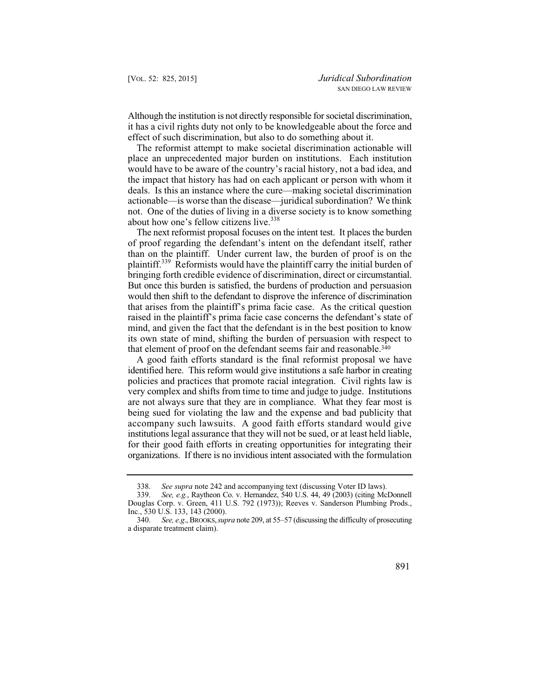Although the institution is not directly responsible for societal discrimination, it has a civil rights duty not only to be knowledgeable about the force and effect of such discrimination, but also to do something about it.

The reformist attempt to make societal discrimination actionable will place an unprecedented major burden on institutions. Each institution would have to be aware of the country's racial history, not a bad idea, and the impact that history has had on each applicant or person with whom it deals. Is this an instance where the cure—making societal discrimination actionable—is worse than the disease—juridical subordination? We think not. One of the duties of living in a diverse society is to know something about how one's fellow citizens live.<sup>338</sup>

 bringing forth credible evidence of discrimination, direct or circumstantial. The next reformist proposal focuses on the intent test. It places the burden of proof regarding the defendant's intent on the defendant itself, rather than on the plaintiff. Under current law, the burden of proof is on the plaintiff.<sup>339</sup> Reformists would have the plaintiff carry the initial burden of But once this burden is satisfied, the burdens of production and persuasion would then shift to the defendant to disprove the inference of discrimination that arises from the plaintiff's prima facie case. As the critical question raised in the plaintiff's prima facie case concerns the defendant's state of mind, and given the fact that the defendant is in the best position to know its own state of mind, shifting the burden of persuasion with respect to that element of proof on the defendant seems fair and reasonable.<sup>340</sup>

A good faith efforts standard is the final reformist proposal we have identified here. This reform would give institutions a safe harbor in creating policies and practices that promote racial integration. Civil rights law is very complex and shifts from time to time and judge to judge. Institutions are not always sure that they are in compliance. What they fear most is being sued for violating the law and the expense and bad publicity that accompany such lawsuits. A good faith efforts standard would give institutions legal assurance that they will not be sued, or at least held liable, for their good faith efforts in creating opportunities for integrating their organizations. If there is no invidious intent associated with the formulation

<sup>338.</sup> *See supra* note 242 and accompanying text (discussing Voter ID laws).<br>339. *See, e.g.*, Raytheon Co. v. Hernandez, 540 U.S. 44, 49 (2003) (citing Mc

See, e.g., Raytheon Co. v. Hernandez, 540 U.S. 44, 49 (2003) (citing McDonnell Douglas Corp. v. Green, 411 U.S. 792 (1973)); Reeves v. Sanderson Plumbing Prods., Inc., 530 U.S. 133, 143 (2000).

 340. *See, e.g*., BROOKS, *supra* note 209, at 55–57 (discussing the difficulty of prosecuting a disparate treatment claim).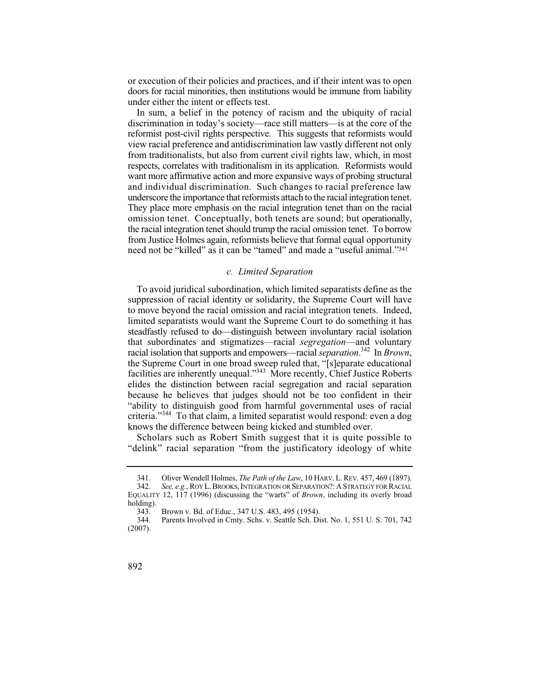or execution of their policies and practices, and if their intent was to open doors for racial minorities, then institutions would be immune from liability under either the intent or effects test.

 reformist post-civil rights perspective. This suggests that reformists would underscore the importance that reformists attach to the racial integration tenet. from Justice Holmes again, reformists believe that formal equal opportunity In sum, a belief in the potency of racism and the ubiquity of racial discrimination in today's society—race still matters—is at the core of the view racial preference and antidiscrimination law vastly different not only from traditionalists, but also from current civil rights law, which, in most respects, correlates with traditionalism in its application. Reformists would want more affirmative action and more expansive ways of probing structural and individual discrimination. Such changes to racial preference law They place more emphasis on the racial integration tenet than on the racial omission tenet. Conceptually, both tenets are sound; but operationally, the racial integration tenet should trump the racial omission tenet. To borrow need not be "killed" as it can be "tamed" and made a "useful animal."341

# *c. Limited Separation*

To avoid juridical subordination, which limited separatists define as the suppression of racial identity or solidarity, the Supreme Court will have to move beyond the racial omission and racial integration tenets. Indeed, limited separatists would want the Supreme Court to do something it has steadfastly refused to do—distinguish between involuntary racial isolation that subordinates and stigmatizes—racial *segregation*—and voluntary racial isolation that supports and empowers—racial *separation*. 342 In *Brown*, the Supreme Court in one broad sweep ruled that, "[s]eparate educational facilities are inherently unequal."343 More recently, Chief Justice Roberts elides the distinction between racial segregation and racial separation because he believes that judges should not be too confident in their "ability to distinguish good from harmful governmental uses of racial criteria."344 To that claim, a limited separatist would respond: even a dog knows the difference between being kicked and stumbled over.

Scholars such as Robert Smith suggest that it is quite possible to "delink" racial separation "from the justificatory ideology of white

 341. Oliver Wendell Holmes, *The Path of the Law*, 10 HARV. L. REV*.* 457, 469 (1897).

 <sup>342.</sup> *See, e.g.*, ROY L. BROOKS, INTEGRATION OR SEPARATION?: A STRATEGY FOR RACIAL EQUALITY 12, 117 (1996) (discussing the "warts" of *Brown*, including its overly broad holding).<br> $343.$ 

<sup>343.</sup> Brown v. Bd. of Educ., 347 U.S. 483, 495 (1954).

Parents Involved in Cmty. Schs. v. Seattle Sch. Dist. No. 1, 551 U. S. 701, 742 (2007).

<sup>892</sup>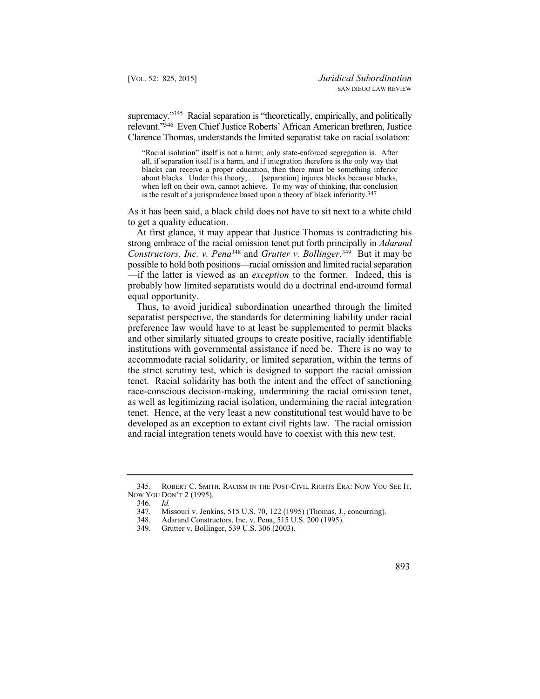relevant."346 Even Chief Justice Roberts' African American brethren, Justice supremacy."<sup>345</sup> Racial separation is "theoretically, empirically, and politically Clarence Thomas, understands the limited separatist take on racial isolation:

"Racial isolation" itself is not a harm; only state-enforced segregation is. After all, if separation itself is a harm, and if integration therefore is the only way that blacks can receive a proper education, then there must be something inferior about blacks. Under this theory, . . . [separation] injures blacks because blacks, when left on their own, cannot achieve. To my way of thinking, that conclusion is the result of a jurisprudence based upon a theory of black inferiority.347

As it has been said, a black child does not have to sit next to a white child to get a quality education.

At first glance, it may appear that Justice Thomas is contradicting his strong embrace of the racial omission tenet put forth principally in *Adarand Constructors, Inc. v. Pena*348 and *Grutter v. Bollinger.*349 But it may be possible to hold both positions—racial omission and limited racial separation —if the latter is viewed as an *exception* to the former. Indeed, this is probably how limited separatists would do a doctrinal end-around formal equal opportunity.

Thus, to avoid juridical subordination unearthed through the limited separatist perspective, the standards for determining liability under racial preference law would have to at least be supplemented to permit blacks and other similarly situated groups to create positive, racially identifiable institutions with governmental assistance if need be. There is no way to accommodate racial solidarity, or limited separation, within the terms of the strict scrutiny test, which is designed to support the racial omission tenet. Racial solidarity has both the intent and the effect of sanctioning race-conscious decision-making, undermining the racial omission tenet, as well as legitimizing racial isolation, undermining the racial integration tenet. Hence, at the very least a new constitutional test would have to be developed as an exception to extant civil rights law. The racial omission and racial integration tenets would have to coexist with this new test.

 NOW YOU DON'T 2 (1995). 345. ROBERT C. SMITH, RACISM IN THE POST-CIVIL RIGHTS ERA: NOW YOU SEE IT,

 <sup>346.</sup> *Id.*  347. Missouri v. Jenkins, 515 U.S. 70, 122 (1995) (Thomas, J., concurring).<br>348. Adarand Constructors. Inc. v. Pena. 515 U.S. 200 (1995).

<sup>348.</sup> Adarand Constructors, Inc. v. Pena, 515 U.S. 200 (1995).

Grutter v. Bollinger, 539 U.S. 306 (2003).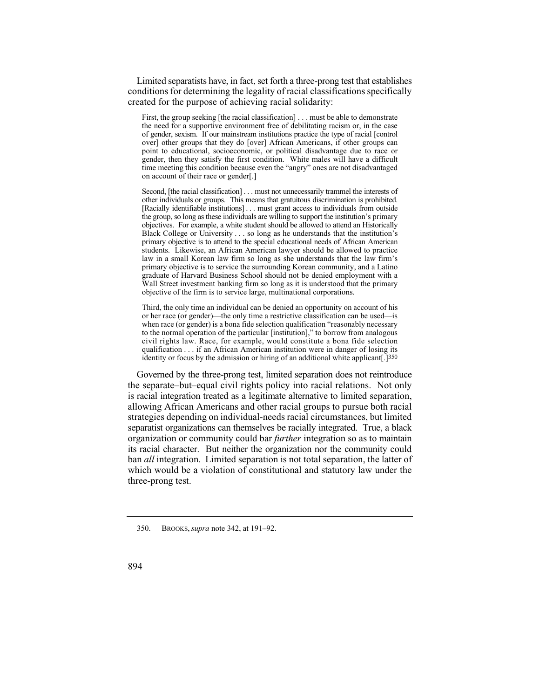Limited separatists have, in fact, set forth a three-prong test that establishes conditions for determining the legality of racial classifications specifically created for the purpose of achieving racial solidarity:

 First, the group seeking [the racial classification] . . . must be able to demonstrate the need for a supportive environment free of debilitating racism or, in the case of gender, sexism. If our mainstream institutions practice the type of racial [control over] other groups that they do [over] African Americans, if other groups can point to educational, socioeconomic, or political disadvantage due to race or gender, then they satisfy the first condition. White males will have a difficult time meeting this condition because even the "angry" ones are not disadvantaged on account of their race or gender[.]

 other individuals or groups. This means that gratuitous discrimination is prohibited. the group, so long as these individuals are willing to support the institution's primary objectives. For example, a white student should be allowed to attend an Historically Second, [the racial classification] . . . must not unnecessarily trammel the interests of [Racially identifiable institutions] . . . must grant access to individuals from outside Black College or University . . . so long as he understands that the institution's primary objective is to attend to the special educational needs of African American students. Likewise, an African American lawyer should be allowed to practice law in a small Korean law firm so long as she understands that the law firm's primary objective is to service the surrounding Korean community, and a Latino graduate of Harvard Business School should not be denied employment with a Wall Street investment banking firm so long as it is understood that the primary objective of the firm is to service large, multinational corporations.

 when race (or gender) is a bona fide selection qualification "reasonably necessary Third, the only time an individual can be denied an opportunity on account of his or her race (or gender)—the only time a restrictive classification can be used—is to the normal operation of the particular [institution]," to borrow from analogous civil rights law. Race, for example, would constitute a bona fide selection qualification . . . if an African American institution were in danger of losing its identity or focus by the admission or hiring of an additional white applicant[.]350

Governed by the three-prong test, limited separation does not reintroduce the separate–but–equal civil rights policy into racial relations. Not only is racial integration treated as a legitimate alternative to limited separation, allowing African Americans and other racial groups to pursue both racial strategies depending on individual-needs racial circumstances, but limited separatist organizations can themselves be racially integrated. True, a black organization or community could bar *further* integration so as to maintain its racial character. But neither the organization nor the community could ban *all* integration. Limited separation is not total separation, the latter of which would be a violation of constitutional and statutory law under the three-prong test.

<sup>350.</sup> BROOKS, *supra* note 342, at 191–92.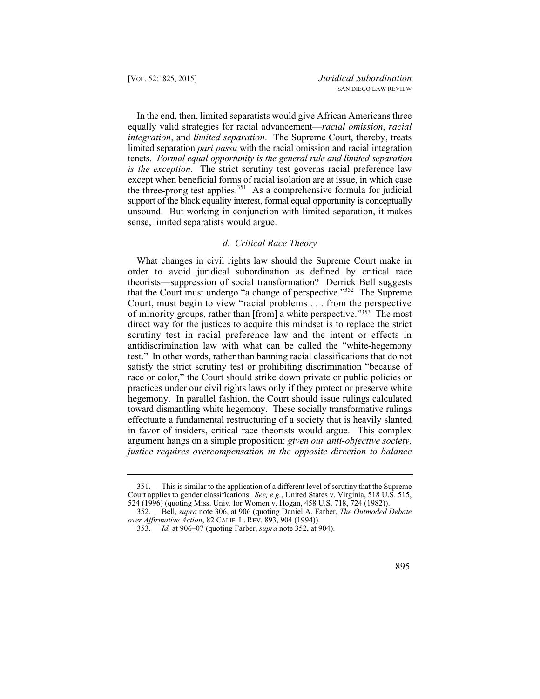In the end, then, limited separatists would give African Americans three equally valid strategies for racial advancement—*racial omission*, *racial integration*, and *limited separation*. The Supreme Court, thereby, treats limited separation *pari passu* with the racial omission and racial integration tenets. *Formal equal opportunity is the general rule and limited separation is the exception*. The strict scrutiny test governs racial preference law except when beneficial forms of racial isolation are at issue, in which case the three-prong test applies.<sup>351</sup> As a comprehensive formula for judicial support of the black equality interest, formal equal opportunity is conceptually unsound. But working in conjunction with limited separation, it makes sense, limited separatists would argue.

### *d. Critical Race Theory*

What changes in civil rights law should the Supreme Court make in order to avoid juridical subordination as defined by critical race theorists—suppression of social transformation? Derrick Bell suggests that the Court must undergo "a change of perspective."352 The Supreme Court, must begin to view "racial problems . . . from the perspective of minority groups, rather than [from] a white perspective."353 The most direct way for the justices to acquire this mindset is to replace the strict scrutiny test in racial preference law and the intent or effects in antidiscrimination law with what can be called the "white-hegemony test." In other words, rather than banning racial classifications that do not satisfy the strict scrutiny test or prohibiting discrimination "because of race or color," the Court should strike down private or public policies or practices under our civil rights laws only if they protect or preserve white hegemony. In parallel fashion, the Court should issue rulings calculated toward dismantling white hegemony. These socially transformative rulings effectuate a fundamental restructuring of a society that is heavily slanted in favor of insiders, critical race theorists would argue. This complex argument hangs on a simple proposition: *given our anti-objective society, justice requires overcompensation in the opposite direction to balance* 

<sup>351.</sup> This is similar to the application of a different level of scrutiny that the Supreme Court applies to gender classifications. *See, e.g.*, United States v. Virginia, 518 U.S. 515, 524 (1996) (quoting Miss. Univ. for Women v. Hogan, 458 U.S. 718, 724 (1982)).

<sup>352.</sup> Bell, *supra* note 306, at 906 (quoting Daniel A. Farber, *The Outmoded Debate over Affirmative Action*, 82 CALIF. L. REV. 893, 904 (1994)).

<sup>353.</sup> *Id.* at 906–07 (quoting Farber, *supra* note 352, at 904).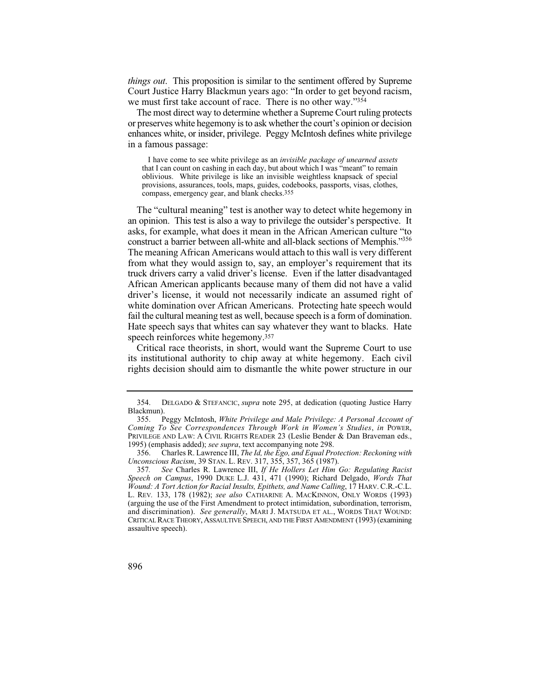*things out*. This proposition is similar to the sentiment offered by Supreme Court Justice Harry Blackmun years ago: "In order to get beyond racism, we must first take account of race. There is no other way."354

The most direct way to determine whether a Supreme Court ruling protects or preserves white hegemony is to ask whether the court's opinion or decision enhances white, or insider, privilege. Peggy McIntosh defines white privilege in a famous passage:

I have come to see white privilege as an *invisible package of unearned assets*  that I can count on cashing in each day, but about which I was "meant" to remain oblivious. White privilege is like an invisible weightless knapsack of special provisions, assurances, tools, maps, guides, codebooks, passports, visas, clothes, compass, emergency gear, and blank checks.355

 an opinion. This test is also a way to privilege the outsider's perspective. It The "cultural meaning" test is another way to detect white hegemony in asks, for example, what does it mean in the African American culture "to construct a barrier between all-white and all-black sections of Memphis."356 The meaning African Americans would attach to this wall is very different from what they would assign to, say, an employer's requirement that its truck drivers carry a valid driver's license. Even if the latter disadvantaged African American applicants because many of them did not have a valid driver's license, it would not necessarily indicate an assumed right of white domination over African Americans. Protecting hate speech would fail the cultural meaning test as well, because speech is a form of domination. Hate speech says that whites can say whatever they want to blacks. Hate speech reinforces white hegemony.357

Critical race theorists, in short, would want the Supreme Court to use its institutional authority to chip away at white hegemony. Each civil rights decision should aim to dismantle the white power structure in our

<sup>354.</sup> DELGADO & STEFANCIC, *supra* note 295, at dedication (quoting Justice Harry Blackmun).

 355. Peggy McIntosh, *White Privilege and Male Privilege: A Personal Account of Coming To See Correspondences Through Work in Women's Studies*, *in* POWER, PRIVILEGE AND LAW: A CIVIL RIGHTS READER 23 (Leslie Bender & Dan Braveman eds., 1995) (emphasis added); *see supra*, text accompanying note 298.

<sup>356.</sup> Charles R. Lawrence III, *The Id, the Ego, and Equal Protection: Reckoning with Unconscious Racism*, 39 STAN. L. REV. 317, 355, 357, 365 (1987).

<sup>357</sup>*. See* Charles R. Lawrence III, *If He Hollers Let Him Go: Regulating Racist Speech on Campus*, 1990 DUKE L.J. 431, 471 (1990); Richard Delgado, *Words That Wound: A Tort Action for Racial Insults, Epithets, and Name Calling*, 17 HARV. C.R.-C.L. L. REV*.* 133, 178 (1982); *see also* CATHARINE A. MACKINNON, ONLY WORDS (1993) (arguing the use of the First Amendment to protect intimidation, subordination, terrorism, and discrimination). *See generally*, MARI J. MATSUDA ET AL., WORDS THAT WOUND: CRITICAL RACE THEORY, ASSAULTIVE SPEECH, AND THE FIRST AMENDMENT (1993) (examining assaultive speech).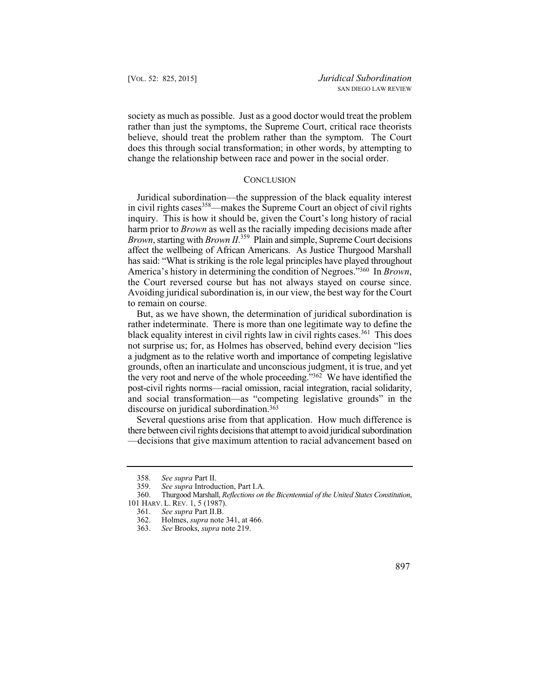society as much as possible. Just as a good doctor would treat the problem rather than just the symptoms, the Supreme Court, critical race theorists believe, should treat the problem rather than the symptom. The Court does this through social transformation; in other words, by attempting to change the relationship between race and power in the social order.

## **CONCLUSION**

Juridical subordination—the suppression of the black equality interest in civil rights cases  $358$ —makes the Supreme Court an object of civil rights inquiry. This is how it should be, given the Court's long history of racial harm prior to *Brown* as well as the racially impeding decisions made after *Brown*, starting with *Brown II*. 359 Plain and simple, Supreme Court decisions affect the wellbeing of African Americans. As Justice Thurgood Marshall has said: "What is striking is the role legal principles have played throughout America's history in determining the condition of Negroes."360 In *Brown*, the Court reversed course but has not always stayed on course since. Avoiding juridical subordination is, in our view, the best way for the Court to remain on course.

 the very root and nerve of the whole proceeding."362 We have identified the But, as we have shown, the determination of juridical subordination is rather indeterminate. There is more than one legitimate way to define the black equality interest in civil rights law in civil rights cases.<sup>361</sup> This does not surprise us; for, as Holmes has observed, behind every decision "lies a judgment as to the relative worth and importance of competing legislative grounds, often an inarticulate and unconscious judgment, it is true, and yet post-civil rights norms—racial omission, racial integration, racial solidarity, and social transformation—as "competing legislative grounds" in the discourse on juridical subordination.363

Several questions arise from that application. How much difference is there between civil rights decisions that attempt to avoid juridical subordination —decisions that give maximum attention to racial advancement based on

<sup>358.</sup> *See supra* Part II.

<sup>359.</sup> *See supra* Introduction, Part I.A.

<sup>360.</sup> Thurgood Marshall, *Reflections on the Bicentennial of the United States Constitution*, 101 HARV. L. REV. 1, 5 (1987).

<sup>361.</sup> *See supra* Part II.B.

<sup>362.</sup> Holmes, *supra* note 341, at 466.

<sup>363.</sup> *See* Brooks, *supra* note 219.